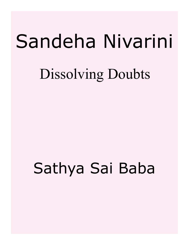# Sandeha Nivarini

### Dissolving Doubts

## Sathya Sai Baba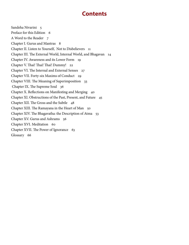#### **Contents**

[Sandeha Nivarini 5](#page-4-0) [Preface for this Edition 6](#page-5-0) [A Word to the Reader 7](#page-6-0) [Chapter I. Gurus and Mantras 8](#page-7-0) [Chapter II. Listen to Yourself, Not to Disbelievers 11](#page-10-0) [Chapter III. The External World, Internal World, and Bhagavan 14](#page-13-0) [Chapter IV. Awareness and its Lower Form 19](#page-18-0) [Chapter V. Thai! Thai! Thai! Dummy! 22](#page-21-0) [Chapter VI. The Internal and External Senses 27](#page-26-0) [Chapter VII. Forty-six Maxims of Conduct 29](#page-28-0) [Chapter VIII. The Meaning of Superimposition 33](#page-32-0)  [Chapter IX. The Supreme Soul 36](#page-35-0) [Chapter X. Reflections on Manifesting and Merging 40](#page-39-0) [Chapter XI. Obstructions of the Past, Present, and Future 45](#page-44-0) [Chapter XII. The Gross and the Subtle 48](#page-47-0) [Chapter XIII. The Ramayana in the Heart of Man 50](#page-49-0) [Chapter XIV. The Bhagavatha: the Description of Atma 53](#page-52-0) [Chapter XV. Gurus and Ashrams 56](#page-55-0) [Chapter XVI. Meditation 60](#page-59-0) [Chapter XVII. The Power of Ignorance 63](#page-62-0) [Glossary 66](#page-65-0)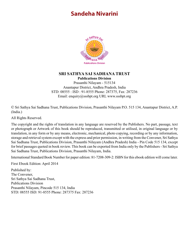#### <span id="page-4-0"></span>**Sandeha Nivarini**



#### **SRI SATHYA SAI SADHANA TRUST Publications Division**

Prasanthi Nilayam - 515134 Anantapur District, Andhra Pradesh, India STD: 08555 : ISD : 91-8555 Phone: 287375, Fax: 287236 Email: enquiry@sssbpt.org URL www.sssbpt.org

© Sri Sathya Sai Sadhana Trust, Publications Division, Prasanthi Nilayam P.O. 515 134, Anantapur District, A.P. (India.)

All Rights Reserved.

The copyright and the rights of translation in any language are reserved by the Publishers. No part, passage, text or photograph or Artwork of this book should be reproduced, transmitted or utilised, in original language or by translation, in any form or by any means, electronic, mechanical, photo copying, recording or by any information, storage and retrieval system except with the express and prior permission, in writing from the Convener, Sri Sathya Sai Sadhana Trust, Publications Division, Prasanthi Nilayam (Andhra Pradesh) India - Pin Code 515 134, except for brief passages quoted in book review. This book can be exported from India only by the Publishers - Sri Sathya Sai Sadhana Trust, Publications Division, Prasanthi Nilayam, India.

International Standard Book Number for paper edition: 81-7208-309-2: ISBN for this ebook edition will come later.

First Ebook Edition: April 2014

Published by: The Convener, Sri Sathya Sai Sadhana Trust, Publications Division Prasanthi Nilayam, Pincode 515 134, India STD: 08555 ISD: 91-8555 Phone: 287375 Fax: 287236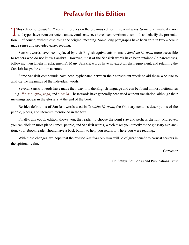#### **Preface for this Edition**

<span id="page-5-0"></span>This edition of *Sandeha Nivarini* improves on the previous edition in several ways. Some grammatical errors and typos have been corrected, and several sentences have been rewritten to smooth and clarify the presentation —of course, without disturbing the original meaning. Some long paragraphs have been split in two where it made sense and provided easier reading.

Sanskrit words have been replaced by their English equivalents, to make *Sandeha Nivarini* more accessible to readers who do not know Sanskrit. However, most of the Sanskrit words have been retained (in parentheses, following their English replacements). Many Sanskrit words have no exact English equivalent, and retaining the Sanskrit keeps the edition accurate.

Some Sanskrit compounds have been hyphenated between their constituent words to aid those who like to analyze the meanings of the individual words.

Several Sanskrit words have made their way into the English language and can be found in most dictionaries —e.g. *dharma*, *guru*, *yoga*, and *moksha*. These words have generally been used without translation, although their meanings appear in the glossary at the end of the book.

Besides definitions of Sanskrit words used in *Sandeha Nivarini*, the Glossary contains descriptions of the people, places, and literature mentioned in the text.

Finally, this ebook edition allows you, the reader, to choose the point size and perhaps the font. Moreover, you can click on most place names, people, and Sanskrit words, which takes you directly to the glossary explanation; your ebook reader should have a back button to help you return to where you were reading..

With these changes, we hope that the revised *Sandeha Nivarini* will be of great benefit to earnest seekers in the spiritual realm.

Convenor

Sri Sathya Sai Books and Publications Trust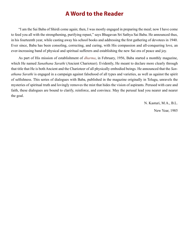#### **A Word to the Reader**

<span id="page-6-0"></span>"I am the Sai Baba of Shirdi come again; then, I was mostly engaged in preparing the meal; now I have come to feed you all with the strengthening, purifying repast," says Bhagavan Sri Sathya Sai Baba. He announced thus, in his fourteenth year, while casting away his school books and addressing the first gathering of devotees in 1940. Ever since, Baba has been consoling, correcting, and curing, with His compassion and all-conquering love, an ever-increasing band of physical and spiritual sufferers and establishing the new Sai era of peace and joy.

As part of His mission of establishment of *[dharma](#page-67-0)*, in February, 1956, Baba started a monthly magazine, which He named *Sanathana Sarathi* (Ancient Charioteer). Evidently, He meant to declare more clearly through that title that He is both Ancient and the Charioteer of all physically embodied beings. He announced that the *Sanathana Sarathi* is engaged in a campaign against falsehood of all types and varieties, as well as against the spirit of selfishness. This series of dialogues with Baba, published in the magazine originally in Telugu, unravels the mysteries of spiritual truth and lovingly removes the mist that hides the vision of aspirants. Perused with care and faith, these dialogues are bound to clarify, reinforce, and convince. May the perusal lead you nearer and nearer the goal.

N. Kasturi, M.A., B.L.

New Year, 1985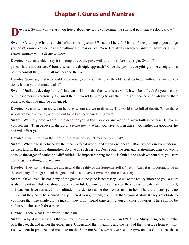#### **Chapter I. Gurus and Mantras**

<span id="page-7-0"></span>**evotee**: Swami, can we ask you freely about any topic concerning the spiritual path that we don't know?

**Swami**: Certainly. Why this doubt? What is the objection? What am I here for? Isn't it for explaining to you things you don't know? You can ask me without any fear or hesitation. I'm always ready to answer. However, I want earnest inquiry with a desire to know.

**Devotee**: But some elders say it is wrong to vex the *[guru](#page-68-0)* with questions. Are they right, Swami?

*[guru](#page-68-0)*: That is not correct. Whom else can the disciple approach? Since the *[guru](#page-68-0)* is everything to the disciple, it is best to consult the *[guru](#page-68-0)* in all matters and then act.

**Devotee**: Some say that we should reverentially carry out whatever the elders ask us to do, without raising objections. Is that your command also?

**Swami**: Until you develop full faith in them and know that their words are valid, it will be difficult for you to carry out their orders reverentially. So, until then, it won't be wrong to ask them the significance and validity of their orders, so that you may be convinced.

**Devotee**: Swami, whom are we to believe, whom are we to discard? The world is so full of deceit. When those whom we believe to be good turn out to be bad, how can faith grow?

**Swami**: Well, My boy! Where is the need for you in this world or any world to grow faith in others? Believe in yourself first. Then believe in the Lord (*[Param-atma](#page-71-0)*). When you have faith in these two, neither the good nor the bad will affect you.

**Devotee**: Swami, faith in the Lord also diminishes sometimes. Why is that?

**Swami**: When one is deluded by the mere external world, and when one doesn't attain success in such external desires, faith in the Lord diminishes. So give up such desires. Desire only the spiritual relationship; then you won't become the target of doubts and difficulties. The important thing for this is faith in the Lord; without that, you start doubting everything, big and small.

**Devotee**: They say that until we understand the reality of the Supreme Self (*[Param-atma](#page-71-0)*), it is important to be in the company of the great and the good and also to have a *[guru](#page-68-0)*. Are these necessary?

**Swami**: Of course! The company of the great and the good is necessary. To make the reality known to you, a *[guru](#page-68-0)* is also important. But you should be very careful. Genuine *[gurus](#page-68-0)* are scarce these days. Cheats have multiplied, and teachers have retreated into solitude, in order to realise themselves undisturbed. There are many genuine *[gurus](#page-68-0)*, but they can't be secured easily. Even if you get them, you must thank your destiny if they vouchsafe to you more than one single divine maxim; they won't spend time telling you all kinds of stories! There should be no hurry in the search for a *[guru](#page-68-0)*.

**Devotee**: Then, what in the world is the path?

**Swami**: Why, it is just for this that we have the *[Vedas](#page-75-0)*, *[Sastras](#page-73-0)*, *[Puranas](#page-71-1)*, and *[Ithihasas](#page-68-1)*. Study them, adhere to the path they teach, and gather the experience. Understand their meaning and the trend of their message from *[pundits](#page-71-2)*. Follow them in practice, and meditate on the Supreme Self (*[Param-atma](#page-71-0)*) as the *[guru](#page-68-0)* and as God. Then, those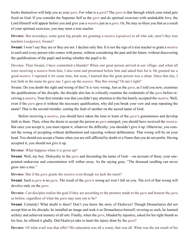books themselves will help you as your *[guru](#page-68-0)*. For what is a *[guru](#page-68-0)*? The *[guru](#page-68-0)* is that through which your mind gets fixed on God. If you consider the Supreme Self as the *[guru](#page-68-0)* and do spiritual exercises with unshakable love, the Lord Himself will appear before you and give you a *[mantra](#page-70-0)* just as a *[guru](#page-68-0)*. Or, He may so bless you that as a result of your spiritual exercises, you may meet a true teacher.

**Devotee**: But nowadays, some great big people are granting a *[mantra](#page-70-0)* (*[upadesa](#page-74-0)*) to all who ask; aren't they true teachers (*[sadgurus](#page-72-0)*), Swami?

**Swami**: I won't say they are or they are not. I declare only this: It is not the sign of a true teacher to grant a *[mantra](#page-70-0)* to each and every person who comes with praise, without considering the past and the future, without discovering the qualifications of the pupil and testing whether the pupil is fit.

Devotee: Then Swami, I have committed a blunder! When one great person arrived at our village, and when all were receiving a *[mantra](#page-70-0)* from him, I also went and prostrated before him and asked him for it. He granted me a good *[mantra](#page-70-0)*. I repeated it for some time, but soon, I learned that the great person was a cheat. Since that day, I lost faith in the name he gave me; I gave up the *[mantra](#page-70-0)*. Was this wrong? Or am I right?

Swami: Do you doubt the right and wrong of this? It is very wrong. Just as the *[guru](#page-68-0)*, as I told you now, examines the qualifications of the disciple, the disciple also has to critically examine the credentials of the *[guru](#page-68-0)* before receiving a *[mantra](#page-70-0)*. Your first mistake was that you didn't pay attention to this but hastily accepted the *[mantra](#page-70-0)*. Well, even if the *[guru](#page-68-0)* gave it without the necessary qualification, why did you break your vow and stop repeating the name? That is the second mistake: casting the fault of another on the sacred name of God.

Before receiving a *[mantra](#page-70-0)*, you should have taken the time to learn of the *[guru](#page-68-0)*'s genuineness and develop faith in them. Then, when the desire to accept the person as *[guru](#page-68-0)* emerged, you should have received the *[mantra](#page-70-0)*. But once you accept it, you must repeat it, whatever the difficulty; you shouldn't give it up. Otherwise, you commit the wrong of accepting without deliberation and rejecting without deliberation. That wrong will be on your head. You should not accept a Name when you are still afflicted by doubt or a Name that you do not prefer. Having accepted it, you should not give it up.

**Devotee**: What happens when it is given up?

**Swami**: Well, my boy. Disloyalty to the *[guru](#page-68-0)* and discarding the name of God —on account of these, your onepointed endeavour and concentration will wither away. As the saying goes, "The diseased seedling can never grow into a tree."

**Devotee**: But if the *[guru](#page-68-0)* grants the *[mantra](#page-70-0)* even though we lack the merit?

**Swami**: Such a *[guru](#page-68-0)* is no *[guru](#page-68-0)*. The result of the *[guru](#page-68-0)*'s wrong act won't fall on you. The evil of that wrong will devolve only on the *[guru](#page-68-0)*.

**Devotee**: Can disciples realise the goal if they act according to the promise made to the *[guru](#page-68-0)* and honour the *[guru](#page-68-0)* as before, regardless of what the *[guru](#page-68-0)* may turn out to be?

**Swami**: Certainly! What doubt is there? Don't you know the story of [Ekalavya](#page-68-2)? Though [Dronacharya](#page-68-3) did not accept him as his disciple, he installed an image and took it as [Dronacharya](#page-68-3) himself; revering as such, he learned archery and achieved mastery of all arts. Finally, when the *[guru](#page-68-0)*, blinded by injustice, asked for his right thumb as his fees, he offered it gladly. Did [Ekalavya](#page-68-2) take to heart the injury done by the *[guru](#page-68-0)*?

**Devotee**: Of what avail was that offer? His education was all a waste, that was all. What was the net result of his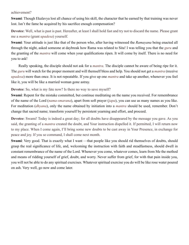achievement?

**Swami**: Though [Ekalavya](#page-68-2) lost all chance of using his skill, the character that he earned by that training was never lost. Isn't the fame he acquired by his sacrifice enough compensation?

**Devotee**: Well, what is past is past. Hereafter, at least I shall hold fast and try not to discard the name. Please grant me a *[mantra](#page-70-0)* (grant *[upadesa](#page-74-0)*) yourself.

**Swami**: Your attitude is just like that of the person who, after having witnessed the *[Ramayana](#page-72-1)* being enacted all through the night, asked someone at daybreak how [Rama](#page-72-2) was related to [Sita](#page-73-1)! I was telling you that the *[guru](#page-68-0)* and the granting of the *[mantra](#page-70-0)* will come when your qualifications ripen. It will come by itself. There is no need for you to ask!

Really speaking, the disciple should not ask for a *[mantra](#page-70-0)*. The disciple cannot be aware of being ripe for it. The *[guru](#page-68-0)* will watch for the proper moment and will themself bless and help. You should not get a *[mantra](#page-70-0)* (receive *[upadesa](#page-74-0)*) more than once. It is not repeatable. If you give up one *[mantra](#page-70-0)* and take up another, whenever you feel like it, you will be like a married woman gone astray.

**Devotee**: So, what is my fate now? Is there no way to save myself?

**Swami**: Repent for the mistake committed, but continue meditating on the name you received. For remembrance of the name of the Lord (*[nama-smarana](#page-71-3)*), apart from soft prayer (*[japa](#page-69-0)*), you can use as many names as you like. For meditation (*[dhyana](#page-68-4)*), only the name obtained by initiation into a *[mantra](#page-70-0)* should be used, remember. Don't change that sacred name; transform yourself by persistent yearning and effort, and proceed.

**Devotee**: Swami! Today is indeed a great day; for all doubts have disappeared by the message you gave. As you said, the granting of a *[mantra](#page-70-0)* created the doubt, and Your instruction dispelled it. If permitted, I will return now to my place. When I come again, I'll bring some new doubts to be cast away in Your Presence, in exchange for peace and joy. If you so command, I shall come next month.

**Swami**: Very good. That is exactly what I want —that people like you should rid themselves of doubts, should grasp the real significance of life, and, welcoming the instruction with faith and steadfastness, should dwell in constant remembrance of the name of the Lord. Whenever you come, whatever comes, learn from Me the method and means of ridding yourself of grief, doubt, and worry. Never suffer from grief, for with that pain inside you, you will not be able to do any spiritual exercises. Whatever spiritual exercise you do will be like rose water poured on ash. Very well, go now and come later.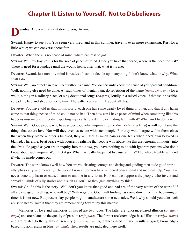#### **Chapter II. Listen to Yourself, Not to Disbelievers**

<span id="page-10-0"></span>evotee: A reverential salutation to you, Swami.

**Swami**: Happy to see you. You seem very tired, and in this summer, travel is even more exhausting. Rest for a little while; we can converse thereafter.

**Devotee**: When there is no peace of mind, where can rest be got?

**Swami**: Well my boy, rest is for the sake of peace of mind. Once you have that peace, where is the need for rest? There is need for a bandage until the wound heals; after that, what is its use?

**Devotee**: Swami, just now my mind is restless. I cannot decide upon anything. I don't know what or why. What shall I do?

**Swami**: Well, no effect can take place without a cause. You do certainly know the cause of your present condition. Well, nothing else need be done. At such times of mental pain, do repetition of the name (*[nama-smarana](#page-71-3)*) for a while, sitting in a solitary place, or sing devotional songs (*[bhajans](#page-66-0)*) loudly in a raised voice. If that isn't possible, spread the bed and sleep for some time. Thereafter you can think about all this.

**Devotee**: You have told us that in this world, each one has some dearly loved thing or other, and that if any harm came to that thing, peace of mind could not be had. Then how can I have peace of mind when something like this happens —someone either disrespecting my dearly loved thing or finding fault with it? What am I to do then?

**Swami**: Well. Good people who have understood what inquiry into the *[Atma](#page-66-1)* (*[Atma-vichara](#page-66-2)*) is will not blame the things that others love. Nor will they even associate with such people. For they would argue within themselves that when they blame another's beloved, they will feel as much pain as one feels when one's own beloved is blamed. Therefore, be at peace with yourself, realising that people who abuse like this are ignorant of inquiry into the *[Atma](#page-66-1)*. Engaged as you are in inquiry into the *[Atma](#page-66-1)*, you have nothing to do with ignorant persons who don't know about such inquiry. Well. Let it go. What has really happened to cause all this? The whole trouble will end if what is inside comes out.

**Devotee**: The world knows well how You are vouchsafing courage and daring and guiding men to do good spiritually, physically, and mentally. The world knows how You have rendered educational and medical help. You have never done any harm or caused harm to anyone in any form. How can we suppress the people who invent and spread all kinds of silly stories about such as You? Do they gain anything by this?

**Swami**: Oh. So this is the story! Well don't you know that good and bad are of the very nature of the world? If all are engaged in selling, who will buy? With regard to God, fault finding has come down from the beginning of time; it is not new. But present-day people might manufacture some new tales. Well, why should you take such abuse to heart? Take it that they are remembering Swami by this means!

Memories of love and memories of hatred are two types. The latter are ignorance-based illusion (*[a-vidya](#page-66-3)[maya](#page-66-3)*) and are related to the quality of passion (*[rajoguna](#page-72-3)*). The former are knowledge-based illusion (*[vidya-maya](#page-75-1)*) and are related to the quality of serenity (*[sathwa](#page-73-2)-guna*). Ignorance-based illusion results in grief; knowledgebased illusion results in bliss (*[ananda](#page-65-1)*). Their results are indicated there itself.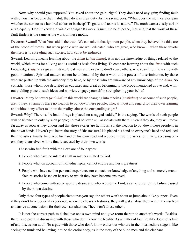Now, why should you suppress? You asked about the gain, right? They don't need any gain; finding fault with others has become their habit; they do it as their duty. As the saying goes, "What does the moth care or gain whether the sari costs a hundred tankas or is cheap? To gnaw and tear is its nature." The moth tears a costly sari or a rag equally. Does it know the value of things? Its work is such. So be at peace, realising that the work of these fault-finders is the same as the work of these moths.

**Devotee**: Swami! What You said is the truth. We can take it that ignorant people, when they behave like this, are of the brood of moths. But when people who are well educated, who are great, who know —when these devote themselves to spreading such stories, how can it be endured?

**Swami**: Learning means learning about the *[Atma](#page-66-1)* (*[Atma-jnana](#page-66-4)*); it is not the knowledge of things related to the world, which trains for a living and is useful as basis for a living. To compare learning about the *[Atma](#page-66-1)* with such knowledge (*[vidya](#page-75-2)*) is a great mistake. Great men are those who don't abuse others, who search for the reality with good intentions. Spiritual matters cannot be understood by those without the power of discrimination, by those who are puffed up with the authority they have, or by those who are unaware of any knowledge of the *[Atma](#page-66-1)*. So consider those whom you described as educated and great as belonging to the brood mentioned above and, without yielding place to such ideas and worries, engage yourself in strengthening your belief.

**Devotee**: Many believers (*[asthikas](#page-66-5)*) in this world are changing into atheists (*[nasthikas](#page-71-4)*) on account of such people, aren't they, Swami? Is there no weapon to put down these people, who, without any regard for their own learning and without any effort to know the reality, abuse the outstanding sages?

**Swami**: Why? There is. "A load of rags is placed on a ragged saddle," is the saying. The words of such people will be listened to only by such people; no real believer will associate with them. Even if they do, they will move far away as soon as they understand that those stories are fictitious. So, the weapon to put down these people is in their own hands. Haven't you heard the story of [Bhasmasura](#page-66-6)? He placed his hand on everyone's head and reduced them to ashes; finally, he placed his hand on his own head and reduced himself to ashes! Similarly, accusing others, they themselves will be finally accused by their own words.

Those who find fault with the Lord are of four types:

- 1. People who have no interest at all in matters related to God.
- 2. People who, on account of individual spite, cannot endure another's greatness.
- 3. People who have neither personal experience nor contact nor knowledge of anything and so merely manufacture stories based on hearsay to which they have become enslaved.
- 4. People who come with some worldly desire and who accuse the Lord, as an excuse for the failure caused by their own destiny.

Only these four types of people clamour as you say; the others won't shout or jump about like puppets. Even if they don't have personal experience, when they hear such stories, they will just analyse them within themselves and arrive at conclusions for their own satisfaction. They won't abuse others.

It is not the correct path to disbelieve one's own mind and give room therein to another's words. Besides, there is no profit in discussing with those who don't know the Reality. As a matter of fact, Reality does not admit of any discussion at all. To argue with those who don't know either but who are in the intermediate stage is like seeing the trunk and believing it to be the entire body, as in the story of the blind men and the elephant.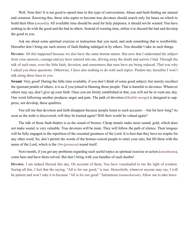Well. Note this! It is not good to spend time in this type of conversation. Abuse and fault-finding are natural and common. Knowing this, those who aspire to become true devotees should search only for bases on which to build their bliss (*[ananda](#page-65-1)*). All available time should be used for holy purposes; it should not be wasted. You have nothing to do with the good and the bad in others. Instead of wasting time, utilise it to discard the bad and develop the good in you.

Ask me about some spiritual exercise or instruction that you need, and seek something that is worthwhile. Hereafter don't bring me such stories of fault-finding indulged in by others. You shouldn't take in such things.

**Devotee**: All this happened because we also have the same human nature. But now that I understand the subject from your answers, courage and joy have entered into me, driving away the doubt and sorrow I had. Through the talk of such men, even the little faith, devotion, and earnestness that men have are being reduced. That was why I asked you these questions. Otherwise, I have also nothing to do with such topics. Pardon me; hereafter I won't talk along these lines to you.

**Swami**: Very good! During the little time available, if you don't think of some good subject, but merely recollect the ignorant prattle of others, it is as if you joined in blaming those people. That is harmful to devotees. Whatever others may say, don't give up your faith. Once you are firmly established in that, you will not be in want any day. One word following another produces anger and pain. The path of devotion (*[bhakthi-](#page-67-1)[marga](#page-70-1)*) is designed to suppress, not develop, these qualities.

You tell me that devotion and faith disappear because people listen to such accusers —but for how long? As soon as the truth is discovered, will they be trusted again? Will their words be valued again?

The talk of those fault-finders is as the sound of bronze. Cheap metals make more sound; gold, which does not make sound, is very valuable. True devotees will be mute. They will follow the path of silence. Their tongues will be fully engaged in the repetition of the essential greatness of the Lord. It is best that they have no respite for any other word. So, don't permit the words of the bronze-voiced people to enter your ears, but fill them with the name of the Lord, which is the *[Om](#page-71-5)* (*[pranava](#page-71-6)*) sound itself.

Next month, if you get any problems regarding such useful topics as spiritual exercise or action (*[anushtana](#page-65-2)*), come here and have them solved. But don't bring with you bundles of such doubts!

**Devotee**: I am indeed blessed this day. On account of them, You have vouchsafed to me the light of wisdom. Seeing all this, I feel that the saying, "All is for our good," is true. Henceforth, whatever anyone may say, I will be patient and won't take it in because "All is for our good." Salutations (*[namaskaram](#page-71-7)*). Allow me to take leave.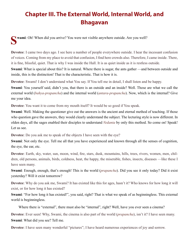#### <span id="page-13-0"></span>**Chapter III. The External World, Internal World, and Bhagavan**

**Swami**: Oh! When did you arrive? You were not visible anywhere outside. Are you well?

**Devotee**: I came two days ago. I see here a number of people everywhere outside. I hear the incessant confusion of voices. Coming from my place to avoid that confusion, I find here crowds also. Therefore, I came inside. There, it is fine, blissful, quiet. That is why I was inside the Hall. It is as quiet inside as it is restless outside.

**Swami**: What is special about this? It is natural. Where there is sugar, the ants gather —and between outside and inside, this is the distinction! That is the characteristic. That is how it is.

**Devotee**: Swami! I don't understand what You say. If You tell me in detail, I shall listen and be happy.

**Swami**: You yourself said, didn't you, that there is an outside and an inside? Well. Those are what we call the external world (*[bahya-prapancha](#page-67-2)*) and the internal world (*[antara-prapancha](#page-65-3)*). Now, which is the internal? Give me your idea.

**Devotee**: You want it to come from my mouth itself? It would be so good if You speak.

**Swami**: Well. Making the questioner give out the answers is the ancient and eternal method of teaching. If those who question gave the answers, they would clearly understand the subject. The lecturing style is now different. In olden days, all the sages enabled their disciples to understand *[Vedanta](#page-74-1)* by only this method. So come on! Speak! Let us see.

**Devotee**: Do you ask me to speak of the objects I have seen with the eye?

**Swami**: Not only the eye. Tell me all that you have experienced and known through all the senses of cognition, the eye, the ear, etc.

**Devotee**: Earth, sky, water, sun, moon, wind, fire, stars, dusk, mountains, hills, trees, rivers, women, men, children, old persons, animals, birds, coldness, heat, the happy, the miserable, fishes, insects, diseases —like these I have seen many.

**Swami**: Enough, enough, that's enough! This is the world (*[prapancha](#page-71-8)*). Did you see it only today? Did it exist yesterday? Will it exist tomorrow?

**Devotee**: Why do you ask me, Swami? It has existed like this for ages, hasn't it? Who knows for how long it will exist, or for how long it has existed?

**Swami**: "For how long it has existed!", you said, right? That is what we speak of as beginningless. This external world is beginningless.

Where there is "external", there must also be "internal", right? Well, have you ever seen a cinema?

**Devotee**: Ever seen! Why, Swami, the cinema is also part of the world (*[prapancha](#page-71-8)*), isn't it? I have seen many. **Swami**: What did you see? Tell me.

**Devotee**: I have seen many wonderful "pictures"; I have heard numerous experiences of joy and sorrow.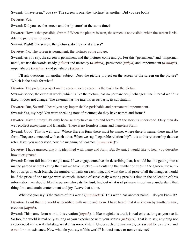**Swami**: "I have seen," you say. The screen is one; the "picture" is another. Did you see both?

**Devotee**: Yes.

**Swami**: Did you see the screen and the "picture" at the same time?

**Devotee**: How is that possible, Swami? When the picture is seen, the screen is not visible; when the screen is visible the picture is not seen.

**Swami**: Right! The screen, the pictures, do they exist always?

**Devotee**: No. The screen is permanent; the pictures come and go.

**Swami**: As you say, the screen is permanent and the pictures come and go. For this "permanent" and "impermanent", we use the words steady (*[sthira](#page-73-3)*) and unsteady (*[a-sthira](#page-66-7)*), permanent (*[nithya](#page-71-9)*) and impermanent (*[a-nithya](#page-65-4)*), imperishable (*[a-kshara](#page-65-5)*) and perishable (*[kshara](#page-69-1)*).

I'll ask questions on another subject. Does the picture project on the screen or the screen on the picture? Which is the basis for what?

**Devotee**: The pictures project on the screen, so the screen is the basis for the picture.

**Swami**: So too, the external world, which is like the picture, has no permanence; it changes. The internal world is fixed; it does not change. The external has the internal as its basis, its substratum.

**Devotee**: But, Swami! I heard you say imperishable-perishable and permanent-impermanent.

**Swami**: Yes, my boy! You were speaking now of pictures; do they have names and forms?

**Devotee**: Haven't they? It's only because they have names and forms that the story is understood. Only then do we recollect *[Ramayana](#page-72-1)* and [Bharatha](#page-66-8). There is no formless name and nameless form.

**Swami**: Good! That is well said! Where there is form there must be name; where there is name, there must be form. They are connected with each other. When we say, "separable relationship", it is to this relationship that we refer. Have you understood now the meaning of "cosmos (*[prapancha](#page-71-8)*)"?

**Devotee**: I have grasped that it is identified with name and form. But Swami, I would like to hear you describe how it originated.

**Swami**: Do not fall into the tangle now. If we engage ourselves in describing that, it would be like getting into a mango garden without eating the fruit we have plucked —calculating the number of trees in the garden, the number of twigs on each branch, the number of fruits on each twig, and what the total price of all the mangoes would be if the price of one mango were so much. Instead of senselessly wasting precious time in the collection of this information, we should, like the person who eats the fruit, find out what is of primary importance, understand that thing first, and attain contentment and joy. Leave that alone.

What did you say is the nature of this world (*[prapancha](#page-71-8)*)? This world has another name —do you know it?

**Devotee**: I said that the world is identified with name and form. I have heard that it is known by another name, creation (*[jagath](#page-68-5)*).

**Swami**: This name-form world, this creation (*[jagath](#page-68-5)*), is like magician's art: it is real only as long as you see it. So too, the world is real only as long as you experience with your senses (*[indriyas](#page-68-6)*). That is to say, anything not experienced in the wakeful stage is taken as non-existent. Under such circumstances, we say *[sat](#page-73-4)* for existence and *[a-sat](#page-65-6)* for non-existence. Now what do you say of this world? Is it existence or non-existence?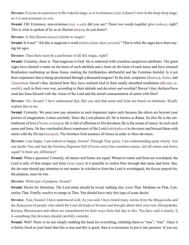**Devotee**: It exists in experience in the wakeful stage, so it is existence (*[sat](#page-73-4)*); it doesn't exist in the deep sleep stage, so it is non-existence (*[a-sat](#page-65-6)*).

**Swami**: Oh! Existence, non-existence (*[sat](#page-73-4)*, *[a-sat](#page-65-6)*), did you say? These two words together give *[sadasat](#page-72-4)*, right? This is what is spoken of by us as illusion (*[maya](#page-70-2)*), do you know?

**Devotee**: Is that illusion (*[maya](#page-70-2)*) similar to magic?

**Swami**: Is it not? "All this is magician's work (*indra-jalam idam sarvam*)." That is what the sages have been saying for ages.

**Devotee**: Then there must be a performer of all this magic, right?

**Swami**: Certainly, there is. That magician is God. He is endowed with countless auspicious attributes. The great sages have formed a name on the basis of each attribute and a form on the basis of each name and have attained Realisation meditating on those forms, making the Attributeless attributeful and the Formless formful. Is it not their experience that is being proclaimed through a thousand tongues? In the holy scriptures (*[Sastras](#page-73-0)*), *[Vedas](#page-75-0)*, and *[Upanishads](#page-74-2)* haven't they declared how they have realised God in their totally absorbed meditation (*[dhyana](#page-68-4) [sa](#page-72-5)[madhi](#page-72-5)*), each in their own way, according to their attitude and devotion and worship? Haven't they declared how each has been blessed with the vision of the Lord and the actual consummation of union with Him?

**Devotee**: Yes. Swami! I have understood that. But you said that name and form are based on attributes. Kindly explain this to me.

**Swami**: Certainly. We must now pay attention to such important topics only because the others are beyond your powers of imagination. Listen carefully. Since the Lord pleases all, He is known as [Rama.](#page-72-2) So also He is the embodiment of love (*[Prema-swarupa](#page-71-10)*); He is full of affection to His devotees; He is the ocean of mercy. In each such name and form, He has vouchsafed direct experience of the Lord (*[sakshatkara](#page-72-6)*) to devotees and blessed them with union with the Divine (*[sayujya](#page-73-5)*). The formless God assumes all forms in order to bless devotees.

**Devotee**: I am happy. I am indeed so happy, Swami! Through Your grace, I am understanding quite clearly. Just one doubt: You said that the formless Supreme Self (*[Param-atma](#page-71-0)*) has countless names. Are all names and forms equal? Is there any difference?

**Swami**: What a question! Certainly, all names and forms are equal. Whatever name and form are worshiped, the Lord is only of that unique real form (*[swa-rupa](#page-73-6)*). It is possible to realise Him through that name and form. But, the devotee should pay attention to one matter. In whichever form the Lord is worshipped, the favour prayed for, the purpose, must be one.

**Devotee**: What type of purpose, Swami?

**Swami**: Desire for liberation. The Lord alone should be loved, nothing else. Love That. Meditate on That. Concretise That. Finally, resolve to merge in That. You should have only this type of acute desire.

**Devotee**: True, Swami! I have understood well. As you said, I have heard many stories from the *[Bhagavatha](#page-66-9)* and the *[Ramayana](#page-72-1)* of people who asked the Lord all kinds of favours and brought about their own ruin. [Hiranyaksha,](#page-68-7) [Ravana](#page-72-7), [Bhasmasura](#page-66-6) and others are remembered for their ways from that day to this. You have said it clearly. It is something that devotees should carefully consider.

**Swami**: Well! There is no use simply nodding the head for everything, relishing them as "true", "true". Once it is firmly fixed in your heart that this is true and this is good, then it is necessary to put it into practice. If you say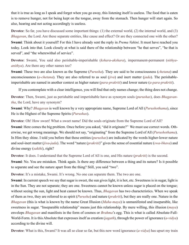that it is true as long as I speak and forget when you go away, this listening itself is useless. The food that is eaten is to remove hunger, not for being kept on the tongue, away from the stomach. Then hunger will start again. So also, hearing and not acting accordingly is useless.

**Devotee**: So far, you have discussed some important things: (1) the external world, (2) the internal world, and (3) *[Bhagavan](#page-66-10)*, the Lord. Are these separate entities, like cause and effect? Or are they connected one with the other? **Swami**: Think about it yourself! For this I have already sent the reply in *Prema Vahini*. It must have reached you today. Look into that. Look closely at what is said there of the relationship between "he that serves", "he that is served", and "the wherewithal of service".

**Devotee**: Swami, You said also perishable-imperishable (*[kshara](#page-69-1)*-*[akshara](#page-65-5)*), impermanent-permanent (*[nithya](#page-71-9)[anithya](#page-65-4)*). Are there any other names too?

**Swami**: These two are also known as the Supreme (*[Purusha](#page-72-8)*). They are said to be consciousness (*[chetana](#page-67-3)*) and unconsciousness (*[a-chetana](#page-65-7)*). They are also referred to as soul (*[jiva](#page-69-2)*) and inert matter (*[jada](#page-68-8)*). The perishableimperishable are named in another context as higher nature (*[para-prakriti](#page-71-11)*) and lower nature (*[a-para-prakriti](#page-65-8)*).

If you contemplate with a clear intelligence, you will find that only names change; the thing does not change.

**Devotee**: Then, Swami, just as perishable and imperishable have as synonym souls (*[purushas](#page-72-9)*), does *[Bhagavan](#page-66-11)[tha](#page-66-11)*, the Lord, have any synonym?

**Swami**: Why? *[Bhagavan](#page-66-10)* is well known by a very appropriate name, Supreme Lord of All (*[Purushothama](#page-72-10)*), since He is the Highest of the Supreme Spirits (*[Purushas](#page-72-8)*).

**Devotee**: Oh! How sweet! What a sweet name! Did the souls originate from the Supreme Lord of All?

**Swami**: Here comes the big problem. Once before you asked, "did it originate?" We must use correct words. Otherwise, we get wrong meanings. We should not say, "originating" from the Supreme Lord of All (*[Purushothama](#page-72-10)*). In Him they shine. I told you before that these entities (*[purushas](#page-72-9)*) are indicated by the words higher-lower nature and soul-inert matter (*[jiva](#page-69-2)*-*[jada](#page-68-8)*). The word "nature (*[prakriti](#page-71-12)*)" gives the sense of essential nature (*[swa-bhava](#page-73-7)*) and divine energy (*[sakthi](#page-72-11)*), right?

**Devotee**: It does. I understand that the Supreme Lord of All is one, and His nature (*[prakriti](#page-71-12)*) is the second.

**Swami**: No. You are mistaken. Think again. Is there any difference between a thing and its nature? Is it possible to separate and see the nature apart from the thing? Still, you said "two".

**Devotee**: It's a mistake, Swami. It's wrong. No one can separate them. The two are one.

**Swami**: In current speech we say that sugar is sweet, the sun gives light, it is hot, etc. Sweetness is in sugar, light is in the Sun. They are not separate; they are one. Sweetness cannot be known unless sugar is placed on the tongue; without seeing the sun, light and heat cannot be known. Thus, *[Bhagavan](#page-66-10)* has two characteristics. When we speak of them as two, they are referred to as spirit (*[Purusha](#page-72-8)*) and nature (*[prakriti](#page-71-12)*), but they are really one. Nature in the *[Bhagavan](#page-66-10)* (this is what is known by the name Great Illusion (*[Maha-maya](#page-70-3)*) is unmanifested and inseparable, like sweetness in sugar. "Inseparable relationship" means just this relationship. By mere willing, this illusion (*[maya](#page-70-2)*) envelops *[Bhagavan](#page-66-10)* and manifests in the form of cosmos or *[Brahma](#page-67-4)*'s egg. This is what is called Absolute-Full-World-Form. It is this Absolute that expresses itself as creation (*[jagath](#page-68-5)*), through the power of ignorance (*[a-vidya](#page-66-12)*) according to the divine will.

**Devotee**: What is this, Swami? It was all so clear so far, but this new word ignorance (*[a-vidya](#page-66-12)*) has upset my train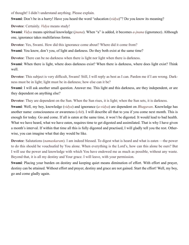of thought! I didn't understand anything. Please explain.

**Swami**: Don't be in a hurry! Have you heard the word "education (*[vidya](#page-75-2)*)"? Do you know its meaning?

**Devotee**: Certainly. *[Vidya](#page-75-2)* means study!

**Swami**: *[Vidya](#page-75-2)* means spiritual knowledge (*[jnana](#page-69-3)*). When "a" is added, it becomes *[a-jnana](#page-65-9)* (ignorance). Although one, ignorance takes multifarious forms.

**Devotee**: Yes, Swami. How did this ignorance come about? Where did it come from?

**Swami**: You know, don't you, of light and darkness. Do they both exist at the same time?

**Devotee**: There can be no darkness when there is light nor light when there is darkness.

**Swami**: When there is light, where does darkness exist? When there is darkness, where does light exist? Think well.

**Devotee**: This subject is very difficult, Swami! Still, I will reply as best as I can. Pardon me if I am wrong. Darkness must be in light; light must be in darkness; how else can it be?

**Swami**: I will ask another small question. Answer me. This light and this darkness, are they independent, or are they dependent on anything else?

**Devotee**: They are dependent on the Sun. When the Sun rises, it is light; when the Sun sets, it is darkness.

**Swami**: Well, my boy, knowledge (*[vidya](#page-75-2)*) and ignorance (*[a-vidya](#page-66-12)*) are dependent on *[Bhagavan](#page-66-10)*. Knowledge has another name: consciousness or awareness (*[chit](#page-67-5)*). I will describe all that to you if you come next month. This is enough for today. Go and come. If all is eaten at the same time, it won't be digested. It would lead to bad health. What we have heard, what we have eaten, requires time to get digested and assimilated. That is why I have given a month's interval. If within that time all this is fully digested and practised, I will gladly tell you the rest. Otherwise, you can imagine what that day would be like.

**Devotee**: Salutations (*[namaskaram](#page-71-7)*). I am indeed blessed. To digest what is heard and what is eaten —the power to do this should be vouchsafed by You alone. When everything is the Lord's, how can this alone be ours? But I will use the power and knowledge with which You have endowed me as much as possible, without any waste. Beyond that, it is all my destiny and Your grace. I will leave, with your permission.

**Swami**: Placing your burden on destiny and keeping quiet means diminution of effort. With effort and prayer, destiny can be attained. Without effort and prayer, destiny and grace are not gained. Start the effort! Well, my boy, go and come gladly again.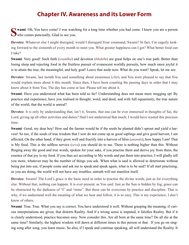#### **Chapter IV. Awareness and its Lower Form**

<span id="page-18-0"></span>**Swami**: Oh, You have come! I was watching for a long time whether you had come. I knew you are a person who comes punctually. Glad to see you.

**Devotee**: Whatever else I might disregard, would I disregard Your command, Swami? In fact, I'm eagerly looking forward to the sixteenth of every month to meet you. What greater happiness can I get? What better food can I take?

**Swami**: Very good! Such faith (*[sraddha](#page-73-8)*) and devotion (*[bhakthi](#page-67-1)*) are great helps on one's true path. Better than losing sleep and rejecting food in the fruitless pursuit of evanescent worldly pursuits, how much more joyful it is to attain the true, the meaningful, and holy goal! Leave that aside now. What do you want? Speak, let me see.

**Devotee**: Swami, last month You said something about awareness (*[chit](#page-67-5)*), and You were pleased to say that You would explain more about it this month. Since then, I have been counting the passing days in order that I may know about it from You. The day has come at last. Please tell me about it.

**Swami**: Have you understood what has been told so far? Understanding does not mean mere mugging up! By practice and experience, have you realised in thought, word, and deed, and with full equanimity, the true nature of the world, that the world is unreal?

**Devotee**: It is only by understanding that, isn't it, Swami, that one can be ever immersed in thoughts of Sai, the Lord, giving up all other activities and duties? Had I not understood that much, I would have wasted this precious time.

**Swami**: Good, my dear boy! How sad the farmer would be if the seeds he planted didn't sprout and yield a harvest! So too, if the seeds of true wisdom that I sow do not come up as good saplings and give good harvest, I am affected. On the other hand, if they grow well and fructify into a harvest of bliss (*[ananda](#page-65-1)*), how happy I am! That is My food. This is the selfless service (*[seva](#page-73-9)*) you should do to me. There is nothing higher than this. Without flinging away the good and true words, spoken for your sake, if you practise them and derive joy from them, the essence of that joy is my food. If you thus act according to My words and put them into practice, I will gladly tell you more, whatever may be the number of things you ask. When what is said is allowed to deteriorate without being put into use, if people come and ask me to speak and speak again, what is to be said? If all start practising, as you are doing, the world will not have any troubles; untruth will not manifest itself.

**Devotee**: Swami! The Lord's grace is the basic need in order to practise the divine words, just as for everything else. Without that, nothing can happen. It is ever present, as You said. Just as the Sun is hidden by fog, grace can be obstructed by the darkness of "I" and "mine". But these can be overcome by practice and discipline. That is why, if we understand well the meaning of what we hear and follow, it is so easy. This is my experience; I don't know of others.

**Swami**: True. True. What you say is correct. You have understood it well. Without grasping the meaning, if various interpretations are given, that distorts Reality. And if a wrong sense is imputed, it falsifies Reality. But if it is clearly understood, practice becomes easy. Now consider this. Are all born at the same time? Do all die at the same time? Similarly, the highest wisdom will dawn at different times in this person or that. If you go on singing song after song, you learn music. So also, if I speak and continue speaking, all will understand the Reality. It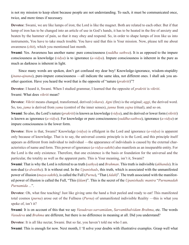is not my mission to keep silent because people are not understanding. To such, it must be communicated once, twice, and more times if necessary.

**Devotee**: Swami, we are like lumps of iron; the Lord is like the magnet. Both are related to each other. But if that lump of iron has to be changed into an article of use in God's hands, it has to be heated in the fire of anxiety and beaten by the hammer of pain, so that it may obey and respond. So, in order to shape lumps of iron like us into instruments, You have to take much trouble. You have said that this is Your mission. Now, please tell me about awareness (*[chit](#page-67-5)*), which you mentioned last month.

**Swami**: Yes. Awareness has another name: pure consciousness (*[suddha](#page-73-10) [sathwa](#page-73-2)*). It is as opposed to the impure consciousness as knowledge (*[vidya](#page-75-2)*) is to ignorance (*[a-vidya](#page-66-12)*). Impure consciousness is inherent in the pure as much as darkness is inherent in light.

Since many words are spoken, don't get confused my dear boy! Knowledge-ignorance, wisdom-stupidity (*[jnana](#page-69-3)*-*[ajnana](#page-65-9)*), pure-impure consciousness —all indicate the same idea, not different ones. I shall ask you another question. Have you heard the word that is the opposite of "nature (*[prakriti](#page-71-12)*)"?

**Devotee**: I heard it, Swami. When I studied grammar, I learned that the opposite of *[prakriti](#page-71-12)* is *[vikriti](#page-75-3)*. Swami: What does *[vikriti](#page-75-3)* mean?

**Devotee**: *[Vikriti](#page-75-3)* means changed, transformed, derived (*[vikara](#page-75-4)*). *[Agni](#page-65-10)* (fire) is the original; *aggi*, the derived word. So, too, *jama* is derived from *[yama](#page-75-5)* (control of the inner senses), *janna* from *[yajna](#page-75-6)* (ritual), and so on.

**Swami**: So also, the Lord's nature (*[prakriti](#page-71-12)*) is known as knowledge (*[vidya](#page-75-2)*), and its derived or lower form (*[vikriti](#page-75-3)*) is known as ignorance (*[a-vidya](#page-66-12)*). For knowledge or pure consciousness (*[suddha](#page-73-10)*-*[sathwa](#page-73-2)*), ignorance (*[a-vidya](#page-66-12)*) or impure consciousness is the lower form.

**Devotee**: How is that, Swami? Knowledge (*[vidya](#page-75-2)*) is effulgent in the Lord and ignorance (*[a-vidya](#page-66-12)*) is apparent only because of knowledge. That is to say, the universal cosmic principle is in the Lord, and this principle itself appears as different from individual to individual —the appearance of individuals is caused by the external characteristics of name and form. This power of ignorance (*[a-vidya](#page-66-12)*-*[sakthi](#page-72-11)*) also manifests as an inseparable entity. For the Lord is the only existence. Therefore, that one existence is the basis or foundation for the universal and the particular, the totality as well as the apparent parts. This is Your meaning, isn't it, Swami?

**Swami**: That is why the Lord is referred to as truth (*[sathya](#page-73-11)*) and *[Brahman](#page-67-6)*. This truth is indivisible (*[akhanda](#page-65-11)*). It is non-dual (*[a-dwaitha](#page-65-12)*). It is without end. In the *[Upanishads](#page-74-2)*, this truth, which is associated with the unmanifested power of illusion (*[maya](#page-70-2)*-*[sakthi](#page-72-11)*), is called the Full (*[Purna](#page-71-13)*), "That (*[Adah](#page-65-13)*)". The truth associated with the manifested power of illusion is called the Full, "This (*[Idam](#page-68-9)*)". This is the secret of the *[Upanishadic](#page-74-3) [mantra](#page-70-0)* "*Purnamadah Purnamida ...*".

**Devotee**: Oh, what fine teaching! Just like giving unto the hand a fruit peeled and ready to eat! This manifested total cosmos (*[purna](#page-71-13)*) arose out of the Fullness (*[Purna](#page-71-13)*) of unmanifested indivisible Reality —this is what you spoke of, isn't it?

**Swami**: It is on account of this that we say *Vasudevas-sarvamidam*, *Sarvamkhalvidam Brahma*, etc. The words *[Vasudeva](#page-74-4)* and *[Brahma](#page-67-4)* are different, but there is no difference in meaning at all. Did you understand?

**Devotee**: It is all like nectar, Swami. But so far, you haven't told me who I am.

**Swami**: This is enough for now. Next month, I 'll solve your doubts with illustrative examples. Grasp well what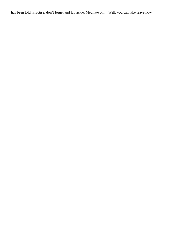has been told. Practise; don't forget and lay aside. Meditate on it. Well, you can take leave now.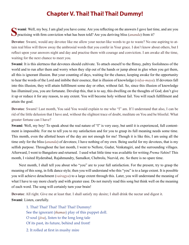#### **Chapter V. Thai! Thai! Thai! Dummy!**

<span id="page-21-0"></span>**Swami**: Well, my boy, I am glad you have come. Are you reflecting on the answers I gave last time, and are you practising with firm conviction what has been told? Are you deriving bliss (*[ananda](#page-65-1)*) from it?

**Devotee**: Swami, would any devotee like me allow your nectar-like words to go to waste? No one aspiring to attain real bliss will throw away the ambrosial words that you confer in Your grace. I don't know about others, but I reflect upon your answers night and day and practise them with courage and conviction. I am awake all the time, waiting for the next chance to meet you.

**Swami**: It is this alertness that devotees should cultivate. To attach oneself to the flimsy, paltry foolishness of the world and to run after them and worry when they slip out of the hands or jump about in glee when you get them, all this is ignorant illusion. But your counting of days, waiting for the chance, keeping awake for the opportunity to hear the words of the Lord and imbibe their essence, that is illusion of knowledge (*[vidya-maya](#page-75-1)*). If devotees fall into this illusion, they will attain fulfillment some day or other, without fail. So, since this illusion of knowledge has illumined you, you are fortunate. Develop this, that is to say, this dwelling on the thoughts of God; don't give it up or reduce it for any reason, to any extent. You will become holy without fail. You will reach fulfillment and attain the goal.

**Devotee**: Swami! Last month, You said You would explain to me who "I" am. If I understand that also, I can be rid of the little delusion that I have and, without the slightest trace of doubt, meditate on You and be blissful. What greater fortune can I have?

**Swami**: Well, my boy! To speak about the real nature of "I" is very easy, but until it is experienced, full contentment is impossible. For me to tell you to my satisfaction and for you to grasp its full meaning needs some time. This month, even the allotted hours of the day are not enough for me! Though it is like this, I am using all the time only for the bliss (*[ananda](#page-65-1)*) of devotees; I have nothing of my own. Being useful for my devotees, that is my selfish purpose. Throughout the last month, I went to Nellore, Gudur, Venkatagiri, and the surrounding villages. Afterward, I went to Bangalore and returned. I used what little time was available for writing *Prema Vahini*! This month, I visited Hyderabad, Rajahmundry, Samalkot, Chebrolu, Nuzvid, etc. So there is no spare time.

Next month, I shall tell you about who "you" are to your full satisfaction. For the present, try to grasp the meaning of this song, in folk dance style; then you will understand who this "you" is to a large extent. It is possible you will achieve detachment (*[vairagya](#page-74-5)*) to a large extent through this. Later, you will understand the meaning of what I have to say more clearly and with greater ease. Do not merely read this song but think well on the meaning of each word. The song will certainly turn your brain!

**Devotee**: All right. Give me at least that. I shall satisfy my desire; I shall drink the nectar and digest it. **Swami**: Listen, carefully.

1. Thai! Thai! Thai! Thai! Thai! Dummy! See the ignorant (*[thamas](#page-74-6)*) play of this puppet doll. O soul (*[jiva](#page-69-2)*), listen to the long long tale Of its past, its future, behind and front!

2. It rolled at first in mushy mire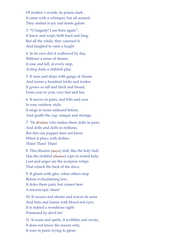Of mother's womb, its prison dark. It came with a whimper, but all around They smiled in joy and feasts galore.

3. "O tragedy! I am born again", It knew and wept, both loud and long. But all the while, they caressed it And laughed to raise a laugh!

4. In its own dirt it wallowed by day, Without a sense of shame; It rose and fell, at every step, Acting daily a childish play.

5. It runs and skips with gangs of chums And learns a hundred tricks and trades; It grows so tall and thick and broad; From year to year, very fast and fair.

6. It moves in pairs, and bills and coos In rosy rainbow style; It sings in tunes unheard before, And quaffs the cup, unique and strange.

7. 'Tis *[Brahma](#page-67-4)* who makes these dolls in pairs And dolls and dolls in millions, But this our puppet does not know When it plays with dollies: Thim! Thim! Thim!

8. This illusion (*[maya](#page-70-2)*) doll, like the holy bull, Has the slothful (*[thamas](#page-74-6)*) rope in nostril hole; Lust and anger are the scorpion whips That whack the back of the slave.

9. It gloats with glee, when others stop Before it shuddering low; It doles them pain; but cannot bear A microscopic share!

10. It swears and shouts and waves its arms And frets and fumes with blood-red eyes; It is indeed a wondrous sight-Possessed by devil ire!

11. It scans and spells, it scribbles and swots, It does not know the reason why, It runs in panic trying to glean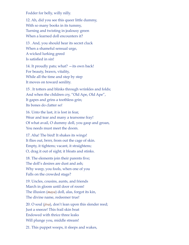Fodder for belly, willy nilly.

12. Ah, did you see this queer little dummy, With so many books in its tummy, Turning and twisting in jealousy green When a learned doll encounters it?

13 . And, you should hear its secret cluck When a shameful sensual urge, A wicked lurking greed Is satisfied in sin!

14. It proudly pats; what? —its own back! For beauty, brawn, vitality, While all the time and step by step It moves on toward senility.

15 . It totters and blinks through wrinkles and folds; And when the children cry, "Old Ape, Old Ape", It gapes and grins a toothless grin; Its bones do clatter so!

16. Unto the last, it is lost in fear, Wear and tear and many a tearsome fray! Of what avail, O dummy doll, you gasp and groan, You needs must meet the doom.

17. Aha! The bird! It shakes its wings! It flies out, brrrr, from out the cage of skin. Empty, it tightens; vacant, it straightens; O, drag it out of sight; it bloats and stinks.

18. The elements join their parents five; The doll's desires are dust and ash; Why weep, you fools, when one of you Falls on the crowded stage?

19. Uncles, cousins, aunts, and friends March in gloom until door of room! The illusion (*[maya](#page-70-2)*) doll, alas, forgot its kin, The divine name, redeemer true!

20. O soul (*[jiva](#page-69-2)*), don't lean upon this slender reed; Just a sneeze! This frail skin boat Endowed with thrice three leaks Will plunge you, middle stream!

21. This puppet weeps, it sleeps and wakes,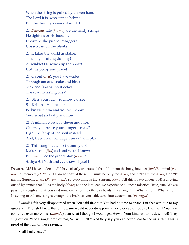When the string is pulled by unseen hand The Lord it is, who stands behind, But the dummy swears, it is I, I, I.

22. *[Dharma](#page-67-0)*, fate (*[karma](#page-69-4)*) are the hardy strings He tightens or He loosens. Unaware, the puppet swaggers Criss-cross, on the planks.

23. It takes the world as stable, This silly strutting dummy! A twinkle! He winds up the show! Exit the pomp and pride!

24. O soul (*[jiva](#page-69-2)*), you have waded Through ant and snake and bird; Seek and find without delay, The road to lasting bliss!

25. Bless your luck! You now can see Sai Krishna, He has come! Be kin with him and you will know Your what and why and how.

26. A million words so clever and nice, Can they appease your hunger's maw? Light the lamp of the soul instead, And, freed from bondage, run out and play.

27. This song that tells of dummy doll Makes soul (*[jiva](#page-69-2)*) sad and wise! I know; But (*[jiva](#page-69-2)*)! See the grand play (*[leela](#page-70-4)*) of Sathya Sai Nath and . . . know Thyself!

**Devotee**: Ah! I have understood! I have clearly understood that "I" am not the body, intellect (*[buddhi](#page-67-7)*), mind (*[ma](#page-70-5)[nas](#page-70-5)*), or memory (*[chittha](#page-67-8)*). If I am not any of these, "I" must be only the *[Atma](#page-66-1)*, and if "I" am the *[Atma](#page-66-1)*, then "I" am the Supreme *[Atma](#page-66-1)* (*[Param-atma](#page-71-0)*), so everything is the Supreme *[Atma](#page-66-1)*! All this I have understood! Believing out of ignorance that "I" is the body (*[deha](#page-67-9)*) and the intellect, we experience all these miseries. True, true. We are passing through all that you said now, one after the other, as beads in a string. Oh! What a truth! What a truth! Listening to this one song is enough; the brain, as you said, turns into detachment (*[vairagya](#page-74-5)*).

Swami! I felt very disappointed when You said first that You had no time to spare. But that was due to my ignorance. Though I knew that our Swami would never disappoint anyone or cause trouble, I feel as if You have conferred even more bliss (*[ananda](#page-65-1)*) than what I thought I would get. How is Your kindness to be described! They sing of you, "For a single drop of tear, Sai will melt." And they say you can never bear to see us suffer. This is proof of the truth of these sayings.

Shall I take leave?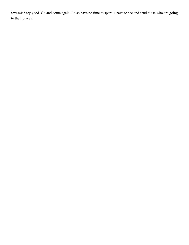**Swami**: Very good. Go and come again. I also have no time to spare. I have to see and send those who are going to their places.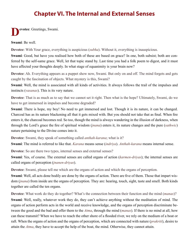#### **Chapter VI. The Internal and External Senses**

### <span id="page-26-0"></span>**Devotee**: Greetings, Swami.

**Swami**: Be well.

**Devotee**: With Your grace, everything is auspicious (*[subha](#page-73-12)*). Without it, everything is inauspicious.

**Swami**: Good, but have you realised how both of these are based on grace? In one, both subsist; both are conferred by the self-same grace. Well, let that topic stand by. Last time you had a folk poem to digest, and it must have affected your thoughts deeply. In what stage of equanimity is your brain now?

**Devotee**: Ah. Everything appears as a puppet show now, Swami. But only on and off. The mind forgets and gets caught by the fascination of objects. What mystery is this, Swami?

**Swami**: Well, the mind is associated with all kinds of activities. It always follows the trail of the impulses and instincts (*[vasanas](#page-74-7)*). This is its very nature.

**Devotee**: That is as much as to say that we cannot set it right. Then what is the hope? Ultimately, Swami, do we have to get immersed in impulses and become degraded?

**Swami**: There is hope, my boy! No need to get immersed and lost. Though it is its nature, it can be changed. Charcoal has as its nature blackening all that it gets mixed with. But you should not take that as final. When fire enters it, the charcoal becomes red. So too, though the mind is always wandering in the illusion of darkness, when through the Lord's grace the fire of spiritual wisdom (*[jnana](#page-69-3)*) enters it, its nature changes and the pure (*[sathwic](#page-73-13)*) nature pertaining to the Divine comes into it.

**Devotee**: Swami, they speak of something called *[anthah-karana](#page-65-14)*; what is it?

**Swami**: The mind is referred to like that. *Karana* means sense (*[indriya](#page-68-6)*). *[Anthah-karana](#page-65-14)* means internal sense.

**Devotee**: So are there two types, internal senses and external senses?

**Swami**: Yes, of course. The external senses are called organs of action (*[karmen-driyas](#page-69-5)*); the internal senses are called organs of perception (*[jnanen-driyas](#page-69-6)*).

**Devotee**: Swami, please tell me which are the organs of action and which the organs of perception.

**Swami**: Well, all acts done bodily are done by the organs of action. There are five of them. Those that impart wisdom (*[jnana](#page-69-3)*) from inside are the organs of perception. They are: hearing, touch, sight, taste and smell. Both kinds together are called the ten organs.

**Devotee**: What work do they do together? What's the connection between their function and the mind (*[manas](#page-70-5)*)?

**Swami**: Well, really, whatever work they do, they can't achieve anything without the meditation of mind. The organs of action perform acts in the world and receive knowledge, and the organs of perception discriminate between the good and the bad and offer them to the *[Atma](#page-66-1)*, through the mind (*[manas](#page-70-5)*). If there is no mind at all, how can these transmit? When we have to reach the other shore of a flooded river, we rely on the medium of a boat or raft. When the organs of action and the organs of perception, which are connected with nature (*[prakriti](#page-71-12)*), desire to attain the *[Atma](#page-66-1)*, they have to accept the help of the boat, the mind. Otherwise, they cannot attain.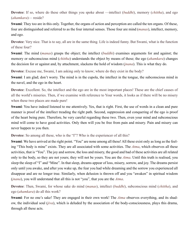**Devotee**: If so, where do these other things you spoke about —intellect (*[buddhi](#page-67-7)*), memory (*[chittha](#page-67-8)*), and ego (*[ahamkara](#page-65-15)*)— reside?

**Swami**: They too are in this only. Together, the organs of action and perception are called the ten organs. Of these, four are distinguished and referred to as the four internal senses. Those four are mind (*[manas](#page-70-5)*), intellect, memory, and ego.

**Devotee**: Very nice. That is to say, all are in the same thing. Life is indeed funny. But Swami, what is the function of these four?

**Swami**: The mind (*[manas](#page-70-5)*) grasps the object; the intellect (*[buddhi](#page-67-7)*) examines arguments for and against; the memory or subconscious mind (*[chittha](#page-67-8)*) understands the object by means of these; the ego (*[ahamkara](#page-65-15)*) changes the decision for or against and, by attachment, slackens the hold of wisdom (*[jnana](#page-69-3)*). This is what they do.

**Devotee**: Excuse me, Swami, I am asking only to know; where do they exist in the body?

**Swami**: I am glad; don't worry. The mind is in the cupola, the intellect in the tongue, the subconscious mind in the navel, and the ego in the heart.

**Devotee**: Excellent. So, the intellect and the ego are in the most important places! These are the chief causes of all the world's miseries. Then, if we examine with reference to Your words, it looks as if there will be no misery when these two places are made pure!

**Swami**: You have indeed listened to me attentively. Yes, that is right. First, the use of words in a clean and pure manner is proof of the intellect treading the right path. Second, suppression and conquering of the ego is proof of the heart being pure. Therefore, be very careful regarding these two. Then, even your mind and subconscious mind will come to have good activities. Only then will you be free from pain and misery. Pain and misery can never happen to you then.

**Devotee**: So among all these, who is the "I"? Who is the experiencer of all this?

**Swami**: We have arrived at the right point. "You" are none among all these! All these exist only as long as the feeling "This body is mine" exists. They are all associated with some activities. The *[Atma](#page-66-1)*, which observes all these activities, that is "You". The joy and sorrow, the loss and misery, the good and bad of these activities are all related only to the body, so they are not yours; they will not be yours. You are the *[Atma](#page-66-1)*. Until this truth is realised, you sleep the sleep of "I" and "Mine". In that sleep, dreams appear of loss, misery, sorrow, and joy. The dreams persist only until you awake, and after you wake up, the fear you had while dreaming and the sorrow you experienced all disappear and are no longer true. Similarly, when delusion is thrown off and you "awaken" in spiritual wisdom (*[jnana](#page-69-3)*), you will understand that all this is not "you", that you are the *[Atma](#page-66-1)*.

**Devotee**: Then, Swami, for whose sake do mind (*[manas](#page-70-5)*), intellect (*[buddhi](#page-67-7)*), subconscious mind (*[chittha](#page-67-8)*), and ego (*[ahamkara](#page-65-15)*) do all this work?

**Swami**: For no one's sake! They are engaged in their own work! The *[Atma](#page-66-1)* observes everything, and its shadow, the individual soul (*[jiva](#page-69-2)*), which is deluded by the association of the body-consciousness, plays this drama, through all these acts.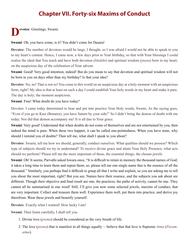#### **Chapter VII. Forty-six Maxims of Conduct**

<span id="page-28-0"></span>**Devotee**: Greetings, Swami.

**Swami**: Oh, you have come, is it? You didn't come for Dasara!

**Devotee**: The number of devotees would be large, I thought, so I was afraid I would not be able to speak to you to my heart's content. Hence, I came now, a few days prior to Your birthday, so that with Your blessings I could realise the ideal that You teach and have both devotion (*[bhakthi](#page-67-1)*) and spiritual wisdom (*[jnana](#page-69-3)*) born in my heart, on the auspicious day of the celebration of Your advent.

**Swami**: Good! Very good intention, indeed! But do you mean to say that devotion and spiritual wisdom will not be born in you on days other than my birthday? Is that your idea?

**Devotee**: No, no! That is not so! You come to this world on an auspicious day at a holy moment with an auspicious form, right? My idea is that at least on such a day I could establish Your holy words in my heart and make it pure. The day is holy; the moment auspicious.

**Swami**: Fine! What doubt do you have today?

Devotee: I came today determined to hear and put into practice Your Holy words, Swami. As the saying goes, "Even if you go to Kasi (Benares), you have Saturn by your side!" So I didn't bring the demon of doubt with me today. Nor did that demon accompany me! It is all due to Your grace.

**Swami**: Very good! Understand that when doubts do not come of themselves and are not entertained by you, then indeed the mind is pure. When these two happen, it can be called one-pointedness. When you have none, why should I remind you of doubts? Then tell me, what shall I speak to you about?

**Devotee**: Swami, tell me how we should, generally, conduct ourselves. What qualities should we possess? Which type of subjects should we try to understand? To receive divine grace and attain Your Holy Presence, what acts should we perform? Please tell me the more important of these, the essential things, the chosen jewels.

**Swami**: Oh! It seems, [Parvathi](#page-71-14) asked [Iswara](#page-68-10) once, "It is difficult to retain in memory the thousand names of God; it takes a long time to learn them and repeat them; so, please tell me one single name that is the essence of all the thousand." Similarly, you perhaps find it difficult to grasp all that I write and explain, so you are asking me to tell you about the most important, right? But you see, Names have their essence, and the subjects you ask about are different. Though their objective and final result are one, the practices, the paths of activity, cannot be one. They cannot all be summarised in one word! Still, I'll give you now some selected jewels, maxims of conduct, that are very important. Collect and treasure them well. Experience them well, put them into practice, and derive joy therefrom. Wear these jewels and beautify yourself.

**Devotee**: Exactly what I wanted! How lucky I am!

**Swami**: Then listen carefully, I shall tell you.

- 1. Divine love (*[prema](#page-71-15)*) should be considered as the very breath of life.
- 2. The love (*[prema](#page-71-15)*) that is manifest in all things equally —believe that that love is Supreme *[Atma](#page-66-1)* (*[Param](#page-71-0)[atma](#page-71-0)*).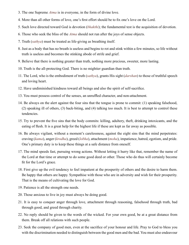- 3. The one Supreme *[Atma](#page-66-1)* is in everyone, in the form of divine love.
- 4. More than all other forms of love, one's first effort should be to fix one's love on the Lord.
- 5. Such love directed toward God is devotion (*[bhakthi](#page-67-1)*); the fundamental test is the acquisition of devotion.
- 6. Those who seek the bliss of the *[Atma](#page-66-1)* should not run after the joys of sense objects.
- 7. Truth (*[sathya](#page-73-11)*) must be treated as life-giving as breathing itself.
- 8. Just as a body that has no breath is useless and begins to rot and stink within a few minutes, so life without truth is useless and becomes the stinking abode of strife and grief.
- 9. Believe that there is nothing greater than truth, nothing more precious, sweeter, more lasting.
- 10. Truth is the all-protecting God. There is no mightier guardian than truth.
- 11. The Lord, who is the embodiment of truth (*[sathya](#page-73-11)*), grants His sight (*[darshan](#page-67-10)*) to those of truthful speech and loving heart.
- 12. Have undiminished kindness toward all beings and also the spirit of self-sacrifice.
- 13. You must possess control of the senses, an unruffled character, and non-attachment.
- 14. Be always on the alert against the four sins that the tongue is prone to commit: (1) speaking falsehood, (2) speaking ill of others, (3) back-biting, and (4) talking too much. It is best to attempt to control these tendencies.
- 15. Try to prevent the five sins that the body commits: killing, adultery, theft, drinking intoxicants, and the eating of flesh. It is a great help for the highest life if these are kept as far away as possible.
- 16. Be always vigilant, without a moment's carelessness, against the eight sins that the mind perpetrates: craving (*[kama](#page-69-7)*), anger (*[krodha](#page-69-8)*), greed (*[lobha](#page-70-6)*), attachment (*[moha](#page-70-7)*), impatience, hatred, egotism, and pride. One's primary duty is to keep these things at a safe distance from oneself.
- 17. The mind speeds fast, pursuing wrong actions. Without letting it hurry like that, remember the name of the Lord at that time or attempt to do some good deed or other. Those who do thus will certainly become fit for the Lord's grace.
- 18. First give up the evil tendency to feel impatient at the prosperity of others and the desire to harm them. Be happy that others are happy. Sympathise with those who are in adversity and wish for their prosperity. That is the means of cultivating the love for God.
- 19. Patience is all the strength one needs.
- 20. Those anxious to live in joy must always be doing good.
- 21. It is easy to conquer anger through love, attachment through reasoning, falsehood through truth, bad through good, and greed through charity.
- 22. No reply should be given to the words of the wicked. For your own good, be at a great distance from them. Break off all relations with such people.
- 23. Seek the company of good men, even at the sacrifice of your honour and life. Pray to God to bless you with the discrimination needed to distinguish between the good men and the bad. You must also endeavour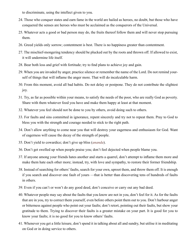to discriminate, using the intellect given to you.

- 24. Those who conquer states and earn fame in the world are hailed as heroes, no doubt, but those who have conquered the senses are heroes who must be acclaimed as the conquerors of the Universal.
- 25. Whatever acts a good or bad person may do, the fruits thereof follow them and will never stop pursuing them.
- 26. Greed yields only sorrow; contentment is best. There is no happiness greater than contentment.
- 27. The mischief-mongering tendency should be plucked out by the roots and thrown off. If allowed to exist, it will undermine life itself.
- 28. Bear both loss and grief with fortitude; try to find plans to achieve joy and gain.
- 29. When you are invaded by anger, practice silence or remember the name of the Lord. Do not remind yourself of things that will inflame the anger more. That will do incalculable harm.
- 30. From this moment, avoid all bad habits. Do not delay or postpone. They do not contribute the slightest joy.
- 31. Try, as far as possible within your means, to satisfy the needs of the poor, who are really God as poverty. Share with them whatever food you have and make them happy at least at that moment.
- 32. Whatever you feel should not be done to you by others, avoid doing such to others.
- 33. For faults and sins committed in ignorance, repent sincerely and try not to repeat them. Pray to God to bless you with the strength and courage needed to stick to the right path.
- 34. Don't allow anything to come near you that will destroy your eagerness and enthusiasm for God. Want of eagerness will cause the decay of the strength of people.
- 35. Don't yield to cowardice; don't give up bliss (*[ananda](#page-65-1)*).
- 36. Don't get swelled up when people praise you; don't feel dejected when people blame you.
- 37. If anyone among your friends hates another and starts a quarrel, don't attempt to inflame them more and make them hate each other more; instead, try, with love and sympathy, to restore their former friendship.
- 38. Instead of searching for others' faults, search for your own, uproot them, and throw them off. It is enough if you search and discover one fault of yours —that is better than discovering tens of hundreds of faults in others.
- 39. Even if you can't or won't do any good deed, don't conceive or carry out any bad deed.
- 40. Whatever people may say about the faults that you know are not in you, don't feel for it. As for the faults that are in you, try to correct them yourself, even before others point them out to you. Don't harbour anger or bitterness against people who point out your faults; don't retort, pointing out their faults, but show your gratitude to them. Trying to discover their faults is a greater mistake on your part. It is good for you to know your faults; it is no good for you to know others' faults.
- 41. Whenever you get a little leisure, don't spend it in talking about all and sundry, but utilise it in meditating on God or in doing service to others.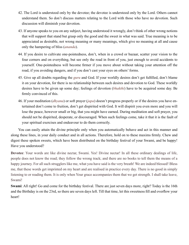- 42. The Lord is understood only by the devotee; the devotee is understood only by the Lord. Others cannot understand them. So don't discuss matters relating to the Lord with those who have no devotion. Such discussion will diminish your devotion.
- 43. If anyone speaks to you on any subject, having understood it wrongly, don't think of other wrong notions that will support that stand but grasp only the good and the sweet in what was said. True meaning is to be appreciated as desirable, not wrong meaning or many meanings, which give no meaning at all and cause only the hampering of bliss (*[ananda](#page-65-1)*).
- 44. If you desire to cultivate one-pointedness, don't, when in a crowd or bazaar, scatter your vision to the four corners and on everything, but see only the road in front of you, just enough to avoid accidents to yourself. One-pointedness will become firmer if you move about without taking your attention off the road, if you avoiding dangers, and if you don't cast your eyes on others' forms.
- 45. Give up all doubts regarding the *[guru](#page-68-0)* and God. If your worldly desires don't get fulfilled, don't blame it on your devotion, for there is no relationship between such desires and devotion to God. These worldly desires have to be given up some day; feelings of devotion (*[bhakthi](#page-67-1)*) have to be acquired some day. Be firmly convinced of this.
- 46. If your meditation (*[dhyana](#page-68-4)*) or soft prayer (*[japa](#page-69-0)*) doesn't progress properly or if the desires you have entertained don't come to fruition, don't get dispirited with God. It will dispirit you even more and you will lose the peace, however small or big, that you might have earned. During meditation and soft prayer, you should not be dispirited, desperate, or discouraged. When such feelings come, take it that it is the fault of your spiritual exercises and endeavour to do them correctly.

You can easily attain the divine principle only when you automatically behave and act in this manner and along these lines, in your daily conduct and in all actions. Therefore, hold on to these maxims firmly. Chew and digest these spoken sweets, which have been distributed on the birthday festival of your Swami, and be happy! Have you understood?

**Devotee**: Your words are like divine nectar, Swami. Yes! Divine nectar! In all these ordinary dealings of life, people does not know the road; they follow the wrong track; and there are no books to tell them the means of a happy journey. For all such strugglers like me, what you have said is the very breath! We are indeed blessed! Bless me, that these words get imprinted on my heart and are realised in practice every day. There is no good in simply listening to or reading them. It is only when Your grace accompanies them that we get strength. I shall take leave, Swami!

**Swami**: All right! Go and come for the birthday festival. There are just seven days more, right? Today is the 16th and the Birthday is on the 23rd, so there are seven days left. Till that time, let this sweetness fill and overflow your heart!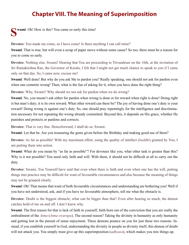#### **Chapter VIII. The Meaning of Superimposition**

#### <span id="page-32-0"></span>**Swami**: Oh! How is this? You came so early this time!

**Devotee**: You made me come, so I have come! Is there anything I can call mine?

**Swami**: That is true; but will even a scrap of paper move without some cause? So too, there must be a reason for you to come so early.

**Devotee**: Nothing else, Swami! Hearing that You are proceeding to Trivandrum on the 16th, at the invitation of Sri Ramakrishna Rao, the Governor of Kerala, I felt that I might not get much chance to speak to you if I came only on that day. So, I came now, excuse me!

**Swami**: Well done! But why do you ask Me to pardon you? Really speaking, one should not ask for pardon even when one commits wrong! Then, what is the fun of asking for it, when you have done the right thing?

**Devotee**: Why, Swami? Why should we not ask for pardon when we do wrong?

**Swami**: No, you mustn't ask either for pardon when wrong is done or for reward when right is done! Doing right is but man's duty; it is its own reward. What other reward can there be? The joy of having done one's duty is your reward! Doing wrong is against one's duty. So, one should pray repentingly for the intelligence and discrimination necessary for not repeating the wrong already committed. Beyond this, it depends on His grace, whether He punishes and protects or pardons and corrects.

**Devotee**: That is very fine. Henceforward, I shall do so, Swami.

**Swami**: Let that be. Are you treasuring the gems given before the Birthday and making good use of them?

**Devotee**: As far as possible! With my maximum effort, using the quality of intellect (*[buddhi](#page-67-7)*) granted by You, I am putting them into action.

**Swami**: What do you mean by "as far as possible"? For devotees like you, what other task is greater than this? Why is it not possible? You need only faith and will. With them, it should not be difficult at all to carry out the duty.

**Devotee**: Swami, You Yourself have said that even when there is faith and even when one has the will, putting things into practice may be difficult for want of favourable circumstances and also because the meaning of things may not be grasped clearly.

**Swami**: Oh! That means that want of both favourable circumstances and understanding are bothering you! Well if you have not understood, ask, and if you have no favourable atmosphere, tell me what the obstacle is.

**Devotee**: Doubt is the biggest obstacle; what can be bigger than that? Even after hearing so much, the demon catches hold of me on and off. I don't know why.

**Swami**: The first reason for that is lack of faith in yourself, faith born out of the conviction that you are really the embodiment of the *[Atma](#page-66-1)* (*[Atma-swarupa](#page-66-13)*). The second reason? Taking the divinity in humanity as only humanity and getting lost in the pursuit of sense enjoyment. These demons pounce on you for just these two reasons. Instead, if you establish yourself in God, understanding the divinity in people as divinity itself, this demon of doubt will not attack you. You simply must give up this superimposition (*[adhyasa](#page-65-16)*), which makes you mix things up.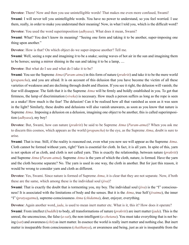**Devotee**: There! Now and then you use unintelligible words! That makes me even more confused, Swami!

**Swami**: I will never tell you unintelligible words. You have no power to understand, so you feel worried. I use them, really, in order to make you understand their meaning! Now, in what I told you, which is the difficult word?

**Devotee**: You used the word superimposition (*[adhyasa](#page-65-16)*). What does it mean, Swami?

**Swami**: What? You don't know its meaning! "Seeing one form and taking it to be another, super-imposing one thing upon another."

**Devotee**: How is that? On which object do we super-impose another? Tell me.

**Swami**: Well, seeing a rope and imagining it to be a snake; seeing waves of hot air in the sun and imagining them to be horses; seeing a mirror shining in the sun and taking it to be a lamp, ....

**Devotee**: But what do I see and what do I take it to be?

**Swami**: You see the Supreme *[Atma](#page-66-1)* (*[Param-atma](#page-71-0)*) in this form of nature (*[prakriti](#page-71-12)*) and take it to be the mere world (*[prapancha](#page-71-8)*), and you are afraid. It is on account of this delusion that you have become the victim of all these varieties of weakness and are declining through doubt and illusion. If you see it right, the delusion will vanish; the fear will disappear. The faith that it is the Supreme *[Atma](#page-66-1)* will be firmly and boldly established in you. To get that firmness, the lamp of discrimination (*[viveka](#page-75-7)*) is necessary. How much a person suffers as long as the rope is seen as a snake! How much is the fear! The delusion! Can it be realised how all that vanished as soon as it was seen in the light? Similarly, these doubts and delusions will also vanish unawares, as soon as you know that nature is Supreme *[Atma](#page-66-1)*. Imposing a delusion on a delusion, imagining one object to be another, this is called superimposition (*[adhyasa](#page-65-16)*), my boy!

**Devotee**: But, Swami, how can nature (*[prakriti](#page-71-12)*) be said to be Supreme *[Atma](#page-66-1)* (*[Param-atma](#page-71-0)*)? When you ask me to discern this cosmos, which appears as the world (*[prapancha](#page-71-8)*) to the eye, as the Supreme *[Atma](#page-66-1)*, doubt is sure to arise.

**Swami**: That is true. Still, if the reality is reasoned out, even what you now see will appear as the Supreme *[Atma](#page-66-1)*. Cloth cannot be formed without yarn, right? Yarn is essential for cloth. In fact, it is all yarn. In spite of this, yarn is not spoken of as cloth, and cloth is not called yarn. This is exactly the relationship, between nature (*[prakriti](#page-71-12)*) and Supreme *[Atma](#page-66-1)* (*[Param-atma](#page-71-0)*). Supreme *[Atma](#page-66-1)* is the yarn of which the cloth, nature, is formed. Have the yarn and the cloth become separate? No. The yarn is used in one way, the cloth in another. But for just this reason, it would be wrong to consider yarn and cloth as different.

**Devotee**: Yes, Swami. Since nature is formed of Supreme *[Atma](#page-66-1)*, it is clear that they are not separate. Now, if both these are the same, which among these is the individual soul (*[jiva](#page-69-2)*)?

**Swami**: That is exactly the doubt that is tormenting you, my boy. The individual soul (*[jiva](#page-69-2)*) is the "I" consciousness! It is associated with the limitations of body and the senses. But it is the *[Atma](#page-66-1)*, true Self (*[jivatma](#page-69-9)*), the inner "I" (*[pratyagatma](#page-71-16)*), supreme-consciousness *[Atma](#page-66-1)* (*[chidatma](#page-67-11)*), doer, enjoyer, everything.

**Devotee**: Again another word, *[jada](#page-68-8)*, is used to mean inert matter etc. What is it, this it? How does it operate? **Swami**: From intellect (*[buddhi](#page-67-7)*) to body, all transformations of nature (*[prakriti](#page-71-12)*) are inert matter (*[jada](#page-68-8)*). This is the unreal, the unconscious, the false (*[a-sat](#page-65-6)*), the non-intelligent (*[a-chetana](#page-65-7)*). You must take everything that is not being (*[sat](#page-73-4)*) and awareness (*[chit](#page-67-5)*) as inert matter. In essence the world is really inert matter and nothing else. But inert matter is inseparable from consciousness (*[chaithanya](#page-67-12)*), or awareness and being, just as air is inseparable from the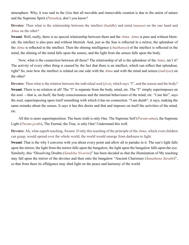atmosphere. Why, it was said in the *[Gita](#page-68-11)* that all movable and immovable creation is due to the union of nature and the Supreme Spirit (*[Purusha](#page-72-8)*), don't you know?

**Devotee**: Then what is the relationship between the intellect (*[buddhi](#page-67-7)*) and mind (*[manas](#page-70-5)*) on the one hand and *[Atma](#page-66-1)* on the other?

**Swami**: Well, really, there is no special relationship between them and the *[Atma](#page-66-1)*. *[Atma](#page-66-1)* is pure and without blemish; the intellect is also pure and without blemish. And, just as the Sun is reflected in a mirror, the splendour of the *[Atma](#page-66-1)* is reflected in the intellect. Then the shining intelligence (*[chaithanya](#page-67-12)*) of the intellect is reflected in the mind, the shining of the mind falls upon the senses, and the light from the senses falls upon the body.

Now, what is the connection between all these? The relationship of all is the splendour of the *[Atma](#page-66-1)*, isn't it? The activity of every other thing is caused by the fact that there is an intellect, which can reflect that splendour, right? So, note how the intellect is related on one side with the *[Atma](#page-66-1)* and with the mind and senses (*[indriyas](#page-68-6)*) on the other!

**Devotee**: Then what is the relation between the individual soul (*[jiva](#page-69-2)*), which says "I", and the senses and the body? **Swami**: There is no relation at all! The "I" is separate from the body, mind, etc. The "I" simply superimposes on the soul —that is, on Itself, the body consciousness and the internal behaviours of the mind, etc. "I am fair", says the soul, superimposing upon itself something with which it has no connection. "I am dumb", it says, making the same mistake about the senses. It says it has this desire and that and imposes on itself the activities of the mind, etc.

All this is mere superimposition. The basic truth is only One. The Supreme Self (*[Param-atma](#page-71-0)*), the Supreme Light (*[Param-jyothi](#page-71-17)*), The Eternal, the True, is only One! Understand this well.

**Devotee**: Ah, what superb teaching, Swami. If only this teaching of the principle of the *[Atma](#page-66-1)*, which even children can grasp, would spread over the whole world, the world would emerge from darkness to light.

**Swami**: That is the why I converse with you about every point and allow all to partake in it. The sun's light falls upon the mirror, the light from the mirror falls upon the bungalow, the light upon the bungalow falls upon the eye. Similarly, this "Dissolving Doubts (*Sandeha Nivarini*)" has been decided so that the illumination of My teaching may fall upon the mirror of the devotee and then onto the bungalow "Ancient Charioteer (*Sanathana Sarathi*)", so that from there its effulgence may shed light on the peace and harmony of the world.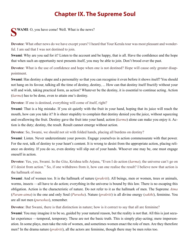#### **Chapter IX. The Supreme Soul**

<span id="page-35-0"></span>**NET WAMI:** O, you have come! Well. What is the news?

**Devotee**: What other news do we have except yours? I heard that Your Kerala tour was most pleasant and wonderful. I am sad that I was not destined to join.

**Swami**: Why are you sad for it? Listen to the account and be happy, that is all. Have the confidence and the hope that when such an opportunity next presents itself, you may be able to join. Don't brood over the past.

**Devotee**: What is the use of confidence and hope when one is not destined? Hope will cause only greater disappointment.

**Swami**: Has destiny a shape and a personality so that you can recognise it even before it shows itself? You should not hang on its favour, talking all the time of destiny, destiny, ... How can that destiny itself fructify without your will and wish, taking practical form, as action? Whatever be the destiny, it is essential to continue acting. Action (*[karma](#page-69-4)*) has to be done, even to attain one's destiny.

**Devotee**: If one is destined, everything will come of itself, right?

**Swami**: That is a big mistake. If you sit quietly with the fruit in your hand, hoping that its juice will reach the mouth, how can you take it? It is sheer stupidity to complain that destiny denied you the juice, without squeezing and swallowing the fruit. Destiny gave the fruit into your hand; action (*[karma](#page-69-4)*) alone can make you enjoy it. Action is the duty; destiny, the result. Result cannot emerge without action.

**Devotee**: So, Swami, we should not sit with folded hands, placing all burdens on destiny?

**Swami**: Listen. Never underestimate your powers. Engage yourselves in action commensurate with that power. For the rest, talk of destiny to your heart's content. It is wrong to desist from the appropriate action, placing reliance on destiny. If you do so, even destiny will slip out of your hands. Whoever one may be, one must engage oneself in action.

**Devotee**: Yes, yes, Swami. In the *[Gita](#page-68-11)*, [Krishna](#page-69-10) tells [Arjuna](#page-65-17), "Even I do action (*[karma](#page-69-4)*); the universe can't go on if I desist from action." So, if one withdraws from it, how can one realise the result? I believe now that action is the hallmark of men.

**Swami**: And of women too. It is the hallmark of nature (*[prakriti](#page-71-12)*). All beings, men or women, trees or animals, worms, insects —all have to do action; everything in the universe is bound by this law. There is no escaping this obligation. Action is the characteristic of nature. Do not refer to it as the hallmark of men. The Supreme *[Atma](#page-66-1)* (*[Param-atma](#page-71-0)*) is the one and only Soul (*[Purusha](#page-72-8)*). Nature (*[prakriti](#page-71-12)*) is all divine energy (*[sakthi](#page-72-11)*), feminine. You are all not men (*[purushas](#page-72-9)*), remember.

**Devotee**: But Swami, there is that distinction in nature; how is it correct to say that all are feminine?

**Swami**: You may imagine it to be so, guided by your natural reason, but the reality is not that. All this is just secular experience —temporal, temporary. These are not the basic truth. This is simply play-acting; mere impersonation. In some plays, men take the role of women, and sometimes women enact the role of men. Are they therefore men? In the drama nature (*[prakriti](#page-71-12)*), all the actors are feminine, though there may be men roles too.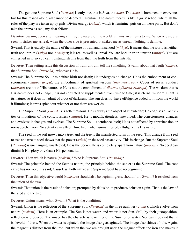The genuine Supreme Soul (*[Purusha](#page-72-0)*) is only one, that is [Siva](#page-73-0), the *[Atma](#page-66-0)*. The *[Atma](#page-66-0)* is immanent in everyone, but for this reason alone, all cannot be deemed masculine. The nature theatre is like a girls' school where all the roles of the play are taken up by girls. Divine energy (*[sakthi](#page-72-1)*), which is feminine, puts on all these parts. But don't take the drama as real, my dear fellow.

**Devotee**: Swami, even after hearing all this, the nature of the world remains an enigma to me. When one side is seen, it strikes me as real; when the other side is presented, it strikes me as unreal. Nothing is definite.

**Swami**: That is exactly the nature of the mixture of truth and falsehood (*[mithya](#page-70-0)*). It means that the world is neither truth nor untruth (*[sathya](#page-73-1)* nor *[a-sathya](#page-65-0)*); it is real as well as unreal. You are born in truth-untruth (*[mithya](#page-70-0)*). You are enmeshed in it, so you can't distinguish this from that, the truth from the untruth.

**Devotee**: Then setting aside this discussion of truth-untruth, tell me something, Swami, about that Truth (*[sathya](#page-73-1)*), that Supreme Soul (*[Purusha](#page-72-0)*), whoever He is.

**Swami**: The Supreme Soul has neither birth nor death; He undergoes no change. He is the embodiment of consciousness (*[chith](#page-67-0)*-*[swarupa](#page-73-2)*), the embodiment of spiritual wisdom (*[jnana](#page-69-0)*-*[swarupa](#page-73-2)*). Codes of social conduct (*[dharma](#page-67-1)*) are not of His nature, so He is not the embodiment of *[dharma](#page-67-1)* (*[dharma](#page-67-1)*-*[swarupa](#page-73-2)*). The wisdom that is His nature does not change; it is not corrected or supplemented from time to time; it is eternal wisdom. Light is its nature, so it does not admit of a dot of darkness. The sun does not have effulgence added to it from the world it illumines; it emits splendour whether or not there are worlds.

The Supreme Soul (*[Purusha](#page-72-0)*) is self-luminous. He is always the object of knowledge; He cognises all activities or mutations of the consciousness (*[chittha](#page-67-2)*). He is modificationless, unevolved. The consciousness changes and evolves; it changes and evolves. The Supreme Soul is sentience itself; He is not affected by apprehension or non-apprehension. No activity can affect Him. Even when unmanifested, effulgence is His nature.

The seed in the soil grows into a tree, and the tree is the manifested form of the seed. This change from seed to tree and tree to seed shows that the power (*[sakthi](#page-72-1)*) in the seed has activity. This is change. But the Supreme Soul (*[Purusha](#page-72-0)*) is unchanging, unaffected; He is the See-er. He is completely apart from nature (*[prakriti](#page-71-0)*). No deed can diminish His glory or exhaust His personality.

#### **Devotee**: Then which is nature (*[prakriti](#page-71-0)*)? Who is Supreme Soul (*[Purusha](#page-72-0)*)?

**Swami:** The principle behind the Seen is nature; the principle behind the see-er is the Supreme Soul. The root cause has no root, it is said; Causeless, both nature and Supreme Soul have no beginning.

**Devotee**: Then this objective world (*[samsara](#page-72-2)*) should also be beginningless, shouldn't it, Swami? It resulted from the union of the two.

**Swami**: That union is the result of delusion; prompted by delusion, it produces delusion again. That is the law of the seed and the tree.

#### **Devotee**: Union means what, Swami? What is the condition?

**Swami**: Union is the reflection of the Supreme Soul (*[Purusha](#page-72-0)*) in the three qualities (*[gunas](#page-68-0)*), which evolve from nature (*[prakriti](#page-71-0)*). Here is an example. The Sun is not water, and water is not Sun. Still, by their juxtaposition, reflection is produced. The image has the characteristic neither of the Sun nor of water. Nor can it be said that it is devoid of these. When the water is agitated, the image also gets agitated. The image also shines a little. Again, the magnet is distinct from the iron, but when the two are brought near, the magnet affects the iron and makes it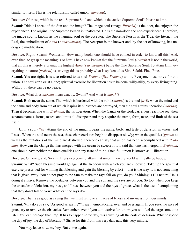similar to itself. This is the relationship called union (*[samyoga](#page-72-3)*).

**Devotee**: Of these, which is the real Supreme Soul and which is the active Supreme Soul? Please tell me.

**Swami**: Didn't I speak of the Sun and the image? The image-soul (image-*[Purusha](#page-72-0)*) is the doer, the enjoyer, the experiencer. The original, the Supreme Person is unaffected. He is the non-doer, the non-experiencer. Therefore, the image-soul is known as the changing-soul or the acceptor. The Supreme Person is the True, the Eternal, the Real, the embodiment of *[Atma](#page-66-0)* (*[Atmaswarupa](#page-66-1)*). The Acceptor is the knower and, by the act of knowing, has undergone modification.

**Devotee**: Right, Swami. Wonderful. How many books one should have conned in order to know all this! And, even then, to grasp the meaning is so hard. I have now known that the Supreme Soul (*[Purusha](#page-72-0)*) is not in the world, that all this is merely a drama, the highest *[Atma](#page-66-0)* (*[Param-atma](#page-71-1)*) being the One Supreme Soul. To attain Him, everything in nature (*[prakriti](#page-71-0)*) is striving; this is probably what is spoken of as [Siva-](#page-73-0)[Sakthi](#page-72-4). Fine, Fine.

**Swami**: You are right. It is also referred to as soul-*[Brahma](#page-67-3)* (*[jiva](#page-69-1)*-*[Brahma](#page-67-3)*) union. Everyone must strive for this union. The soul can't exist alone; spiritual exercise for liberation has to be done, willy-nilly, by every living thing. Without it, there can be no peace.

#### **Devotee**: What does *[moksha](#page-70-1)* mean exactly, Swami? And what is *[mukthi](#page-70-2)*?

**Swami**: Both mean the same. That which is burdened with the mind (*[manas](#page-70-3)*) is the soul (*[jivi](#page-69-2)*); when the mind and the name and body from out of which it spins its substance are destroyed, then the soul attains liberation (*[moksha](#page-70-1)*). Then it becomes one with *[Brahman](#page-67-4)*; that is liberation. When the [Ganga](#page-68-1) or the [Godavari](#page-68-2) rivers reach the sea, their separate names, forms, tastes, and limits all disappear and they acquire the name, form, taste, and limit of the sea itself.

Until a soul (*[jiva](#page-69-1)*) attains the end of the mind, it bears the name, body, and taste of delusion, my-ness, and I-ness. When the soul nears the sea, these characteristics begin to disappear slowly; when the qualities (*[gunas](#page-68-0)*) as well as the mutations of the mind are destroyed, then one can say that union has been accomplished with *[Brah](#page-67-4)[man](#page-67-4)*. How can the [Ganga](#page-68-1) that has merged with the ocean be sweet? If it is said that one has merged in *[Brahman](#page-67-4)*, one should have neither the three qualities nor any taste of mind. Such full union is known as ... liberation.

**Devotee**: O, how grand, Swami. Bless everyone to attain that union; then the world will really be happy.

**Swami**: What? Such blessing would go against the freedom with which you are endowed. Take up the spiritual exercise prescribed for winning that blessing and gain the blessing by effort —that is the way. It is not something that is given away. You do not pray to the Sun to make the rays fall on you, do you? Shining is His nature; He is doing it always. Remove the obstacles between you and the sun and the rays are on you. So too, when you keep the obstacles of delusion, my-ness, and I-ness between you and the rays of grace, what is the use of complaining that they don't fall on you? What can the rays do?

**Devotee**: That is as good as saying that we must remove all traces of I-ness and my-ness from our minds.

**Swami**: Why do you say, "As good as saying?" I say it emphatically, over and over again. If you seek the rays of grace, try to remove the obstacles. Remember, even if you don't strive for it now, you will feel the urge sometime later. You can't escape that urge. It has to happen some day, this shuffling off the coils of delusion. Why postpone the day of joy, the day of liberation? Strive for this from this very day, nay, this very minute.

You may leave now, my boy. But come again.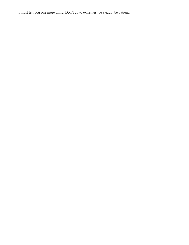I must tell you one more thing. Don't go to extremes; be steady; be patient.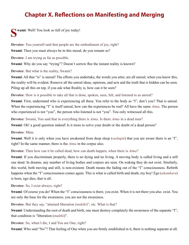# **Chapter X. Reflections on Manifesting and Merging**

**Swami**: Well! You look so full of joy today!

**Devotee**: You yourself said that people are the embodiment of joy, right? **Swami**: Then you must always be in this mood; do you remain so?

**Devotee**: I am trying as far as possible.

**Swami**: Why do you say "trying"? Doesn't sorrow flee the instant reality is known?

**Devotee**: But what is the reality, Swami?

**Swami**: All that "is" is unreal! The efforts you undertake, the words you utter, are all unreal; when you know this, the reality will be evident. Remove all the unreal ideas, opinions, and acts and the truth that is hidden can be seen. Piling up all this on top, if you ask what Reality is, how can it be seen?

**Devotee**: How is it possible to take all that is done, spoken, seen, felt, and listened to as unreal?

**Swami**: First, understand who is experiencing all these. You refer to the body as "I", don't you? That is unreal. When the experiencing "I" is itself unreal, how can the experiences be real? All have the same *[Atma](#page-66-0)*. The person who experienced is not "you", the person who listened is not "you". You only witnessed all this.

**Devotee**: Swami, You said that in everything there is *[Atma](#page-66-0)*. Is there *[Atma](#page-66-0)* in a dead man?

**Swami**: Oh! a good question indeed! Is it more to solve your doubt or the doubt of a dead person?

**Devotee**: Mine.

**Swami**: Well it is only when you have awakened from deep sleep (*[sushupti](#page-73-3)*) that you are aware there is an "I", right? In the same manner, there is the *[Atma](#page-66-0)* in the corpse also.

**Devotee**: Then how can it be called dead, how can death happen, when there is *[Atma](#page-66-0)*?

**Swami**: If you discriminate properly, there is no dying and no living. A moving body is called living and a still one dead. In dreams, any number of living bodies and corpses are seen. On waking they do not exist. Similarly, this world, both moving and still, is non-existent. Death means the fading out of the "I" consciousness. Rebirth happens when the "I" consciousness comes again. This is what is called birth and death, my boy! Ego (*[ahamkara](#page-65-1)*) is born, ego dies, that is all.

**Devotee**: So, I exist always, right?

**Swami**: Of course you do! When the "I" consciousness is there, you exist. When it is not there you also exist. You are only the base for the awareness; you are not the awareness.

**Devotee**: But they say, "attained liberation (*[mukthi](#page-70-2)*)", etc. What is that?

**Swami**: Understanding the root of death and birth, one must destroy completely the awareness of the separate "I"; that condition is "liberation (*[mukthi](#page-70-2)*)".

**Devotee**: So, when I die, I and You are One, right?

**Swami**: Who said "No"? That feeling of One when you are firmly established in it, there is nothing separate at all.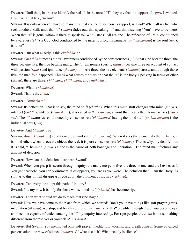**Devotee**: Until then, in order to identify the real "I" in the unreal "I", they say that the support of a *[guru](#page-68-3)* is wanted. How far is that true, Swami?

**Swami**: It is only when you have so many "I"s that you need someone's support, is it not? When all is One, why seek another? Still, until that "I" (*[aham](#page-65-2)*) fades out, this speaking "I" and this listening "You" have to be there. When that "I" is gone, whom is there to speak to? Who listens? All are one. The reflection of *[Atma](#page-66-0)*, conditioned by awareness (*[chit](#page-67-0)*) is God; God conditioned by the inner fourfold instruments (*[anthah-karana](#page-65-3)*) is the soul (*[jiva](#page-69-1)*), is it not?

**Devotee**: But what exactly is this *[chidabhasa](#page-67-5)*?

**Swami**: *[Chidabhasa](#page-67-5)* means the "I" awareness conditioned by the consciousness (*[chit](#page-67-0)*) that One became three, the three became five, the five became many. The "I" awareness (purity, *[sathwa](#page-73-4)*) became three on account of contact with passion (*[rajas](#page-72-5)*) and ignorance (*[thamas](#page-74-0)*); in these three, the five elements (*[bhuthas](#page-67-6)*) arose; and through those five, the manifold happened. This is what causes the illusion that the "I" is the body. Speaking in terms of ether (*[akasa](#page-65-4)*), there are three: *[chidakasa](#page-67-7)*, *[chitthakasa](#page-67-8)*, and *[bhuthakasa](#page-67-9)*.

**Devotee**: What is *[chidakasa](#page-67-7)*?

**Swami**: That is the *[Atma](#page-66-0)*.

#### **Devotee**: *[Chitthakasa](#page-67-8)*?

**Swami**: Its deflection. That is to say, the mind stuff (*[chittha](#page-67-2)*). When this mind stuff changes into mind (*[manas](#page-70-3)*), intellect (*[buddhi](#page-67-10)*), and ego (*[aham-kara](#page-65-1)*), it is called *[anthah-karana](#page-65-3)*, a word that means the internal senses (*[indri](#page-68-4)[yas](#page-68-4)*). The "I" awareness conditioned by consciousness (*[chidabhasa](#page-67-5)*) having the mind stuff (*[anthah-karana](#page-65-3)*) is the individual soul (*[jiva](#page-69-1)*).

#### **Devotee**: And *[bhuthakasa](#page-67-9)*?

**Swami**: *[Atma](#page-66-0)* (*[Chidakasa](#page-67-7)*) conditioned by mind stuff (*[chitthakasa](#page-67-8)*). When it sees the elemental ether (*[akasa](#page-65-4)*), it is mind-ether; when it sees the object, the real, it is pure consciousness (*[chinmaya](#page-67-11)*). That is why, my dear fellow, it is said, "The mind (*[manas](#page-70-3)*) alone is the cause of both bondage and liberation." The mind manufactures any amount of delusion.

**Devotee**: How can that delusion disappear, Swami?

**Swami**: When you grasp its secret through inquiry, the many merge in five, the three in one, and the I exists as I. You get headache, you apply ointment, it disappears, you are as you were. The delusion that "I am the Body" is similar to this. It will disappear if you apply the ointment of inquiry (*[vichara](#page-75-0)*).

**Devotee**: Can everyone adopt this path of inquiry?

**Swami**: No, my boy. It is only for those whose mind stuff (*[chittha](#page-67-2)*) has become ripe.

**Devotee**: Then what should we do to reach that ripe stage?

**Swami**: Now we have come to the place from which we started! Don't you have things like soft prayer (*[japa](#page-69-3)*), meditation (*[dhyana](#page-68-5)*), worship, and breath control (*[pranayama](#page-71-2)*) for this? Steadily, through these, you become ripe and become capable of understanding the "I" by inquiry into reality. For ripe people, the *[Atma](#page-66-0)* is not something different from themselves or yourself. All is *[Atma](#page-66-0)*!

**Devotee**: But Swami, You mentioned only soft prayer, meditation, worship, and breath control. Some advanced persons adopt the vow of silence (*[mouna](#page-70-4)*). Of what use is it? What exactly is silence?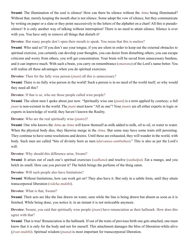**Swami**: The illumination of the soul is silence! How can there be silence without the *[Atma](#page-66-0)* being illuminated? Without that, merely keeping the mouth shut is not silence. Some adopt the vow of silence, but they communicate by writing on paper or a slate or they point successively to the letters of the alphabet on a chart! All this is pseudosilence! It is only another way of talking without interruption! There is no need to attain silence. Silence is ever with you. You have only to remove all things that disturb it!

**Devotee**: But many people don't open their mouth to speak. You mean that this is useless?

**Swami**: Who said so? If you don't use your tongue, if you are silent in order to keep out the external obstacles to spiritual exercise, you certainly can develop your thoughts, you can desist from disturbing others, you can escape criticism and worry from others, you will get concentration. Your brain will be saved from unnecessary burdens, and it can improve much. With such a brain, you carry on remembrance (*[smarana](#page-73-5)*) of the Lord's name better. You will realise all these advantages when you do spiritual exercises.

**Devotee**: Then for the fully wise person (*[jnani](#page-69-4)*) all this is unnecessary?

**Swami**: There is no fully wise person in the world! Such a person is in no need of the world itself, so why would they need all this?

**Devotee**: If that is so, who are those people called wise people?

**Swami**: The silent men I spoke about just now. "Spiritually wise one (*[jnani](#page-69-4)*) is a term applied by courtesy; a full *[jnani](#page-69-4)* is non-existent in the world. The *[jnani](#page-69-4)* must know "All as one"! Your *[jnanis](#page-69-4)* are all either experts in logic or experts in knowledge of world; they haven't known the Reality.

**Devotee**: Who are the real spiritually wise (*[jnanis](#page-69-4)*)?

**Swami**: One who knows the *[Atma](#page-66-0)* as *[Atma](#page-66-0)* will know themself as milk added to milk, oil to oil, or water to water. When the physical body dies, they likewise merge in the *[Atma](#page-66-0)*. But some may have some traits still persisting. They continue to have some resolutions and desires. Until these are exhausted, they will wander in the world, with body. Such men are called "bits of divinity born as men (*daivamsa-sambuthas*)." This is also as per the Lord's will.

**Devotee**: Why should this difference arise, Swami?

**Swami**: It arises out of each one's spiritual exercises (*[sadhana](#page-72-6)*) and resolve (*[sankalpa](#page-72-7)*). Eat a mango, and you belch its smell. How can you prevent it? The belch brings the perfume of the thing eaten.

**Devotee**: Will such people also have limitations?

**Swami**: Without limitations, how can work get on? They also have it. But only in a subtle form, until they attain transcorporeal liberation (*[videha-mukthi](#page-75-1)*).

**Devotee**: What is that, Swami?

**Swami**: Their acts are like the line drawn on water, seen while the line is being drawn but absent as soon as it is finished. While being done, you notice it; in an instant it is not noticeable anymore.

**Devotee**: Swami, you said that spiritually wise people (*[jnani](#page-69-4)*) have renunciation as their hallmark. How does this agree with that?

**Swami**: That is true! Renunciation is the hallmark. If out of the traits of previous birth one gets attached, one must know that it is only for the body and not for oneself. This attachment damages the bliss of liberation-while-alive (*[jivan-mukthi](#page-69-5)*). Spiritual wisdom (*[jnana](#page-69-0)*) is most important for transcorporeal liberation.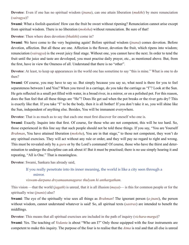### **Devotee**: Even if one has no spiritual wisdom (*[jnana](#page-69-0)*), can one attain liberation (*[mukthi](#page-70-2)*) by mere renunciation (*[vairagya](#page-74-1)*)?

**Swami**: What a foolish question! How can the fruit be sweet without ripening? Renunciation cannot arise except from spiritual wisdom. There is no liberation (*[moksha](#page-70-1)*) without renunciation. Be sure of that!

**Devotee**: Then where does devotion (*[bhakthi](#page-67-12)*) come in?

**Swami**: We have come to the very beginning again! Before spiritual wisdom (*[jnana](#page-69-0)*) comes devotion. Before devotion, affection. But all these are one. Affection is the flower, devotion the fruit, which ripens into wisdom; renunciation (*[vairagya](#page-74-1)*) is the sweet juicy final stage. Without one, you cannot have the next. In order to tend the fruit until the juice and taste are developed, you must practise daily prayer, etc., as mentioned above. But, from the first, have in view the Oneness of all. Understand that there is no "other".

**Devotee**: At least, to keep up appearances in the world one has sometime to say "this is mine." What is one to do then?

**Swami**: Of course, you may have to say so. But simply because you say so, what need is there for you to feel separateness between I and You? When you travel in a carriage, do you take the carriage as "I"? Look at the Sun. He gets reflected in a small pot filled with water, in a broad river, in a mirror, or on a polished pot. For this reason, does the Sun feel that all these things are "He"? Does He get sad when the pot breaks or the river gets dry? This is exactly like that. If you take "I" to be the body, then it is all bother! If you don't take it so, you will shine like the Sun, independent of anything else. Besides, You will be immanent everywhere.

**Devotee**: That is as much as to say that each one must first discover for oneself who one is.

**Swami**: Exactly. Inquire into that first. Of course, for those who are not competent, this will be too hard. So, those experienced in this line say that such people should not be told these things. If you say, "You are Yourself *[Brahman](#page-67-4)*, You have attained liberation (*[moksha](#page-70-1)*), You are in that stage," to those not competent, they won't do any spiritual exercises. They will act without any rule or order, and they will pay no regard to right and wrong. This must be revealed only by a *[guru](#page-68-3)* or by the Lord's command! Of course, those who have the thirst and determination to undergo the discipline can ask about it! But it must be practised; there is no use simply hearing it and repeating, "All is One." That is meaningless.

**Devotee**: Swami, [Sankara](#page-72-8) has already said,

### If you really penetrate into its inner meaning, the world is like a city seen through a mirror.

*viswam-darpana drsyamaananagaree thulyam hi anthargatham*.

This vision —that the world (*[jagath](#page-68-6)*) is unreal, that it is all illusion (*[maya](#page-70-5)*)— is this for common people or for the spiritually wise (*[jnanis](#page-69-4)*) also?

**Swami**: The eye of the spiritually wise sees all things as *[Brahman](#page-67-4)*! The ignorant person (*[a-jnani](#page-65-5)*), the person without wisdom, cannot understand whatever is said! So, all spiritual texts (*[sastras](#page-73-6)*) are intended to benefit the middlings.

**Devotee**: This means that all spiritual exercises are included in the path of inquiry (*[vichara](#page-75-0)*-*[marga](#page-70-6)*)?

**Swami**: Yes. The teaching of *[Vedanta](#page-74-2)* is about "Who am I?" Only those equipped with the four instruments are competent to make this inquiry. The purpose of the four is to realise that the *[Atma](#page-66-0)* is real and that all else is unreal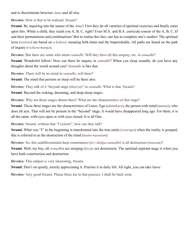and to discriminate between *[Atma](#page-66-0)* and all else.

**Devotee**: How is that to be realised, Swami?

**Swami**: By inquiring into the nature of the *[Atma](#page-66-0)*! First they do all varieties of spiritual exercises and finally enter upon this. While a child, they teach you A, B, C, right? Even M.A. and B.A. curricula consist of the A, B, C, D and their permutations and combinations! But to realise this fact, one has to complete one's studies! The spiritual texts (*[sastras](#page-73-6)*) are based on *[a-kshara](#page-65-6)*; meaning both letter and the Imperishable. All paths are based on the path of inquiry (*[vichara](#page-75-0)*-*[marga](#page-70-6)*).

**Devotee**: But there are some who attain *[samadhi](#page-72-9)*. Will they have all this enquiry, etc. in *[samadhi](#page-72-9)*?

**Swami**: Wonderful fellow! How can there be inquiry in *[samadhi](#page-72-9)*? When you sleep soundly, do you have any thoughts about the world around you? *[Samadhi](#page-72-9)* is like that.

**Devotee**: There will be no mind in *[samadhi](#page-72-9)*, will there?

**Swami**: The mind that persists in sleep will be there also.

**Devotee**: They talk of a "beyond stage (*[thuriya](#page-74-3)*)" in *[samadhi](#page-72-9)*. What is that, Swami?

**Swami**: Beyond the waking, dreaming, and deep-sleep stages.

**Devotee**: Why are those stages absent there? What are the characteristics of that stage?

**Swami**: Those three stages are the characteristics of I-ness. Ego (*[ahamkara](#page-65-1)*), the person with mind (*[manas](#page-70-3)*), who does all acts. That will not be present in the "beyond" stage. It would have disappeared long ago. For them, it is all the same, with eyes open or with eyes closed. It is all One.

**Devotee**: Swami, without that "I (*[aham](#page-65-2)*)", how can they talk?

**Swami**: What was "I" in the beginning is transformed into the true entity *([swarupa](#page-73-2))* when the reality is grasped; this is referred to as the destruction of the mind (*[mano-nasanam](#page-70-7)*).

**Devotee**: So, this undifferentiated deep communion (*[nir-vikalpa-samadhi](#page-71-3)*) is all destruction (*[naasam](#page-70-8)*)?

**Swami**: Well, my boy, all *[samadhi](#page-72-9)*s are merging (*[laya](#page-70-9)*), not destruction. The spiritual-aspirant stage is when you have both construction and destruction.

**Devotee**: This subject is very interesting, Swami.

**Swami**: Don't sit quietly, merely appreciating it. Practise it in daily life. All right, you can take leave.

**Devotee**: Very good Swami. Please bless me in that practice. I shall be back soon.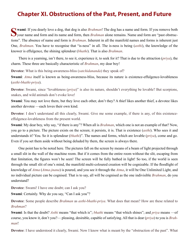### **Chapter XI. Obstructions of the Past, Present, and Future**

**Solution** wami: If you dearly love a dog, that dog is also *[Brahman](#page-67-4)*! The dog has a name and form. If you remove both your name and form and its name and form, then *Brahman* alone remains. Name and form are "past obstruc tions". The absence of name and form is *[Brahman](#page-67-4)*. Inherent in all the manifold names and forms is inherent just One, *[Brahman](#page-67-4)*. You have to recognise that "is-ness" in all. The is-ness is being (*[asthi](#page-65-7)*), the knowledge of the knower is effulgence, the shining splendour (*[bhathi](#page-67-12)*). That is also *[Brahman](#page-67-4)*.

There is a yearning, isn't there, to see it, experience it, to seek for it? That is due to the attraction (*[priya](#page-71-4)*), the charm. These three are basically characteristic of *[Brahman](#page-67-4)*, my dear boy!

**Devotee**: What is this being-awareness-bliss (*[satchidananda](#page-4-0)*) they speak of?

**Swami**: *[Atma](#page-66-0)* itself is known as being-awareness-bliss, because its nature is existence-effulgence-lovableness (*asthi*-*[bhathi](#page-66-2)*-*priya*).

**Devotee**: Swami, since "lovableness (*[priya](#page-71-4)*)" is also its nature, shouldn't everything be lovable? But scorpions, snakes, and wild animals don't evoke love!

**Swami**: You may not love them, but they love each other, don't they? A thief likes another thief, a devotee likes another devotee —each loves their own kind.

**Devotee**: I don't understand all this clearly, Swami. Give me some example, if there is any, of this existenceeffulgence-lovableness from the present world.

**Swami**: My dear boy, why say, "if there is any"? When all is *[Brahman](#page-67-4)*, which one is not an example of that? Now, you go to a picture. The picture exists on the screen; it persists, it is. That is existence (*[asthi](#page-65-7)*). Who sees it and understands it? You. So it is splendour (*[bhathi](#page-67-12)*)". The names and forms, which are lovable (*[priya](#page-71-4)*), come and go. Even if you set them aside without being deluded by them, the screen is always there.

One point has to be noted here. The pictures fall on the screen by means of a beam of light projected through a small slit in the wall of the machine room. But if it comes from the entire room without the slit, escaping from that limitation, the figures won't be seen! The screen will be fully bathed in light! So too, if the world is seen through the small slit of one's mind, the manifold multi-coloured creation will be cognizable. If the floodlight of knowledge of *[Atma](#page-66-0)* (*[Atma-jnana](#page-66-3)*) is poured, and you see it through the *[Atma](#page-66-0)*, it will be One Unlimited Light, and no individual picture can be cognised. That is to say, all will be cognised as the one indivisible *[Brahman](#page-67-4)*, do you understand?

**Devotee**: Swami! I have one doubt; can I ask you?

**Swami**: Certainly. Why do you say, "Can I ask you"?

**Devotee**: Some people describe *[Brahman](#page-67-4)* as *asthi*-*[bhathi](#page-66-2)*-*priya*. What does that mean? How are these related to *[Brahman](#page-67-4)*?

**Swami**: Is that the doubt? *[Asthi](#page-65-7)* means "that which is"; *[bhathi](#page-67-12)* means "that which shines"; and *[priya](#page-71-4)* means —of course, you know it, don't you?— pleasing, desirable, capable of satisfying. All that is dear (*[priya](#page-71-4)*) to you is *[Brah](#page-67-4)[man](#page-67-4)*!

**Devotee**: I have understood it clearly, Swami. Now I know what is meant by the "obstruction of the past". What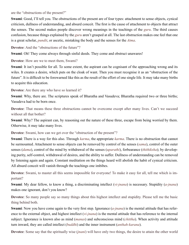are the "obstructions of the present?"

**Swami**: Good, I'll tell you. The obstructions of the present are of four types: attachment to sense objects, cynical criticism, dullness of understanding, and absurd conceit. The first is the cause of attachment to objects that attract the senses. The second makes people discover wrong meanings in the teachings of the *[guru](#page-68-3)*. The third causes confusion, because things explained by the *[guru](#page-68-3)* aren't grasped at all. The last obstruction makes one feel that one is a great scholar, *[pundit](#page-71-5)*, or ascetic, mistaking the body and the senses for the *[Atma](#page-66-0)*.

**Devotee:** And the "obstructions of the future"?

**Swami**: Oh! They come always through sinful deeds. They come and obstruct unawares!

**Devotee**: How are we to meet them, Swami?

**Swami**: It isn't possible for all. To some extent, the aspirant can be cognisant of the approaching wrong and its wiles. It creates a desire, which puts on the cloak of want. Then you must recognise it as an "obstruction of the future". It is difficult to be forewarned like this as the result of the effort of one single life. It may take many births to acquire this education.

**Devotee**: Are there any who have so learned it?

**Swami**: Why, there are. The scriptures speak of [Bharatha](#page-66-4) and [Vasudeva](#page-74-4); [Bharatha](#page-66-4) required two or three births; [Vasudeva](#page-74-4) had to be born once.

**Devotee**: That means these three obstructions cannot be overcome except after many lives. Can't we succeed without all that bother?

**Swami**: Why? The aspirant can, by reasoning out the nature of these three, escape from being worried by them. Otherwise, it may take many lives.

**Devotee**: Swami, how can we get over the "obstruction of the present"?

**Swami**: There is a way for this also. Through *[karma](#page-69-6)*, the appropriate *[karma](#page-69-6)*. There is no obstruction that cannot be surmounted. Attachment to sense objects can be removed by control of the senses (*[sama](#page-72-10)*), control of the outer senses (*[dama](#page-67-13)*), control of the mind by withdrawal of the senses (*[uparathi](#page-74-5)*), forbearance (*[thithiksha](#page-74-6)*); by developing purity, self-control, withdrawal of desires, and the ability to suffer. Dullness of understanding can be removed by listening again and again. Constant meditation on the things heard will abolish the habit of cynical criticism. All absurd conceit will vanish through the teachings one imbibes.

**Devotee**: Swami, to master all this seems impossible for everyone! To make it easy for all, tell me which is important?

**Swami**: My dear fellow, to know a thing, a discriminating intellect (*[vi-jnana](#page-75-2)*) is necessary. Stupidity (*[a-jnana](#page-65-8)*) makes one ignorant, don't you know?

**Devotee**: So many people say so many things about this highest intellect and stupidity. Please tell me the basic thing behind both.

**Swami**: Now you have come again to the very first step. Ignorance (*[a-jnana](#page-65-8)*) is the mental attitude that has reference to the external object, and highest intellect (*[vi-jnana](#page-75-2)*) is the mental attitude that has reference to the internal subject. Ignorance is known also as mind (*[manas](#page-70-3)*) and subconscious mind (*[chittha](#page-67-2)*). When activity and attitude turn inward, they are called intellect (*[buddhi](#page-67-10)*) and the inner instrument (*[anthah-karana](#page-65-3)*).

**Devotee**: Some say that the spiritually wise (*[jnani](#page-69-4)*) will have only two things, the desire to attain the other world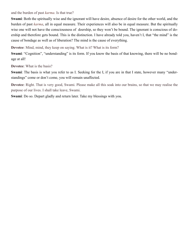and the burden of past *[karma](#page-69-6)*. Is that true?

**Swami**: Both the spiritually wise and the ignorant will have desire, absence of desire for the other world, and the burden of past *[karma](#page-69-6)*, all in equal measure. Their experiences will also be in equal measure. But the spiritually wise one will not have the consciousness of doership, so they won't be bound. The ignorant is conscious of doership and therefore gets bound. This is the distinction. I have already told you, haven't I, that "the mind" is the cause of bondage as well as of liberation? The mind is the cause of everything.

**Devotee**: Mind, mind, they keep on saying. What is it? What is its form?

**Swami**: "Cognition", "understanding" is its form. If you know the basis of that knowing, there will be no bondage at all!

**Devotee**: What is the basis?

**Swami**: The basis is what you refer to as I. Seeking for the I, if you are in that I state, however many "understandings" come or don't come, you will remain unaffected.

**Devotee**: Right. That is very good, Swami. Please make all this soak into our brains, so that we may realise the purpose of our lives. I shall take leave, Swami.

**Swami**: Do so. Depart gladly and return later. Take my blessings with you.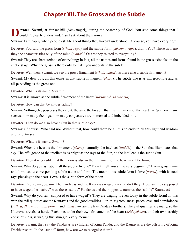### **Chapter XII. The Gross and the Subtle**

**Levotee:** Swami, at Venkat hill (Venkatagiri), during the Assembly of God, You said some things that I couldn't clearly understand. Can I ask about them now?

**Swami**: I am happy when people ask Me about things they haven't understood. Of course, you have every right.

**Devotee**: You said the gross form (*[sthula](#page-73-7)*-*[rupa](#page-72-11)*) and the subtle form (*[sukshma](#page-73-8)*-*[rupa](#page-72-11)*), didn't You? These two, are they the characteristics only of the mind (*[manas](#page-70-3)*)? Or are they related to everything?

**Swami**: They are characteristic of everything; in fact, all the names and forms found in the gross exist also in the subtle stage! Why, the gross is there only to make you understand the subtle!

**Devotee**: Well then, Swami, we see the gross firmament (*[sthula](#page-73-7)*-*[akasa](#page-65-4)*); is there also a subtle firmament? **Swami**: My dear boy, all this exists in that subtle firmament (*[akasa](#page-65-4)*). The subtle one is as imperceptible and as all-pervading as the gross one.

**Devotee**: What is its name, Swami?

**Swami**: It is known as the subtle firmament of the heart (*[sukshma](#page-73-8)*-*[hridayakasa](#page-68-7)*).

**Devotee**: How can that be all-pervading?

**Swami**: Nothing else possesses the extent, the area, the breadth that this firmament of the heart has. See how many scenes, how many feelings, how many conjectures are immersed and imbedded in it!

**Devotee**: Then do we also have a Sun in that subtle sky?

**Swami**: Of course! Who said no? Without that, how could there be all this splendour, all this light and wisdom and brightness?

**Devotee**: What is its name, Swami?

**Swami**: When the heart is the firmament (*[akasa](#page-65-4)*), naturally, the intellect (*[buddhi](#page-67-10)*) is the Sun that illuminates that sky. The effulgence of the intellect is as bright as the rays of the Sun, so the intellect is the subtle Sun.

**Devotee**: Then it is possible that the moon is also in the firmament of the heart in subtle form.

**Swami**: Why do you ask about all these, one by one? Didn't I tell you at the very beginning? Every gross name and form has its corresponding subtle name and form. The moon in its subtle form is love (*[prema](#page-71-6)*), with its cool rays pleasing to the heart. Love is the subtle form of the moon.

**Devotee**: Excuse me, Swami. The [Pandavas](#page-71-7) and the [Kauravas](#page-69-7) waged a war, didn't they? How are they supposed to have waged the "subtle" war, these "subtle" [Pandavas](#page-71-7) and their opposite number, the "subtle" [Kauravas?](#page-69-7)

**Swami**: Why do you say "supposed to have waged"? They are waging it even today in the subtle form! In this war, the evil qualities are the [Kauravas](#page-69-7) and the good qualities —truth, righteousness, peace love, and nonviolence (*[sathya](#page-73-1)*, *[dharma](#page-67-1)*, *[santhi](#page-73-9)*, *[prema](#page-71-6)*, and *[ahimsa](#page-65-9)*)— are the five [Pandava](#page-71-7) brothers. The evil qualities are many, so the [Kauravas](#page-69-7) are also a horde. Each one, under their own firmament of the heart (*[hridayakasa](#page-68-7)*), on their own earthly consciousness, is waging this struggle, every moment.

**Devotee**: Swami, they say the [Pandavas](#page-71-7) are children of King Pandu, and the [Kauravas](#page-69-7) are the offspring of King [Dhritharashtra](#page-68-8). In the "subtle" form, how are we to recognise them?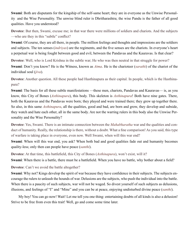**Swami**: Both are disputants for the kingship of the self-same heart; they are in everyone as the Unwise Personality and the Wise Personality. The unwise blind ruler is [Dhritharashtra](#page-68-8); the wise Pandu is the father of all good qualities. Have you understood?

**Devotee**: But then, Swami, excuse me; in that war there were millions of soldiers and chariots. And the subjects —who are they in this "subtle" conflict?

**Swami**: Of course, they are all there, in people. The million feelings and thoughts and impressions are the soldiers and subjects. The ten senses (*[indriyas](#page-68-4)*) are the regiments, and the five senses are the chariots. In everyone's heart a perpetual war is being fought between good and evil, between the [Pandavas](#page-71-7) and the [Kauravas.](#page-69-7) Is that clear?

**Devotee**: Well, who is Lord [Krishna](#page-69-8) in the subtle war; He who was then neutral in that struggle for power? **Swami**: Don't you know? He is the Witness, known as *[Atma](#page-66-0)*. He is the charioteer (*sarathi*) of the chariot of the individual soul (*[jiva](#page-69-1)*).

**Devotee**: Another question. All these people had [Hasthinapura](#page-68-9) as their capital. In people, which is the Hasthinapura?

**Swami**: The basis for all these subtle manifestations —these men, chariots, [Pandavas](#page-71-7) and [Kauravas—](#page-69-7) is, as you know, this City of Bones (*[Asthinapura](#page-66-5)*), this body. This skeleton is *[Asthinapura](#page-66-5)*! Both have nine gates. There, both the [Kauravas](#page-69-7) and the [Pandavas](#page-71-7) were born; they played and were trained there; they grew up together there. So also, in this same *[Asthinapura](#page-66-5)*, all the qualities, good and bad, are born and grow, they develop and subside, they watch and hate each other, all in the same body. Are not the warring rulers in this body also the Unwise Personality and the Wise Personality?

**Devotee**: Yes, Swami. There is an intimate connection between the *[Mahabharatha](#page-70-10)* war and the qualities and conduct of humanity. Really, the relationship is there, without a doubt. What a fine comparison! As you said, this type of warfare is taking place in everyone, even now. Well Swami, when will this war end?

**Swami**: When will this war end, you ask? When both bad and good qualities fade out and humanity becomes quality-less; only then can people have peace (*[santhi](#page-73-9)*).

**Devotee**: At that time, this battlefield, this City of Bones (*[Asthinapura](#page-66-5)*), won't exist, will it?

**Swami**: When there is a battle, there must be a battlefield. When you have no battle, why bother about a field?

**Devotee**: Can't we avoid the battle altogether?

**Swami**: Why not? Kings develop the spirit of war because they have confidence in their subjects. The subjects encourage the rulers to unleash the hounds of war. Delusions are the subjects, who push the individual into the battle. When there is a paucity of such subjects, war will not be waged. So divest yourself of such subjects as delusions, illusions, and feelings of "I" and "Mine" and you can be at peace, enjoying undisturbed divine peace (*[santhi](#page-73-9)*).

My boy! You can go now! Wait! Let me tell you one thing: entertaining doubts of all kinds is also a delusion! Strive to be free from even this trait! Well, go and come some time later.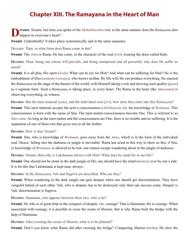# **Chapter XIII. The Ramayana in the Heart of Man**

**Devotee**: Swami, last time you spoke of the *[Mahabharatha](#page-70-10)* war; in the same manner, does the *[Ramayana](#page-72-12)* also happen in everyone's heart?

**Swami**: Undoubtedly! It takes place systematically and in the same sequence.

Devotee: Then, in what form does [Rama](#page-72-13) come in this?

**Swami**: The *[Atma](#page-66-0)* is [Rama.](#page-72-13) He has come, in the character of the soul (*[jivi](#page-69-2)*), wearing the dress called body.

**Devotee**: Then, being one whose will prevails, and being omnipotent and all powerful, why does He suffer so much?

**Swami**: It is all play, His sport (*[leela](#page-70-11)*). What can be joy for Him? And what can be suffering for Him? He is the embodiment of bliss (*[ananda](#page-65-10)*-*[swarupa](#page-73-2)*), who knows neither. By His will, He can produce everything. He enacted the *[Ramayana](#page-72-12)* on the stage of the theatre of the world, with Himself taking a role and showing each quality (*[guna](#page-68-0)*) as a separate form. Such a *[Ramayana](#page-72-12)* is taking place, in every heart. The Rama in the heart (the *[Atmarama](#page-66-6)*) is observing everything, as witness.

**Devotee**: But the inert material (*[jada](#page-68-10)*), and the individual soul (*[jivi](#page-69-2)*), how does they enter into this *[Ramayana](#page-72-12)*?

**Swami**: This inert material accepts the active consciousness (*[chaithanya](#page-67-14)*), viz. the knowledge of *[Brahman](#page-67-4)*. This consciousness is born with the name of [Sita.](#page-73-10) The inert-matter-consciousness become One. This is referred to as *Sita-rama*. As long as the inert matter and the consciousness are One, there is no trouble and no suffering. It is the separation of one of these two that gives rise to all the bother.

**Devotee**: How is that, Swami?

**Swami**: [Sita](#page-73-10), who is knowledge of *[Brahman](#page-67-4)*, goes away from the *[Atma](#page-66-0)*, which is in the form of the individual soul. Hence, falling into the darkness or jungle is inevitable. [Rama](#page-72-13) has acted in this way to show us this; if [Sita](#page-73-10), or knowledge of *[Brahman](#page-67-4)*, is allowed to be lost, one cannot escape wandering about in the jungle of darkness.

**Devotee**: Swami, then why is [Lakshmana](#page-69-9) always with Him? What does he stand for in our life?

**Swami**: One should not be alone in the dark jungle of life; one should have the mind (*[manas](#page-70-3)*), ever by one's side. It is for this that [Lakshmana](#page-69-9) is kept near, always.

**Devotee**: In the *[Ramayana](#page-72-12)*, [Vali](#page-74-7) and [Sugriva](#page-73-11) are described. Who are they?

**Swami**: When wandering in the dark jungle one gets despair when one should get discrimination. They have vengeful hatred of each other. [Vali](#page-74-7), who is despair, has to be destroyed; only then can success come. Despair is [Vali](#page-74-7); discrimination is [Sugriva](#page-73-11).

**Devotee**: [Hanuman,](#page-68-11) who appears between these two, who is he?

**Swami**: He who is of great help in the conquest of despair, viz. courage! That is [Hanuman](#page-68-11); He is courage. When associated with courage, it is possible to cross the ocean of illusion; that is why [Rama](#page-72-13) built the bridge with the help of [Hanuman](#page-68-11).

**Devotee**: After crossing the ocean of illusion, what is to be planned?

**Swami**: Don't you know what [Rama](#page-72-13) did after crossing the bridge? Conquering illusion (*[moha](#page-70-12)*), He slew the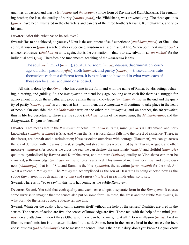qualities of passion and inertia (*[rajoguna](#page-72-14)* and *[thamoguna](#page-74-8)*) in the form of [Ravana](#page-72-15) and [Kumbhakarna.](#page-69-10) The remaining brother, the last, the quality of purity (*[sathwa](#page-73-4)*-*[guna](#page-68-0)*), viz. [Vibhishana](#page-75-3), was crowned king. The three qualities (*[gunas](#page-68-0)*) have been illustrated in the characters and careers of the three brothers [Ravana](#page-72-15), [Kumbhakarna](#page-69-10), and [Vib](#page-75-3)[hishana.](#page-75-3)

**Devotee**: After this, what has to be achieved?

**Swami**: Has to be achieved, do you say? Next is the attainment of self-experience (*[anubhava-jnana](#page-65-11)*), or [Sita](#page-73-10) —the spiritual wisdom (*[jnana](#page-69-0)*) reached after experience, wisdom realised in actual life. When both inert matter (*[jada](#page-68-10)*) and consciousness (*[chaithanya](#page-67-14)*) unite again, that is the coronation —that is to say, salvation (*[jivan-mukthi](#page-69-5)*) for the individual soul (*[jiva](#page-69-1)*). Therefore, the fundamental teaching of the *[Ramayana](#page-72-12)* is this:

The soul (*[jiva](#page-69-1)*), mind (*[manas](#page-70-3)*), spiritual wisdom (*[jnana](#page-69-0)*), despair, discrimination, courage, delusion, passion (*[rajas](#page-72-5)*), sloth (*[thamas](#page-74-0)*), and purity (*[sathwa](#page-73-4)*) —these demonstrate themselves each in a different form. It is to be learned how and in what ways each of these can be either acquired or subdued.

All this is done by the *[Atma](#page-66-0)*, who has come in the form and with the name of [Rama](#page-72-13), by His acting, behaving, directing, and guiding. So, the *[Ramayana](#page-72-12)* didn't end long ago. As long as in each life there is a struggle for achievement through these paths, and people attain the self knowledge (*[anubhava-jnana](#page-65-11)*) in the end and the quality of purity (*[sathwa](#page-73-4)*-*[guna](#page-68-0)*) is crowned at last —until then, the *[Ramayana](#page-72-12)* will continue to take place in the heart of people. On one side, the *[Mahabharatha](#page-70-10)* war, on the other, the *[Ramayana](#page-72-12)*; and on another, the *[Bhagavatha](#page-66-7)*; thus is life led perpetually. These are the subtle (*[sukshma](#page-73-8)*) forms of the *[Ramayana](#page-72-12)*, the *[Mahabharatha](#page-70-10)*, and the *[Bhagavatha](#page-66-7)*. Do you understand?

**Devotee**: That means that in the *[Ramayana](#page-72-12)* of actual life, *[Atma](#page-66-0)* is [Rama,](#page-72-13) mind (*[manas](#page-70-3)*) is [Lakshmana,](#page-69-9) and Selfknowledge (*[anubhava-jnana](#page-65-11)*) is [Sita.](#page-73-10) And when that [Sita](#page-73-10) is lost, [Rama](#page-72-13) falls into the forest of existence. There, in that forest, are despair and discrimination; if we associate ourselves with courage ([Hanuman](#page-68-11)), we can go across the sea of delusion with the army of zest, strength, and steadfastness represented by [Jambavan](#page-69-11), Angada, and other monkeys (*vanaras*). As soon as we cross the sea, we can destroy the passionate (*[rajasic](#page-72-16)*) and slothful (*[thamasic](#page-74-9)*) qualities, symbolised by [Ravana](#page-72-15) and [Kumbhakarna](#page-69-10), and the pure (*[sathwic](#page-73-12)*) quality or [Vibhishana](#page-75-3) can then be crowned, self-knowledge (*[anubhava-jnana](#page-65-11)*) or [Sita](#page-73-10) is attained. This union of inert matter (*[jada](#page-68-10)*) and consciousness (*[chaithanya](#page-67-14)*), that is, of [Sita](#page-73-10) and [Rama,](#page-72-13) is the bliss (*[ananda](#page-65-10)*), the salvation (*[jivan-mukthi](#page-69-5)*) for the soul. Ah! What a splendid *[Ramayana](#page-72-12)*! The *[Ramayana](#page-72-12)* accomplished as the son of [Dasaratha](#page-67-15) is being enacted now as the subtle *[Ramayana](#page-72-12)*, through qualities (*[gunas](#page-68-0)*) and senses (*[indriyas](#page-68-4)*) in each individual so to say.

**Swami**: There is no "so to say" in this. It is happening as the subtle *[Ramayana](#page-72-12)*!

**Devotee**: Swami, You said that each quality and each sense adopts a separate form in the *[Ramayana](#page-72-12)*. It causes some surprise to imagine that the senses also put on some form! In these, the gross and the subtle *[Ramayana](#page-72-12)*s, in what form do the senses appear? Please tell me this.

**Swami**: Whatever the quality, how can it express itself without the help of the senses? Qualities are bred in the senses. The senses of action are five; the senses of knowledge are five. These ten, with the help of the mind (*[ma](#page-70-3)[nas](#page-70-3)*), create attachment, don't they? Otherwise, there can be no merging at all. "Born in illusion (*[maya](#page-70-5)*), bred in illusion, man's mission is to master illusion," it is said. So too, born in the senses, bred in the senses, the inert consciousness (*[jada](#page-68-10)*-*[chaithanya](#page-67-14)*) has to master the senses. That is their basic duty, don't you know? Do you know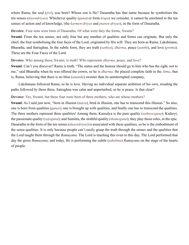where [Rama](#page-72-13), the soul (*[jivi](#page-69-2)*), was born? Whose son is He? [Dasaratha](#page-67-15) has that name because he symbolises the ten senses (*[dasendriyas](#page-67-16)*). Whichever quality (*[guna](#page-68-0)*) or form (*[rupa](#page-72-11)*) we consider, it cannot be unrelated to the ten senses of action and of knowledge, (the *[karmen-driyas](#page-69-12)* and *[jnanen-driyas](#page-69-13)*), in the form of [Dasaratha.](#page-67-15)

**Devotee**: Four sons were born of [Dasaratha](#page-67-15). Of what were they the forms, Swami?

**Swami**: From the ten senses, not only four but any number of qualities and forms can originate. But only the chief, the four symbolising the four faces of the Lord, originated by His will. They are born as [Rama](#page-72-13), [Lakshmana](#page-69-9), [Bharatha](#page-66-4), and [Satrughna](#page-73-13). In the subtle form, they are truth (*[sathya](#page-73-1)*), *[dharma](#page-67-1)*, peace (*[santhi](#page-73-9)*), and love (*[prema](#page-71-6)*). These are the Four Faces of the Lord.

**Devotee**: Who among these, Swami, is truth? Who represents *[dharma](#page-67-1)*, peace, and love?

**Swami**: Can't you discover? [Rama](#page-72-13) is truth. "The status and the honour should go to him who has the right, not to me," said [Bharatha](#page-66-4) when he was offered the crown, so he is *[dharma](#page-67-1)*. He placed complete faith in the *[Atma](#page-66-0)*, that is, [Rama,](#page-72-13) believing that there is no bliss (*[ananda](#page-65-10)*) sweeter than its uninterrupted company,

[Lakshmana](#page-69-9) followed [Rama,](#page-72-13) so he is love. Having no individual separate ambition of his own, treading the paths followed by these three, [Satrughna](#page-73-13) was calm and unperturbed, so he is peace. Is that clear?

**Devotee**: Yes, Swami, but these four were born of three mothers; who are whose mothers?

**Swami**: As I said just now, "born in illusion (*[maya](#page-70-5)*), bred in illusion, one has to transcend this illusion." So also, one is born from qualities (*[gunas](#page-68-0)*), one is brought up with qualities, and finally one has to transcend the qualities. The three mothers represent three qualities! Among them, [Kausalya](#page-69-14) is the pure quality (*[sathwa](#page-73-4)*-*[guna](#page-68-0)*); [Kaikeyi](#page-69-15), the passionate quality (*[rajoguna](#page-72-14)*); and [Sumitra,](#page-73-14) the slothful quality (*[thamoguna](#page-74-8)*); they play those roles, in the epic. [Dasaratha](#page-67-15) in the form of the ten senses (*[dasendriyas](#page-67-16)*) is associated with these qualities, so he is the embodiment of the sense-qualities. It is only because people can't easily grasp the truth through the senses and the qualities that the Lord taught them through the *[Ramayana](#page-72-12)*. The Lord is teaching this even to this day. The Lord performed that day the gross *[Ramayana](#page-72-12)*; and today, He is performing the subtle (*[sukshma](#page-73-8)*) *[Ramayana](#page-72-12)* on the stage of the hearts of people.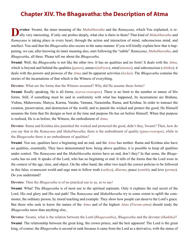### **Chapter XIV. The Bhagavatha: the Description of Atma**

**evotee**: Swami, the inner meaning of the *[Mahabharatha](#page-70-10)* and the *[Ramayana](#page-72-12)*, which You explained, is really very interesting. If only one probes deeply, what else is there in them? That kind of *[Mahabharatha](#page-70-10)* and *[Ramayana](#page-72-12)* is taking place in every heart, through the action and interaction of mind, subconscious mind, and intellect. You said that the *[Bhagavatha](#page-66-7)* also occurs in the same manner. If you will kindly explain how that is happening, we can, after knowing its inner meaning also, start following the "subtle" *[Ramayana](#page-72-12)*, *[Mahabharatha](#page-70-10)*, and *[Bhagavatha](#page-66-7)*, all three. Please tell me about the *[Bhagavatha](#page-66-7)*.

**Swami**: Well, the *[Bhagavatha](#page-66-7)* is not like the other two. It has no qualities and no form! It deals with the *[Atma](#page-66-0)*, which is beyond and behind the qualities (*[gunas](#page-68-0)*), senses (*[indriyas](#page-68-4)*), mind (*[manas](#page-70-3)*), and subconscious (*[chittha](#page-67-2)*); it deals with the powers and prowess of the *[Atma](#page-66-0)* and Its apparent activities (*[leelas](#page-70-11)*). The *[Bhagavatha](#page-66-7)* contains the stories of the incarnations of that which is the Witness of everything.

**Devotee**: What are the forms that the Witness assumed? Why did He assume those forms?

**Swami**: Really speaking, He is all forms, (*sarva-swarupee*). There is no limit to the number or nature of His forms. Still, if something must be said in conformity with what has happened, Its incarnations are [Brahma,](#page-67-3) [Vishnu,](#page-75-4) [Maheswara,](#page-70-13) [Matsya,](#page-70-14) [Kurma,](#page-69-16) [Varaha,](#page-74-10) [Vamana,](#page-74-11) [Narasimha,](#page-71-8) [Rama](#page-72-13), and [Krishna.](#page-69-8) In order to transact the creation, preservation, and destruction of the world, and to punish the wicked and protect the good, He Himself assumes the form that He designs as best at the time and purpose He has set before Himself. When that purpose is realised, He is as before, the Witness, the embodiment of *[Atma](#page-66-0)*.

**Devotee**: [Rama](#page-72-13) and [Krishna](#page-69-8) also punished the wicked and protected the good, didn't they, Swami? Then, how do you say that in the *[Ramayana](#page-72-12)* and *[Mahabharatha](#page-70-10)*, there is the embodiment of quality (*[guna](#page-68-0)*-*[swarupa](#page-73-2)*), while in the *[Bhagavatha](#page-66-7)* there is no embodiment of qualities?

**Swami**: You see, qualities have a beginning and an end, and the *[Atma](#page-66-0)* has neither. [Rama](#page-72-13) and [Krishna](#page-69-8) also have no qualities, essentially. They have demonstrated how, being above qualities, it is possible to keep all qualities under control. The *[Ramayana](#page-72-12)* and the *[Mahabharatha](#page-70-10)* stories have an end, don't they? In that sense, the *[Bhaga](#page-66-7)[vatha](#page-66-7)* has no end. It speaks of the Lord, who has no beginning or end. It tells of the forms that the Lord wore in the context of the age, time, and object. On the other hand, the other two teach the correct policies to be followed in this false, evanescent world and urge men to follow truth (*[sathya](#page-73-1)*), *[dharma](#page-67-1)*, peace (*[santhi](#page-73-9)*), and love (*[prema](#page-71-6)*). Do you understand?

#### **Devotee**: Then the *[Bhagavatha](#page-66-7)* is of no practical use to us, so to say!

**Swami**: What! The *[Bhagavatha](#page-66-7)* is of most use to the spiritual aspirants. Only it explains the real secret of the Lord. His real glory and His real path! The *[Ramayana](#page-72-12)* and *[Mahabharatha](#page-70-10)* try to some extent to uplift the commoner, the ordinary person, by moral teaching and example. They show how people can deserve the Lord's grace. But those who seek to know the nature of the *[Atma](#page-66-0)* and of the highest *[Atma](#page-66-0)* (*[Param-atma](#page-71-1)*) should study the *[Bhagavatha](#page-66-7)* more than anything else,.

**Devotee**: Swami, what is the relation between the Lord (*[Bhagavantha](#page-66-8)*), *[Bhagavatha](#page-66-7)* and the devotee (*[bhaktha](#page-66-9)*)? **Swami**: The relationship between the great king, the crown prince, and the heir apparent! The Lord is the great king, of course; the *[Bhagavatha](#page-66-7)* is second in rank because it came from the Lord as a derivative, with the status of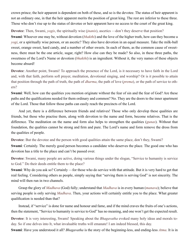crown prince; the heir apparent is dependent on both of these, and so is the devotee. The status of heir apparent is not an ordinary one, in that the heir apparent merits the position of great king. The rest are inferior to these three. Those who don't rise up to the status of devotee or heir apparent have no access to the court of the great king.

**Devotee**: Then, Swami, *[yogis](#page-75-5)*, the spiritually wise *(inanis)*, ascetics —don't they deserve that position?

**Swami**: Whoever one may be, without devotion (*[bhakthi](#page-67-12)*) and the love of the higher truth, how can they become a *[yogi](#page-75-5)*, or a spiritually wise person, or an ascetic? They also have devotion in an equal measure. Take the milk-ball sweet, orange sweet, hard candy, and a number of other sweets. In each of them, as the common cause of sweetness, there must be the one article, sugar, right? How else can they be made? So also, in these three paths, the sweetness of the Lord's Name or devotion (*[bhakthi](#page-67-12)*) is an ingredient. Without it, the very names of these objects become absurd!

**Devotee**: Another point, Swami! To approach the presence of the Lord, is it necessary to have faith in the Lord and, with that faith, perform soft prayer, meditation, devotional singing, and worship? Or is it possible to attain that position through the path of truth, the path of *[dharma](#page-67-1)*, the path of love (*[prema](#page-71-6)*), or the path of service to others?

**Swami**: Well, how can the qualities you mention originate without the fear of sin and the fear of God? Are these paths and the qualifications needed for them ordinary and common? No. They are the doors to the inner apartment of the Lord. Those that follow those paths can easily reach the precincts of the Lord.

And yet, there is a difference between friends and relatives! Those who only develop these qualities are friends, but those who practise them, along with devotion to the name and form, become relatives. That is the difference. The meditation on the name and form also helps to strengthen the qualities (*[gunas](#page-68-0)*). Without that foundation, the qualities cannot be strong and firm and pure. The Lord's name and form remove the dross from the qualities of people.

**Devotee**: But the devotee and the person with good qualities attain the same place, don't they, Swami?

**Swami**: Certainly. The merely good person becomes a candidate who deserves the place. The good one who has devotion has a title to the place and can't be passed over.

**Devotee**: Swami, many people are active, doing various things under the slogan, "Service to humanity is service to God." Do their deeds entitle them to the place?

**Swami**: Why do you ask so? Certainly —for those who do service with that attitude. But it is very hard to get that real feeling. Considering others as people, simply saying that "serving them is serving God" is not sincerity. The mind will then run in two channels.

Grasp the glory of *[Madhava](#page-70-15)* (God) fully; understand that *[Madhava](#page-70-15)* is in every human (*[manava](#page-70-16)*); believe that serving people is only serving *[Madhava](#page-70-15)*. Then, your actions will certainly entitle you to the place. What greater qualification is needed than that?

Instead, if "service" is done for name and honour and fame, and if the mind craves the fruits of one's actions, then the statement, "Service to humanity is service to God" has no meaning, and one won't get the expected result.

**Devotee**: It is very interesting, Swami! Speaking about the *[Bhagavatha](#page-66-7)* evoked many holy ideas and morals today. So if one delves into It, what invaluable truths will emanate! I am indeed blessed, this day.

**Swami**: Have you understood it all? *[Bhagavatha](#page-66-7)* is the story of the beginning-less, and ending-less *[Atma](#page-66-0)*. It is in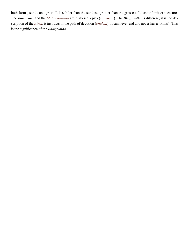both forms, subtle and gross. It is subtler than the subtlest, grosser than the grossest. It has no limit or measure. The *[Ramayana](#page-72-12)* and the *[Mahabharatha](#page-70-10)* are historical epics (*[Ithihasas](#page-68-12)*). The *[Bhagavatha](#page-66-7)* is different; it is the description of the *[Atma](#page-66-0)*; it instructs in the path of devotion (*[bhakthi](#page-67-12)*). It can never end and never has a "Finis". This is the significance of the *[Bhagavatha](#page-66-7)*.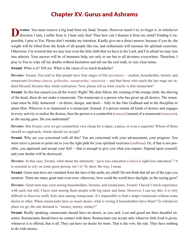### **Chapter XV. Gurus and Ashrams**

**evotee**: You must remove a big load from my head, Swami. However much I try to forget it, in whichever direction I turn, I suffer from it; I hear only that! Then how can I dismiss it from my mind? Finding it impossible, I pray to You. Please don't mistake my intention. Kindly give me a direct answer, because if you do, the weight will be lifted from the heads of all people like me, and enthusiasm will increase for spiritual exercises. Otherwise, I'm worried that we may lose even the little faith that we have in the Lord, and I'm afraid we may turn into atheists. Your answer will be of immense help, not only to me but to all devotees everywhere. Therefore, I pray to You to wipe off my doubts without hesitation and tell me the real truth, in very clear terms.

**Swami**: What is it? Tell me. What is the cause of so much headache?

**Devotee**: Swami, You told us that people have four stages of life (*[asramas](#page-65-12)*) —student, householder, hermit, and renunciant (*[brahma-charya](#page-67-17)*, *[grihastha](#page-68-13)*, *[vanaprastha](#page-74-12)*, *[sanyasin](#page-73-15)*)— and that those who reach the last stage are indeed blessed, because they attain realisation. Now, please tell us what exactly is that renunciant?

**Swami**: So this has caused you all the worry! Right? My dear fellow, the wearing of the orange cloth, the shaving of the head, these do not make a renunciant. The renunciant is a person who has given up all desires. The renunciant must be fully immersed —in desire, design, and deed— fully in the One Godhead and in the discipline to attain Him. Whoever is so immersed is a renunciant. Instead, if a person retains all kinds of desires and engages in every activity to realise the desires, then the person is a counterfeit (*[sanyasi](#page-73-16)*) instead of a renunciant (*[sanyasin](#page-73-15)*), as the saying goes. Do you understand?

**Devotee**: But Swami, now we get counterfeits very cheap for a rupee, a paisa, or even a cigarette! Whom of these should we approach, whom should we accept?

**Swami**: Why are you concerned with all this? You are concerned with your advancement, your progress. You must crave a person to point out to you the right path for your spiritual exercises (*[sadhana](#page-72-6)*). Or, if that is not possible, you approach and accept your Self —that is enough to give you what you require. Depend upon yourself, and your doubts will be destroyed.

**Devotee**: In that case, Swami, what about the statement, "*[guru](#page-68-3)*-less education (*[vidya](#page-75-6)*) is sight-less education"? It is essential to rely on some great person, isn't it? To show the way, I mean.

**Swami**: Great men have not vanished from the face of the earth, my child! Do not think that all are of the type you mention. There are many great men even now; otherwise, how could the world have daylight, as the saying goes?

**Devotee**: Great men may exist among householders, hermits, and renunciants, Swami! I haven't much experience with such, but still, I have seen among them people with big name and fame. However, I can say this: it is very difficult to discover really holy men among renunciants. It's impossible to find a single renunciant without some desire or other. When renunciants have so much desire, what is wrong if householders have them? To whichever place we go, the one demand is, "money, money, money!"

**Swami**: Really speaking, renunciants should have no desire, as you said. Lust and greed are their dreadful enemies. Renunciants should have no contact with them. Renunciants can accept only whatever little food is given, whenever it is offered, that is all. They can have no desire for more. That is the vow, the rule. They have nothing to do with money.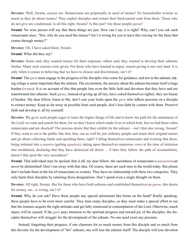**Devotee**: Well, Swami, excuse me. Renunciants are perpetually in need of money! No householder worries as much as they do about money! They exploit disciples and extract their hard-earned cash from them. Those who do not give are condemned. Is all this right, Swami? Is this just? Are these people *[guru](#page-68-3)*s?

**Swami**: No wise person will say that these things are just. How can I say it is right? Why, can't you ask such renunciants once, "Sirs, why do you need the money? Isn't it wrong for you to have this craving for the fame that comes through money?"

**Devotee**: Oh, I have asked them, Swami.

**Swami**: What did they say?

**Devotee**: Some said, they wanted money for their expenses; others said, they wanted to develop their ashrams further. Many such reasons were given. For those who have learned to argue, reason-giving is not very hard. It is only when it comes to believing that we have to choose and discriminate, isn't it?

**Swami**: The *[guru](#page-68-3)* must engage in the progress of the disciples who come for guidance, and not in the ashram; taking refuge is more important than the ashram. The excitement, the anxiety about the ashram becomes itself a huge burden (*srama*). It is on account of this that people lose even the little faith and devotion that they have and are transformed into atheists. Such *[gurus](#page-68-3)*, instead of giving up all ties, have yoked themselves tighter; they are beasts of burden. My dear fellow, listen to Me, don't cast your looks upon the *[guru](#page-68-3)* who inflicts pressure on a disciple to extract money. Keep as far away as possible from such people; don't lose faith by contact with them. Preserve faith and develop it, all by yourself.

**Devotee**: We go to such people eager to learn the higher things of life and to know the path for the attainment of the Lord; we seek and search for them, for we don't know which snake lives in which hole, but we find these cobra renunciants and are shocked! The anxious desire that they exhibit for the ashram —isn't that also wrong, Swami? If they want to serve the public like that, they can as well be just ordinary people and retain their original names and go about collecting funds and spending them, right? Calling themselves renunciants and wearing that dress, being initiated into a *[mantra](#page-70-17)* (getting *[upadesa](#page-74-13)*), taking upon themselves numerous vows at the time of initiation into monkhood, declaring that they have destroyed all desire ... if later they follow the path of accumulation, doesn't that spoil the very sacredness?

**Swami**: That individual may be spoiled, that is all, my dear fellow; the sacredness of renunciants (*[sanyasins](#page-73-15)*) can never be diminished! Don't run away with that idea. Of course, there are such men in the world today. But please don't include them in the list of renunciants or swamis. They have no relationship with these two categories. They only harm their disciples by retaining those designations. Don't spend even a single thought on them.

**Devotee**: All right, Swami. But for those who have built ashrams and established themselves as *[gurus](#page-68-3)*, this desire for money, etc., is wrong, isn't it?

**Swami**: Why do you ask? Have these people any special adornment like horns on the head? Really speaking, these people have to be even more careful. They train many disciples, so they must make a special effort to see that the trainees acquire the right attitudes and get fully immersed in contemplation of the Lord. Otherwise, much injury will be caused. If the *[guru](#page-68-3)* pays attention to the spiritual progress and inward joy of the disciples, the disciples themselves will struggle for the development of the ashram. No one need exert any pressure.

Instead, forgetting their progress, if one clamours for so much money from this disciple and so much from this devotee for the development of "his" ashram, one will lose the ashram itself! The disciple will lose devotion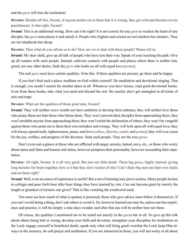and the *[guru](#page-68-3)* will lose the institution!

**Devotee**: Besides all this, Swami, if anyone points out to them that it is wrong, they get wild and threaten severe punishments. Is that right, Swami?

**Swami**: This is an additional wrong. How can it be right? It is not correct for any *[guru](#page-68-3)* to weaken the heart of any disciple; the *[guru](#page-68-3)* must please it and satisfy it. People who frighten and extract are not teachers but cheaters. They are not shepherds but sheep.

**Devotee**: Then what do you advise us to do? How are we to deal with these people? Please tell us.

**Swami**: My dear child, give up all talk of people who have lost their way. Speak of your reaching the path. Give up all contact with such people. Instead, cultivate contacts with people and places where there is neither lust, greed, nor any other desire. Seek the *[guru](#page-68-3)* who looks on all with equal love (*[prema](#page-71-6)*).

The real *[guru](#page-68-3)* must have certain qualities. Note this. If these qualities are present, go there and be happy.

If you don't find such a place, meditate on God within yourself. Do meditation and devotional singing. That is enough; you needn't search for another place at all. Whenever you have leisure, read good devotional books. Even from these books, take what you need and discard the rest. Be careful; don't get entangled in all kinds of nets and traps.

**Devotee**: What are the qualities of those great men, Swami?

**Swami**: They will neither crave wealth nor have ambition to develop their ashrams; they will neither love those who praise them nor hate those who blame them. They won't prevent their disciples from approaching them; they won't prohibit anyone from approaching them; they won't relish the defamation of others; they won't be vengeful against those who point out to them their own mistakes and wrongs. They will look upon all with equal love; they will always spread truth, righteousness, peace, and love (*[sathya](#page-73-1)*, *[dharma](#page-67-1)*, *[santhi](#page-73-9)*, and *[prema](#page-71-6)*); they will ever yearn for the joy, welfare, and progress of the devotees. Seek such people. They are the true *[gurus](#page-68-3)*.

Don't even cast a glance at those who are afflicted with anger, anxiety, hatred, envy, etc., or those who worry about name and fame and honour and status, however pompous their personality, however resounding their reputation.

**Devotee**: All right, Swami. It is all very good. But just one little doubt. These big *[gurus](#page-68-3)*, highly learned, giving long lectures for hours together, how is it that they don't realise all this? Can't these big men see their own faults and set them right?

**Swami**: Well, even an ounce of experience is useful! But a ton of learning may prove useless. Many people lecture in colleges and pour forth hour after hour things they have learned by rote. Can one become great by merely the length or grandeur of lectures one gives? That is like vomiting the swallowed meal.

You must see how much of what is spoken is practised; those who give advice must follow it themselves. If you can't avoid doing a thing, don't ask others to avoid it. So, however learned one may be, unless one has experience and practice, it will be simply a nine-days wonder, and after that one will be neither here nor there.

Of course, the qualities I mentioned are to be noted not merely in the *[guru](#page-68-3)*s but in all. So give up this talk about others being bad or wrong; develop your faith and devotion; strengthen your discipline for meditation on the Lord; engage yourself in beneficial deeds; speak only what will bring good; worship the Lord; keep Him always in the memory; do soft prayer and meditation. If you are immersed in these, you will not worry at all about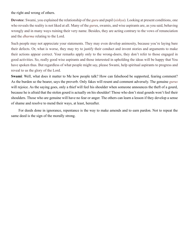the right and wrong of others.

**Devotee**: Swami, you explained the relationship of the *[guru](#page-68-3)* and pupil (*[sishya](#page-73-17)*). Looking at present conditions, one who reveals the reality is not liked at all. Many of the *[guru](#page-68-3)*s, swamis, and wise aspirants are, as you said, behaving wrongly and in many ways ruining their very name. Besides, they are acting contrary to the vows of renunciation and the *[dharma](#page-67-1)* relating to the Lord.

Such people may not appreciate your statements. They may even develop animosity, because you're laying bare their defects. Or, what is worse, they may try to justify their conduct and invent stories and arguments to make their actions appear correct. Your remarks apply only to the wrong-doers, they don't refer to those engaged in good activities. So, really good wise aspirants and those interested in upholding the ideas will be happy that You have spoken thus. But regardless of what people might say, please Swami, help spiritual aspirants to progress and reveal to us the glory of the Lord.

**Swami**: Well, what does it matter to Me how people talk? How can falsehood be supported, fearing comment? As the burden so the bearer, says the proverb. Only fakes will resent and comment adversely. The genuine *[gurus](#page-68-3)* will rejoice. As the saying goes, only a thief will feel his shoulder when someone announces the theft of a gourd, because he is afraid that the stolen gourd is actually on his shoulder! Those who don't steal gourds won't feel their shoulders. Those who are genuine will have no fear or anger. The others can learn a lesson if they develop a sense of shame and resolve to mend their ways, at least, hereafter.

For deeds done in ignorance, repentance is the way to make amends and to earn pardon. Not to repeat the same deed is the sign of the morally strong.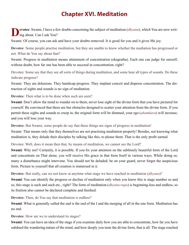# **Chapter XVI. Meditation**

**Pevotee**: Swami, I have a few doubts concerning the subject of meditation (*[dhyana](#page-68-5)*), which You are now writing about. Can I ask You?

Swami: Of course, you can ask and have your doubts removed. It is good for you and it gives Me joy.

**Devotee**: Some people practise meditation, but they are unable to know whether the mediation has progressed or not. What do You say about that?

Swami: Progress in meditation means attainment of concentration (ekagratha). Each one can judge for oneself, without doubt, how far one has been able to succeed in concentration, right?

Devotee: Some say that they see all sorts of things during meditation, and some hear all types of sounds. Do these indicate progress?

Swami: They are delusions. They handicap progress. They implant conceit and disperse concentration. The distraction of sights and sounds is no sign of meditation.

**Devotee**: Then what is to be done when such are seen?

**Swami**: Don't allow the mind to wander on to them; never lose sight of the divine form that you have pictured for yourself. Be convinced that these are but obstacles designed to scatter your attention from the divine form. If you permit these sights and sounds to creep in, the original form will be dimmed, your ego (*[ahamkara](#page-65-1)*) will increase, and you will lose your way.

**Devotee**: But Swami, some people do say that these things are signs of progress in meditation!

Swami: That means only that they themselves are not practising meditation properly! Besides, not knowing what meditation is, they delude their disciples by talking like this, to please them. That is the only profit earned.

Devotee: Well, does it mean then that, by means of meditation, we cannot see the Lord?

**Swami**: Why not? Certainly, it is possible. If you fix your attention on the sublimely beautiful form of the Lord and concentrate on That alone, you will receive His grace in that form Itself in various ways. While doing so, many a disturbance might intervene. You should not be deluded; be on your guard, never forget the auspicious form. Picture to yourself that all creation is immersed in it.

**Devotee**: But really, can we not know at anytime what stage we have reached in meditation (*[dhyana](#page-68-5)*)?

**Swami**: You can identify the progress or decline of meditation only when you know this is stage number so and so, this stage is such and such etc., right? The form of meditation (*[dhyana](#page-68-5)*-*[rupa](#page-72-11)*) is beginning-less and endless, so its fruition also cannot be declared complete and finished.

**Devotee**: Then, do You say that meditation is endless?

**Swami**: What is generally called the end is the end of the I and the merging of all in the one form. Meditation has no end.

**Devotee**: How are we to understand its stages?

**Swami**: You can have an idea of the stage if you examine daily how you are able to concentrate, how far you have subdued the wandering nature of the mind, and how deeply you taste the divine form; that is all. The stage reached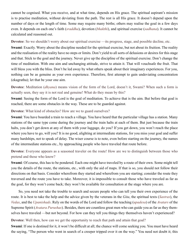cannot be cognised. What you receive, and at what time, depends on His grace. The spiritual aspirant's mission is to practise meditation, without deviating from the path. The rest is all His grace. It doesn't depend upon the number of days or the length of time. Some may require many births; others may realise the goal in a few days even. It depends on each one's faith (*[sraddha](#page-73-18)*), devotion (*[bhakthi](#page-67-12)*), and spiritual exercise (*[sadhana](#page-72-6)*). It cannot be calculated and reasoned out.

**Devotee**: So we shouldn't worry about our spiritual exercise —its progress, stage, and possible decline, etc.

**Swami**: Exactly. Worry about the discipline needed for the spiritual exercise, but not about its fruition. The reality and the realisation of the reality have no steps or limits. Don't yield to all sorts of delusions or desires for this stage and that. Stick to the goal and the journey. Never give up the discipline of the spiritual exercise. Don't change the time of meditation. With one aim and unchanging attitude, strive to attain it. That will vouchsafe the fruit. That will bless you with the bliss. Don't be led away by what others speak about their imaginary experiences. For you, nothing can be as genuine as your own experience. Therefore, first attempt to gain undeviating concentration (ekagratha); let that be your one aim.

**Devotee**: Meditation (*[dhyana](#page-68-5)*) means vision of the form of the Lord, doesn't it, Swami? When such a form is actually seen, they say it is not real and genuine! What do they mean by this?

**Swami**: Seeing the form of the Lord is the goal of meditation. To achieve that is the aim. But before that goal is reached, there are some obstacles in the way. These are to be guarded against.

**Devotee**: What kind of obstacles? How are we to guard ourselves?

**Swami**: You have boarded a train to reach a village. You have heard that the particular village has a station. Many stations of the same type come during the journey and the train halts at each of them. But just because the train halts, you don't get down at any of them with your luggage, do you? If you get down, you won't reach the place where you have to go, will you? It is no good, alighting at intermediate stations, for you miss your goal and suffer many hardships, not to speak of delay. The wiser course is to note, even before starting on the journey, the names of the intermediate stations etc., by approaching people who have traveled that route before.

**Devotee**: Everyone appears as a seasoned traveler on the route! How are we to distinguish between those who pretend and those who know?

**Swami**: Of course, this has to be pondered. Each one might have traveled by a route of their own. Some might tell you the details of the route, the stations, etc., with only the aid of maps. If that is so, you should not follow their directions on that basis. Consider wherefrom they started and wherefrom you are starting; consider the route they traversed and the route you have to take. Moreover, it is impossible to consult those who have traveled as far as the goal, for they won't come back; they won't be available for consultation at the stage where you are.

So, you need not take the trouble to search and secure people who can tell you their own experience of the route. It is best to take the help and the advice given by the veterans in the *[Gita](#page-68-14)*, the spiritual texts (*[Sastras](#page-73-6)*), the *[Vedas](#page-75-7)*, and the *[Upanishads](#page-74-14)*. Rely on the words of the Lord and follow the teaching (*[upadesa](#page-74-13)*) of the *[Avatars](#page-66-10)* of the Supreme Spirit (*Avatara [Purushas](#page-72-0)*). Besides, there are countless great men who can guide you as far as they themselves have traveled —but not beyond. For how can they tell you things they themselves haven't experienced?

**Devotee**: Well then, how can we get the opportunity to reach that path and attain that goal?

**Swami**: If one is destined for it, it won't be difficult at all; the chance will come seeking you. You must have heard the saying, "The person who went in search of a creeper tripped over it on the way." You need not doubt it; this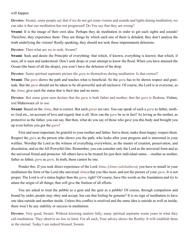will happen.

**Devotee**: Swami, some people say that if we do not get some visions and sounds and lights during meditation, we can take it that our meditation has not progressed! Do You say that they are wrong?

**Swami**: It is the image of their own idea. Perhaps they do meditation in order to get such sights and sounds! Therefore, they experience them. They are things by which each one of them is deluded; they don't analyse the truth underlying the visions! Really speaking, they should not seek these impermanent delusions.

**Devotee**: Then what are we to seek, Swami?

**Swami**: Seek and desire the Principle of everything: that which, if known, everything is known; that which, if seen, all is seen and understood. Don't seek drops in your attempt to know the flood. When you have attained the Ocean (the basis of all the drops), you won't have the delusion of the drop.

**Devotee**: Some spiritual aspirants picture the *[guru](#page-68-3)* to themselves during meditation. Is that correct?

**Swami**: The *[guru](#page-68-3)* shows the path and teaches what is beneficial. So the *[guru](#page-68-3)* has to be shown respect and gratitude. But the *[guru](#page-68-3)* should not be taken to be all-powerful and all-inclusive. Of course, the Lord is in everyone, as the *[Atma](#page-66-0)*; give each the status that is their due and no more.

**Devotee**: But some great men declare that the *[guru](#page-68-3)* is both father and mother; that the *[guru](#page-68-3)* is [Brahma,](#page-67-3) [Vishnu,](#page-75-4) and [Maheswara](#page-70-13) all in one.

**Swami**: Based on the *[Atma](#page-66-0)*, that is correct. But such *[gurus](#page-68-3)* are rare. You can speak of such a *[guru](#page-68-3)* as father, mother, God etc., on account of love and regard, that is all. How can the *[guru](#page-68-3)* be so in fact? As loving as the mother, as protective as the father, you can say. But then, what do you say of those who gave you this body and brought you up even before you got the *[guru](#page-68-3)*?

First and most important, be grateful to your mother and father. Serve them; make them happy; respect them. Respect the *[guru](#page-68-3)* as the person who shows you the path, who looks after your progress and is interested in your welfare. Worship the Lord as the witness of everything everywhere, as the master of creation, preservation, and dissolution, and as the All-Powerful One. Remember, you can consider only the Lord as the universal form and as the universal friend and protector. All others have to be treated for just their individual status —mother as mother, father as father, *[guru](#page-68-3)* as *[guru](#page-68-3)*. In truth, these cannot be one.

Ponder this. If you seek direct experience of the Lord *[Atma](#page-66-0)*, (*[Atma-sakshatkara](#page-66-11)*), you have to install in your meditation the form of the Lord (the universal *[Atma](#page-66-0)*) that you like most, and not the picture of your *[guru](#page-68-3)*. It is not proper. The Lord is of a status higher than the *[guru](#page-68-3)*, right? Of course, have His words as the foundation and try to attain the origin of all things; that will give the fruition of all efforts.

You are asked to treat the pebble as a gem and the gem as a pebble! Of course, through compulsion and bound by order, people may obey and accept, but can that feeling be genuine? It is no sign of meditation to have one idea outside and another inside. Unless this conflict is resolved and the same idea is outside as well as inside, there won't be any stability or success in meditation.

**Devotee**: Very good, Swami. Without knowing matters fully, many spiritual aspirants waste years in what they call meditation. They observe no law or limit. For all such, Your advice shows the Reality. It will establish them in the eternal. Today I am indeed blessed, Swami.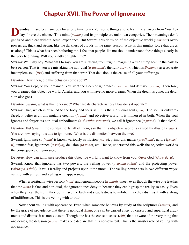### **Chapter XVII. The Power of Ignorance**

**Devote**: I have been anxious for a long time to ask You some things and to learn the answers from You. To-<br>day, I have the chance. This mind (*[manas](#page-70-3)*) and its principle are unknown categories. Their meanings don't get fixed and clear without actual experience. But Swami, this delusion of the objective world (*[samsara](#page-72-2)*) overpowers us, thick and strong, like the darkness of clouds in the rainy season. What is this mighty force that drags us along? This is what has been bothering me. I feel that people like me should understand these things clearly in the very beginning. Will you kindly enlighten me?

**Swami**: Well, my boy. What am I to say? You are suffering from fright, imagining a tree stump seen in the park to be a person. That is, you are mistaking the non-dual (*[a-dwaitha](#page-65-13)*), the full (*p[urna](#page-71-9)*), which is *[Brahman](#page-67-4)* as a separate incomplete soul (*[jiva](#page-69-1)*) and suffering from that error. That delusion is the cause of all your sufferings.

**Devotee**: How, then, did this delusion come about?

**Swami**: You slept, or you dreamed. You slept the sleep of ignorance (*[a-jnana](#page-65-8)*) and delusion (*[moha](#page-70-12)*). Therefore, you dreamed this objective world. Awake, and you will have no more dreams. When the dream is gone, the delusion also goes.

**Devotee**: Swami, what is this ignorance? What are its characteristics? How does it operate?

**Swami**: That, which is attached to the body and feels as "I" is the individual soul (*[jiva](#page-69-1)*). The soul is outwardfaced; it believes all this mutable creation (*[jagath](#page-68-6)*) and objective world; it is immersed in both. When the soul ignores and forgets its non-dual embodiment (*[a-dwaitha](#page-65-13)*-*[swarupa](#page-73-2)*), we call it ignorance (*[a-jnana](#page-65-8)*). Is that clear?

**Devotee**: But Swami, the spiritual texts, all of them, say that this objective world is caused by illusion (*[maya](#page-70-5)*). You are now saying it is due to ignorance. What is the distinction between the two?

**Swami**: Ignorance (*[a-jnana](#page-65-8)*) is known variously as illusion (*[maya](#page-70-5)*), primordial matter (*[pradhana](#page-71-10)*), nature (*[prakri](#page-71-0)[ti](#page-71-0)*), unmanifest, ignorance (*[a-vidya](#page-66-12)*), delusion (*[thamas](#page-74-0)*), etc. Hence, understand this well: the objective world is the consequence of ignorance.

**Devotee**: How can ignorance produce this objective world; I want to know from you, *[Guru](#page-68-3)*-God (*[Guru](#page-68-3)*-*[deva](#page-67-18)*).

**Swami**: Know that ignoranc has two powers: the veiling power (*[avarana-sakthi](#page-66-13)*) and the projecting power (*[vikshepa-sakthi](#page-75-8)*). It veils Reality and projects upon it the unreal. The veiling power acts in two different ways: veiling with untruth and veiling with appearance.

When a spiritually wise person (*[jnani](#page-69-4)*) and ignorant people (*[a-jnanis](#page-65-5)*) meet, even though the wise one teaches that the *[Atma](#page-66-0)* is One and non-dual, the ignorant ones deny it, because they can't grasp the reality so easily. Even when they hear the truth, they don't have the faith and steadfastness to imbibe it, so they dismiss it with a shrug of indifference. This is the veiling with untruth.

Now about veiling with appearance. Even when someone believes by study of the scriptures (*s[astras](#page-73-6)*) and by the grace of providence that there is non-dual *[Atma](#page-66-0)*, one can be carried away by cursory and superficial arguments and dismiss it as non-existent. Though one has the consciousness (*[chit](#page-67-0)*) that is aware of the very thing that one denies, the delusion (*[moha](#page-70-12)*) makes one declare that it is non-existent. This is the sinister role of veiling with appearance.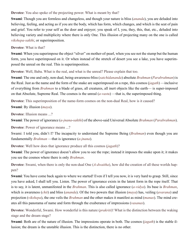**Devotee**: You also spoke of the projecting power. What is meant by that?

**Swami**: Though you are formless and changeless, and though your nature is bliss (*[ananda](#page-65-10)*), you are deluded into believing, feeling, and acting as if you are the body, which has form, which changes, and which is the seat of pain and grief. You refer to your self as the doer and enjoyer; you speak of I, you, they, this, that, etc., deluded into believing variety and multiplicity where there is only One. This illusion of projecting many on the one is called *[vikshepa-sakthi](#page-75-8)*, or superimposition.

#### **Devotee**: What is that?

**Swami**: When you superimpose the object "silver" on mother-of-pearl, when you see not the stump but the human form, you have superimposed on it. Or when instead of the stretch of desert you see a lake, you have superimposed the unreal on the real. This is superimposition.

**Devotee**: Well, Baba. What is the real, and what is the unreal? Please explain that too.

**Swami**: The one and only, non-dual, being-awareness-bliss (*[satchidananda](#page-4-0)*) absolute *[Brahman](#page-67-4)* (*[Parabrahman](#page-71-11)*) is the Real. Just as the name and the form of the snake are superimposed on a rope, this cosmos (*[jagath](#page-68-6)*) —inclusive of everything from *[Brahman](#page-67-4)* to a blade of grass, all creatures, all inert objects like the earth— is super-imposed on that Absolute, Supreme Real. The cosmos is the unreal (*[a-vastu](#page-66-14)*) —that is, the superimposed thing.

**Devotee**: This superimposition of the name-form cosmos on the non-dual Real, how is it caused?

**Swami**: By illusion (*[maya](#page-70-5)*).

**Devotee**: Illusion means ...?

**Swami**: The power of ignorance (*[a-jnana](#page-65-8)*-*[sakthi](#page-72-1)*) of the above-said Universal Absolute *[Brahman](#page-67-4)* (*[Parabrahman](#page-71-11)*).

**Devotee**: Power of ignorance means ...?

Swami: I told you, didn't I? The incapacity to understand the Supreme Being (*[Brahman](#page-67-4)*) even though you are fundamentally *[Brahman](#page-67-4)* —that is ignorance (*[a-jnana](#page-65-8)*).

**Devotee**: Well how does that ignorance produce all this cosmos (*[jagath](#page-68-6)*)?

**Swami**: The power of ignorance doesn't allow you to see the rope; instead it imposes the snake upon it; it makes you see the cosmos where there is only *[Brahman](#page-67-4)*.

**Devotee**: Swami, when there is only the non-dual One (*[A-dwaitha](#page-65-13)*), how did the creation of all these worlds happen?

**Swami**: You have come back again to where we started! Even if I tell you now, it is very hard to grasp. Still, since you have asked, I shall tell you. Listen. The power of ignorance exists in the latent form in the rope itself. That is to say, it is latent, unmanifested in the *[Brahman](#page-67-4)*. This is also called ignorance (*[a-vidya](#page-66-12)*). Its base is *[Brahman](#page-67-4)*, which is awareness (*[chit](#page-67-0)*) and bliss (*[ananda](#page-65-10)*). Of the two powers that illusion (*[maya](#page-70-5)*) has, veiling (*[avarana](#page-66-15)*) and projection (*[vikshepa](#page-75-9)*), the one veils the *[Brahman](#page-67-4)* and the other makes it manifest as mind (*[manas](#page-70-3)*). The mind creates all this panorama of name and form through the exuberance of impressions (*[vasanas](#page-74-15)*).

**Devotee**: Wonderful, Swami. How wonderful is this nature (*[prakriti](#page-71-0)*)! What is the distinction between the waking stage and the dream stage?

**Swami**: Both are of the nature of illusion. The impressions operate in both. The cosmos (*[jagath](#page-68-6)*) is the stable illusion; the dream is the unstable illusion. This is the distinction, there is no other.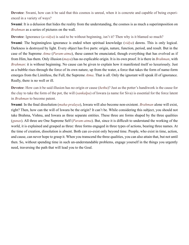**Devotee**: Swami, how can it be said that this cosmos is unreal, when it is concrete and capable of being experienced in a variety of ways?

**Swami**: It is a delusion that hides the reality from the understanding, the cosmos is as much a superimposition on *[Brahman](#page-67-4)* as a series of pictures on the wall.

**Devotee**: Ignorance (*[a-vidya](#page-66-12)*) is said to be without beginning, isn't it? Then why is it blamed so much?

**Swami**: The beginningless ignorance is ended when spiritual knowledge (*[vidya](#page-75-6)*) dawns. This is only logical. Darkness is destroyed by light. Every object has five parts: origin, nature, function, period, and result. But in the case of the Supreme *[Atma](#page-66-0)* (*[Param-atma](#page-71-1)*), these cannot be enunciated, though everything that has evolved as if from Him, has them. Only illusion (*[maya](#page-70-5)*) has no explicable origin. It is its own proof. It is there in *[Brahman](#page-67-4)*, with *[Brahman](#page-67-4)*: it is without beginning. No cause can be given to explain how it manifested itself so luxuriously. Just as a bubble rises through the force of its own nature, up from the water, a force that takes the form of name-form emerges from the Limitless, the Full, the Supreme *[Atma](#page-66-0)*. That is all. Only the ignorant will speak ill of ignorance. Really, there is no well or ill.

**Devotee**: How can it be said illusion has no origin or cause (*[hethu](#page-68-15)*)? Just as the potter's handiwork is the cause for the clay to take the form of the pot, the will (*[sankalpa](#page-72-7)*) of [Iswara](#page-68-16) (a name for [Siva\)](#page-73-0) is essential for the force latent in *[Brahman](#page-67-4)* to become patent.

**Swami**: In the final dissolution (*[maha-pralaya](#page-70-18)*), [Iswara](#page-68-16) will also become non-existent. *[Brahman](#page-67-4)* alone will exist, right? Then, how can the will of [Iswara](#page-68-16) be the origin? It can't be. While considering this subject, you should not take [Brahma,](#page-67-3) [Vishnu](#page-75-4), and [Iswara](#page-68-16) as three separate entities. These three are forms shaped by the three qualities (*[gunas](#page-68-0)*). All three are One Supreme Self (*[Param-atma](#page-71-1)*). But, since it is difficult to understand the working of the world, it is explained and grasped as three: three forms engaged in three types of actions, bearing three names. At the time of creation, dissolution is absent. Both can co-exist only beyond time. People, who exist in time, action, and cause, can never hope to grasp it. When you transcend the three qualities, you can also attain that, but not until then. So, without spending time in such un-understandable problems, engage yourself in the things you urgently need, traversing the path that will lead you to the Goal.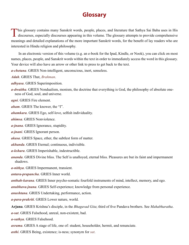### **Glossary**

This glossary contains many Sanskrit words, people, places, and literature that Sathya Sai Baba uses in His discourses, especially discourses appearing in this volume. The glossary attempts to provide comprehensive meanings and detailed explanations of the more important Sanskrit words, for the benefit of lay readers who are interested in Hindu religion and philosophy.

In an electronic version of this volume (e.g. an e-book for the Ipad, Kindle, or Nook), you can click on most names, places, people, and Sanskrit words within the text in order to immediately access the word in this glossary. Your device will also have an arrow or other link to press to get back to the text.

*a-chetana*. GRIES Non-intelligent, unconscious, inert, senseless.

*Adah*. GRIES That, *[Brahman](#page-67-4)*.

*adhyasa*. GRIES Superimposition.

<span id="page-65-13"></span>*a-dwaitha*. GRIES Nondualism, monism, the doctrine that everything is God, the philosophy of absolute oneness of God, soul, and universe.

*agni*. GRIES Fire element.

<span id="page-65-2"></span>*aham*. GRIES The knower, the "I".

<span id="page-65-1"></span>*ahamkara*. GRIES Ego, self-love, selfish individuality.

<span id="page-65-9"></span>*ahimsa*. GRIES Nonviolence.

<span id="page-65-8"></span>*a-jnana*. GRIES Ignorance, stupidity.

<span id="page-65-5"></span>*a-jnani*. GRIES Ignorant person.

<span id="page-65-4"></span>*akasa*. GRIES Space, ether, the subtlest form of matter.

*akhanda*. GRIES Eternal; continuous, indivisible.

<span id="page-65-6"></span>*a-kshara*. GRIES Imperishable, indestructible.

<span id="page-65-10"></span>*ananda*. GRIES Divine bliss. The Self is unalloyed, eternal bliss. Pleasures are but its faint and impermanent shadows.

*a-nithya*. GRIES Impermanent, transient.

*antara-prapancha*. GRIES Inner world.

<span id="page-65-3"></span>*anthah-karana*. GRIES Inner psycho-somatic fourfold instruments of mind, intellect, memory, and ego.

<span id="page-65-11"></span>*anubhava-jnana*. GRIES Self-experience; knowledge from personal experience.

*anushtana*. GRIES Undertaking, performance, action.

*a-para-prakriti*. GRIES Lower nature, world.

<span id="page-65-14"></span>**Arjuna**. GRIES [Krishna'](#page-69-8)s disciple, in the *[Bhagavad Gita](#page-66-16)*; third of five [Pandava](#page-71-7) brothers. See *[Mahabharatha](#page-70-10)*. *a-sat*. GRIES Falsehood, unreal, non-existent, bad.

<span id="page-65-0"></span>*a-sathya*. GRIES Falsehood.

<span id="page-65-12"></span>*asrama*. GRIES A stage of life, one of: student, householder, hermit, and renunciate.

<span id="page-65-7"></span>*asthi*. GRIES Being, existence; is-ness; synonym for *sat*.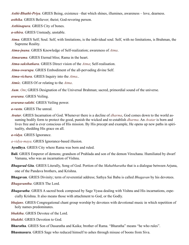<span id="page-66-2"></span>*Asthi-Bhathi-Priya*. GRIES Being, existence –that which shines, illumines, awareness – love, dearness.

*asthika*. GRIES Believer; theist; God-revering person.

<span id="page-66-5"></span>*Asthinapura*. GRIES City of bones.

*a-sthira*. GRIES Unsteady, unstable.

- <span id="page-66-0"></span>*Atma*. GRIES Self; Soul. Self, with limitations, is the individual soul. Self, with no limitations, is [Brahman](#page-67-4), the Supreme Reality.
- <span id="page-66-3"></span>*Atma-jnana*. GRIES Knowledge of Self-realization; awareness of *[Atma](#page-66-0)*.

<span id="page-66-6"></span>*Atmarama*. GRIES Eternal bliss; [Rama](#page-72-13) in the heart.

<span id="page-66-11"></span>*Atma-sakshatkara*. GRIES Direct vision of the *[Atma](#page-66-0)*; Self-realisation.

<span id="page-66-1"></span>*Atma-swarupa*. GRIES Embodiment of the all-pervading divine Self.

*Atma-vichara*. GRIES Inquiry into the *[Atma](#page-66-0)*..

*Atmic*. GRIES Of or relating to the *[Atma](#page-66-0)*.

*Aum*. *[Om](#page-71-12)*; GRIES Designation of the Universal [Brahman;](#page-67-4) sacred, primordial sound of the universe.

<span id="page-66-15"></span>*avarana*. GRIES Veiling.

<span id="page-66-13"></span>*avarana-sakthi*. GRIES Veiling power.

<span id="page-66-14"></span>*a-vastu*. GRIES The unreal.

<span id="page-66-10"></span>*Avatar*. GRIES Incarnation of God. Whenever there is a decline of *[dharma](#page-67-1)*, God comes down to the world assuming bodily form to protect the good, punish the wicked and re-establish *[dharma](#page-67-1)*. An *Avatar* is born and lives free and is ever conscious of His mission. By His precept and example, He opens up new paths in spirituality, shedding His grace on all.

<span id="page-66-12"></span>*a-vidya*. GRIES Ignorance.

*a-vidya-maya*. GRIES Ignorance-based illusion.

- <span id="page-66-17"></span>**Ayodhya**. GRIES City where Rama was born and ruled.
- **Bali**. GRIES Emperor of demons; grandson of [Prahlada](#page-71-13) and son of the demon Virochana. Humiliated by dwarf [Vamana,](#page-74-11) who was an incarnation of [Vishnu](#page-75-4).
- <span id="page-66-16"></span>*Bhagavad Gita*. GRIES Literally, Song of God. Portion of the *[Mahabharatha](#page-70-10)* that is a dialogue between [Arjuna](#page-65-14), one of the [Pandava](#page-71-7) brothers, and [Krishna](#page-69-8).

**Bhagavan**. GRIES Divinity; term of reverential address; Sathya Sai Baba is called *Bhagavan* by his devotees.

<span id="page-66-8"></span>*Bhagavantha*. GRIES The Lord.

- <span id="page-66-7"></span>*Bhagavatha*. GRIES A sacred book composed by Sage [Vyasa](#page-75-10) dealing with [Vishnu](#page-75-4) and His incarnations, especially [Krishna.](#page-69-8) It also means those with attachment to God, or the Godly.
- *bhajans*. GRIES Congregational chant group worship by devotees with devotional music in which repetition of holy names predominates.

<span id="page-66-9"></span>*bhaktha*. GRIES Devotee of the Lord.

*bhakthi*. GRIES Devotion to God.

<span id="page-66-4"></span>**Bharatha**. GRIES Son of [Dasaratha](#page-67-15) and [Kaika;](#page-69-15) brother of [Rama.](#page-72-13) "Bharatha" means "he who rules".

**Bhasmasura**. GRIES Sage who reduced himself to ashes through misuse of boons from [Siva.](#page-73-0)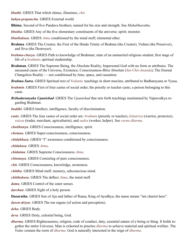<span id="page-67-12"></span>*bhathi*. GRIES That which shines, illumines; *chit*.

*bahya-prapancha*. GRIES External world.

<span id="page-67-21"></span>**Bhima**. Second of five [Pandava](#page-71-7) brothers; named for his size and strength. See *[Mahabharatha](#page-70-10)*.

<span id="page-67-6"></span>*bhutha*. GRIES Any of the five elementary constituents of the universe; spirit; monster.

<span id="page-67-9"></span>*bhuthakasa*. GRIES *Atma* conditioned by the mind stuff; elemental ether.

- <span id="page-67-3"></span>**Brahma**. GRIES The Creator, the First of the Hindu Trinity of Brahma (the Creator), [Vishnu](#page-75-4) (the Preserver), and [Siva](#page-73-0) (the Destroyer).
- <span id="page-67-17"></span>*brahma-charya*. GRIES Path to knowledge of [Brahman;](#page-67-4) state of an unmarried religious student; first stage of life of a *[brahmin](#page-67-19)*; spiritual studentship.
- <span id="page-67-4"></span>**Brahman**. GRIES The Supreme Being, the Absolute Reality, Impersonal God with no form or attributes. The uncaused cause of the Universe, Existence, Consciousness-Bliss Absolute (*[Sat-Chit-Ananda](#page-4-0)*); The Eternal Changeless Reality — not conditioned by time, space, and causation.
- *Brahma Sutra*. GRIES Spiritual text of *[Vedantic](#page-75-11)* teachings in short maxims, attributed to Badharayana or [Vyasa](#page-75-10).
- <span id="page-67-19"></span>*brahmin*. GRIES First of four [castes](#page-67-20) of social order, the priestly or teacher caste; a person belonging to this [caste.](#page-67-20)
- *Brihadaranyaka Upanishad*. GRIES The *[Upanishad](#page-74-14)* that sets forth teachings maintained by [Yajnavalkya](#page-75-12) regarding [Brahman.](#page-67-4)
- <span id="page-67-10"></span>*buddhi*. GRIES Intellect, intelligence, faculty of discrimination.
- <span id="page-67-20"></span>**caste**. GRIES The four castes of social order are: *brahmin* (priestly or teacher), *kshatriya* (warrior, protector), *vaisya* (trader, merchant, agriculturist), and *sudra* (worker, helper). See *[varna dharma](#page-67-20)*.

<span id="page-67-14"></span>*chaithanya*. GRIES Consciousness, intelligence, spirit.

*chetana*. GRIES Super-consciousness, consciousness.

<span id="page-67-5"></span>*chidabhasa*. GRIES "I" awareness conditioned by consciousness.

<span id="page-67-7"></span>*chidakasa*. GRIES *Atma*.

*chidatma*. GRIES Supreme Consciousness *Atma*.

<span id="page-67-11"></span>*chinmaya*. GRIES Consisting of pure consciousness.

<span id="page-67-0"></span>*chit*. GRIES Consciousness, knowledge, awareness.

<span id="page-67-2"></span>*chittha*. GRIES Mind stuff, memory, subconscious mind.

<span id="page-67-8"></span>*chitthakasa*. GRIES The deflect *Atma*, the mind stuff.

<span id="page-67-13"></span>*dama*. GRIES Control of the outer senses.

*darshan*. GRIES Sight of a holy person.

<span id="page-67-15"></span>**Dasaratha**. GRIES Son of Aja and father of [Rama;](#page-72-13) King of [Ayodhya](#page-66-17); the name means "ten chariot hero".

<span id="page-67-16"></span>*dasen-driyas*. GRIES The ten organs (of action and perception).

*deha*. GRIES Body.

<span id="page-67-18"></span>*deva*. GRIES Deity, celestial being, God.

<span id="page-67-1"></span>*dharma*. GRIES Righteousness, religion, code of conduct, duty, essential nature of a being or thing. It holds together the entire Universe. Man is exhorted to practise *dharma* to achieve material and spiritual welfare. The *[Vedas](#page-75-7)* contain the roots of *dharma*. God is naturally interested in the reign of *dharma*.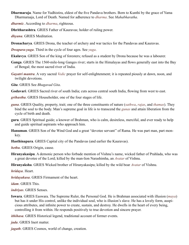**Dharmaraja**. Name for [Yudhistira,](#page-75-13) eldest of the five [Pandava](#page-71-7) brothers. Born to [Kunthi](#page-69-17) by the grace of [Yama](#page-75-14)  [Dharmaraaja,](#page-75-14) Lord of Death. Named for adherence to *[dharma](#page-67-1)*. See *[Mahabharatha](#page-70-10)*.

<span id="page-68-17"></span>*dharmic*. According to *[dharma](#page-68-17)*, righteous.

<span id="page-68-8"></span>**Dhritharashtra**. GRIES Father of [Kauravas](#page-69-7); holder of ruling power.

<span id="page-68-5"></span>*dhyana*. GRIES Meditation.

<span id="page-68-18"></span>**Dronacharya**. GRIES Drona, the teacher of archery and war tactics for the [Pandavas](#page-71-7) and [Kauravas](#page-69-7).

*Dwapara-yuga*. Third in the cycle of four ages. See *[yuga](#page-75-15)*.

**Ekalavya**. GRIES Son of the king of foresters; refused as a student by [Drona](#page-68-18) because he was a labourer.

- <span id="page-68-1"></span>**Ganga**. GRIES The 1560-mile-long Ganges river; starts in the Himalayas and flows generally east into the Bay of Bengal; the most sacred river of India.
- *Gayatri mantra*. A very sacred *[Vedic](#page-75-16)* prayer for self-enlightenment; it is repeated piously at dawn, noon, and twilight devotions.
- <span id="page-68-14"></span>*Gita*. GRIES See *Bhagavad Gita*.

<span id="page-68-2"></span>Godavari. GRIES Sacred river of south India; cuts across central south India, flowing from west to east.

<span id="page-68-13"></span>*grihastha*. GRIES Householder, one of the four stages of life.

- <span id="page-68-0"></span>*guna*. GRIES Quality, property, trait; one of the three constituents of nature (*[sathwa](#page-73-4)*, *[rajas](#page-72-5)*, and *[thamas](#page-74-0)*). They bind the soul to the body. Man's supreme goal in life is to transcend the *gunas* and attain liberation from the cycle of birth and death.
- <span id="page-68-3"></span>**guru**. GRIES Spiritual guide; a knower of [Brahman,](#page-67-4) who is calm, desireless, merciful, and ever ready to help and guide spiritual aspirants who approach him.

<span id="page-68-11"></span>**Hanuman**. GRIES Son of the Wind God and a great "devotee servant'' of [Rama](#page-72-13). He was part man, part monkey.

<span id="page-68-9"></span>**Hasthinapura**. GRIES Capital city of the [Pandavas](#page-71-7) (and earlier the [Kauravas\)](#page-69-7).

<span id="page-68-15"></span>*hethu*. GRIES Origin, cause.

<span id="page-68-19"></span>**Hiranyakasipu**. A demonic person who forbade mention of [Vishnu'](#page-75-4)s name, wicked father of [Prahlada](#page-71-13), who was a great devotee of the Lord; killed by the man-lion [Narashimha](#page-71-8), an *[Avatar](#page-66-10)* of [Vishnu](#page-75-4).

**Hiranyaksha**. GRIES Wicked brother of [Hiranyakasipu;](#page-68-19) killed by the wild boar *[Avatar](#page-66-10)* of [Vishnu](#page-75-4).

*hridaya*. Heart.

<span id="page-68-7"></span>*hridayakasa*. GRIES Firmament of the heart.

*idam*. GRIES This.

<span id="page-68-4"></span>*indriyas*. GRIES Senses.

<span id="page-68-16"></span>**Iswara**. GRIES Easwara. The Supreme Ruler, the Personal God. He is [Brahman](#page-67-4) associated with illusion (*[maya](#page-70-5)*) but has it under His control, unlike the individual soul, who is illusion's slave. He has a lovely form, auspicious attributes, and infinite power to create, sustain, and destroy. He dwells in the heart of every being, controlling it from within. He responds positively to true devotion and sincere prayer.

<span id="page-68-12"></span>*ithihasa*. GRIES Historical legend, traditional account of former events.

<span id="page-68-10"></span>*jada*. GRIES Inert matter.

<span id="page-68-6"></span>*jagath*. GRIES Cosmos, world of change, creation.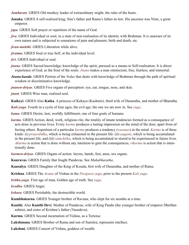<span id="page-69-11"></span>*Jambavan*. GRIES Old monkey leader of extraordinary might; the ruler of the bears.

- **Janaka**. GRIES A self-realized king; [Sita](#page-73-10)'s father and [Rama](#page-72-13)'s father-in-law. His ancestor was Nimi, a great emperor.
- <span id="page-69-3"></span>*japa*. GRIES Soft prayer or repetition of the name of God.
- <span id="page-69-1"></span>*jiva*. GRIES Individual or soul, in a state of non-realisation of its identity with [Brahman.](#page-67-4) It is unaware of its own nature and is subjected to sensations of pain and pleasure, birth and death, etc.
- <span id="page-69-5"></span>*jivan-mukthi*. GRIES Liberation while alive.
- *jivatma*. GRIES Soul or true Self, at the individual level.
- <span id="page-69-2"></span>*jivi*. GRIES Individual or soul.
- <span id="page-69-0"></span>*jnana*. GRIES Sacred knowledge; knowledge of the spirit, pursued as a means to Self-realisation. It is direct experience of God, as the Soul of the souls. *Jnana* makes a man omniscient, free, fearless, and immortal.
- *Jnana-kanda*. GRIES Portion of the *[Vedas](#page-75-7)* that deals with knowledge of [Brahman](#page-67-4) through the path of spiritual wisdom or discriminative knowledge.
- <span id="page-69-13"></span>*jnanen-driyas*. GRIES Five organs of perception: eye, ear, tongue, nose, and skin.

<span id="page-69-4"></span>*jnani*. GRIES Wise man, realized soul.

<span id="page-69-15"></span>**Kaikeyi**. GRIES Also **Kaika**. A princess of Kekaya (Kashmir), third wife of [Dasaratha](#page-67-15), and mother of [Bharatha](#page-66-4).

*Kali-yuga*. Fourth in a cycle of four ages; the evil age; the one we are now in. See *[yuga](#page-75-15)*.

<span id="page-69-19"></span>*kama*. GRIES Desire, lust, worldly fulfillment; one of four goals of humans.

<span id="page-69-6"></span>*karma*. GRIES Action, deed, work, religious rite, the totality of innate tendencies formed as a consequence of acts done in previous lives. Every *karma* produces a lasting impression on the mind of the doer, apart from affecting others. Repetition of a particular *karma* produces a tendency (*[vasanas](#page-74-15)*) in the mind. *Karma* is of three kinds: (i) *praarabdha*, which is being exhausted in the present life: (ii) *aagami*, which is being accumulated in the present life, and (iii) *samchitha*, which is being accumulated or stored to be experienced in future lives. *Akarma* is action that is done without any intention to gain the consequences; *vikarma* is action that is intentionally done.

<span id="page-69-12"></span>*karmen-driyas*. GRIES Organs of action: larynx, hands, feet, anus, sex organs.

<span id="page-69-7"></span>**Kauravas**. GRIES Family that fought [Pandavas](#page-71-7). See *[Mahabharatha](#page-70-10)*.

<span id="page-69-14"></span>**Kausalya**. GRIES Daughter of the King of Kosala, first wife of [Dasaratha](#page-67-15), and mother of [Rama.](#page-72-13)

<span id="page-69-8"></span>**Krishna**. GRIES The *[Avatar](#page-66-10)* of [Vishnu](#page-75-4) in the *[Dwapara yuga](#page-75-15)*, prior to the present *[Kali yuga](#page-75-15)*.

*kritha-yuga*. First age of man, Golden age of truth. See *[yuga](#page-75-15)*.

*krodha*. GRIES Anger.

*kshara*. GRIES Perishable; the destructible world.

<span id="page-69-10"></span>**Kumbhakarna**. GRIES Younger brother of [Ravana,](#page-72-15) who slept for six months at a time.

- <span id="page-69-17"></span>**Kunthi**. Also **Kunthi Devi**. Mother of [Pandavas](#page-71-7), wife of King Pandu (the younger brother of emperor Dhritharashtra), and sister of [Krishna](#page-69-8)'s father [\(Vasudeva](#page-74-4)).
- <span id="page-69-16"></span>**Kurma**. GRIES Second incarnation of [Vishnu](#page-75-4), as a Tortoise.

<span id="page-69-9"></span>**Lakshmana**. GRIES Brother of [Rama](#page-72-13) and son of [Sumitra](#page-73-14); represents intellect.

<span id="page-69-18"></span>**Lakshmi**. GRIES Consort of [Vishnu,](#page-75-4) goddess of wealth.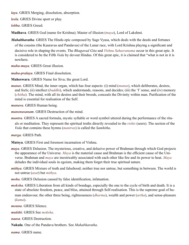<span id="page-70-9"></span>*laya*. GRIES Merging, dissolution, absorption.

<span id="page-70-11"></span>*leela*. GRIES Divine sport or play.

*lobha*. GRIES Greed.

<span id="page-70-15"></span>**Madhava**. GRIES God (name for [Krishna\)](#page-69-8); Master of illusion (*[maya](#page-70-5)*), Lord of [Lakshmi.](#page-69-18)

<span id="page-70-10"></span>*Mahabharatha*. GRIES The Hindu epic composed by Sage [Vyasa](#page-75-10), which deals with the deeds and fortunes of the cousins (the [Kauravas](#page-69-7) and [Pandavas](#page-71-7)) of the Lunar race, with Lord [Krishna](#page-69-8) playing a significant and

decisive role in shaping the events. The *[Bhagavad Gita](#page-66-16)* and *Vishnu Sahasranama* occur in this great epic. It is considered to be the Fifth *[Veda](#page-75-7)* by devout Hindus. Of this great epic, it is claimed that "what is not in it is nowhere.

*maha-maya*. GRIES Great illusion.

<span id="page-70-18"></span>*maha-pralaya*. GRIES Final dissolution.

<span id="page-70-13"></span>**Maheswara**. GRIES Name for [Siva;](#page-73-0) the great Lord.

<span id="page-70-3"></span>*manas*. GRIES Mind, the inner organ, which has four aspects: (i) mind (*manas*), which deliberates, desires, and feels; (ii) intellect (*[buddhi](#page-67-10)*), which understands, reasons, and decides; (iii) the 'I' sense, and (iv) memory (*[chitha](#page-67-2)*). The mind, with all its desires and their broods, conceals the Divinity within man. Purification of the mind is essential for realisation of the Self.

<span id="page-70-16"></span>*manava*. GRIES Human being.

<span id="page-70-7"></span>*manonasanam*. GRIES Destruction of the mind.

<span id="page-70-17"></span>*mantra*. GRIES A sacred formula, mystic syllable or word symbol uttered during the performance of the rituals or meditation. They represent the spiritual truths directly revealed to the *[rishis](#page-72-17)* (seers). The section of the *[Veda](#page-75-7)* that contains these hymns (*mantras*) is called the *Samhitha*.

<span id="page-70-6"></span>*marga*. GRIES Path.

<span id="page-70-14"></span>**Matsya**. GRIES First and foremost incarnation of [Vishnu](#page-75-4).

- <span id="page-70-5"></span>*maya*. GRIES Delusion. The mysterious, creative, and delusive power of [Brahman](#page-67-4) through which God projects the appearance of the Universe. *Maya* is the material cause and [Brahman](#page-67-4) is the efficient cause of the Universe. [Brahman](#page-67-4) and *maya* are inextricably associated with each other like fire and its power to heat. *Maya* deludes the individual souls in egoism, making them forget their true spiritual nature.
- <span id="page-70-0"></span>*mithya*. GRIES Mixture of truth and falsehood; neither true nor untrue, but something in between. The world is not untrue (*asat*) but *mithya*.

<span id="page-70-12"></span>*moha*. GRIES Delusion caused by false identification, infatuation.

<span id="page-70-1"></span>*moksha*. GRIES Liberation from all kinds of bondage, especially the one to the cycle of birth and death. It is a state of absolute freedom, peace, and bliss, attained through Self-realisation. This is the supreme goal of human endeavour, the other three being, righteousness (*[dharma](#page-67-1)*), wealth and power (*artha*), and sense-pleasure (*[kama](#page-69-19)*).

<span id="page-70-4"></span>*mouna*. GRIES Silence.

<span id="page-70-2"></span>*mukthi*. GRIES See *[moksha](#page-70-1)*.

<span id="page-70-8"></span>*naasa*. GRIES Destruction.

<span id="page-70-19"></span>**Nakula**. One of the [Pandava](#page-71-7) brothers. See *[Mahabharatha](#page-70-10)*.

*nama*. GRIES name.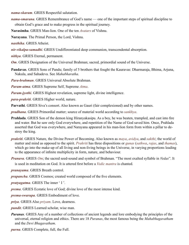*nama-skaram*. GRIES Respectful salutation.

*nama-smarana*. GRIES Remembrance of God's name — one of the important steps of spiritual discipline to obtain God's grace and to make progress in the spiritual journey.

<span id="page-71-8"></span>**Narasimha**. GRIES Man-lion. One of the ten *[Avatars](#page-66-10)* of [Vishnu.](#page-75-4)

<span id="page-71-14"></span>**Narayana**. The Primal Person, the Lord, [Vishnu](#page-75-4).

*nasthika*. GRIES Atheist.

- <span id="page-71-3"></span>*nir-vikalpa-samadhi*. GRIES Undifferentiated deep communion, transcendental absorption.
- *nithya*. GRIES Eternal, permanent.

<span id="page-71-12"></span>*Om*. GRIES Designation of the Universal [Brahman;](#page-67-4) sacred, primordial sound of the Universe.

- <span id="page-71-7"></span>**Pandavas**. GRIES Sons of Pandu; family of 5 brothers that fought the [Kauravas:](#page-69-7) [Dharmaraja,](#page-75-13) [Bhima,](#page-67-21) [Arjuna](#page-65-14), [Nakula,](#page-70-19) and [Sahadeva.](#page-72-18) See *[Mahabharatha](#page-70-10)*.
- <span id="page-71-11"></span>*Para-brahman*. GRIES Universal Absolute [Brahman](#page-67-4).

<span id="page-71-1"></span>*Param-atma*. GRIES Supreme Self, Supreme *[Atma](#page-66-0)*.

- *Param-jyothi*. GRIES Highest revelation, supreme light, divine intelligence.
- *para-prakriti*. GRIES Higher world, nature.

**Parvathi**. GRIES [Siva'](#page-73-0)s consort. Also known as Gauri (fair complexioned) and by other names.

<span id="page-71-10"></span>*pradhana*. GRIES Primordial matter; source of material world according to *[sankhya](#page-72-19)*.

- <span id="page-71-13"></span>**Prahlada**. GRIES Son of the demon king [Hiranyakasipu](#page-68-19). As a boy, he was beaten, trampled, and cast into fire and water. But he saw only God everywhere, and repetition of the Name of God saved him. Once, Prahlada asserted that God was everywhere, and [Narayana](#page-71-14) appeared in his man-lion form from within a pillar to destroy the king.
- <span id="page-71-0"></span>*prakriti*. GRIES Nature, the Divine Power of Becoming. Also known as *[maya](#page-70-5)*, *avidya*, and *[sakthi](#page-72-1)*; the world of matter and mind as opposed to the spirit. *Prakriti* has three dispositions or *[gunas](#page-68-0)* (*[sathwa](#page-73-4)*, *[rajas](#page-72-5)*, and *[thamas](#page-74-0)*), which go into the make-up of all living and non-living beings in the Universe, in varying proportions leading to the appearance of infinite multiplicity in form, nature, and behaviour.
- *Pranava*. GRIES *Om*; the sacred seed-sound and symbol of [Brahman](#page-67-4). "The most exalted syllable in *[Vedas](#page-75-7)*". It is used in meditation on God. It is uttered first before a *[Vedic](#page-75-16) mantra* is chanted.
- <span id="page-71-2"></span>*pranayama*. GRIES Breath control.
- *prapancha*. GRIES Cosmos; created world composed of the five elements.
- *pratyagatma*. GRIES The inner ' I '.
- <span id="page-71-6"></span>*prema*. GRIES Ecstatic love of God; divine love of the most intense kind.
- *prema-swarupa*. GRIES Embodiment of love.
- <span id="page-71-4"></span>*priya*. GRIES Also *priyam*. Love, dearness.
- <span id="page-71-5"></span>*pundit*. GRIES Learned scholar, wise man.
- *Puranas*. GRIES Any of a number of collections of ancient legends and lore embodying the principles of the universal, eternal religion and ethics. There are 18 *Puranas*, the most famous being the *Mahabhagavatham* and the *Devi Bhagavatham*.

<span id="page-71-9"></span>*purna*. GRIES Complete, full, the Full.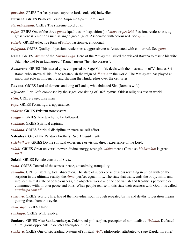*purusha*. GRIES Perfect person, supreme lord, soul, self, indweller.

**Purusha**. GRIES Primeval Person, Supreme Spirit, Lord, God..

*Purushothama*. GRIES The supreme Lord of all.

<span id="page-72-0"></span>*rajas*. GRIES One of the three *[gunas](#page-68-0)* (qualities or dispositions) of *[maya](#page-70-0)* or *[prakriti](#page-71-0)*. Passion, restlessness, aggressiveness, emotions such as anger, greed, grief. Associated with colour red. See *[guna](#page-68-0)*.

*rajasic*. GRIES Adjective form of *[rajas](#page-72-0)*, passionate, emotional.

*rajoguna*. GRIES Quality of passion, restlessness, aggressiveness. Associated with colour red. See *[guna.](#page-68-0)*

<span id="page-72-3"></span>**Rama**. GRIES *[Avatar](#page-66-0)* of the *[Thretha yuga](#page-75-0)*. Hero of the *[Ramayana](#page-72-1)*; killed the wicked [Ravana](#page-72-2) to rescue his wife [Sita,](#page-73-0) who had been kidnapped. "Rama" means "he who pleases".

<span id="page-72-1"></span>*Ramayana*. GRIES This sacred epic, composed by Sage [Valmiki,](#page-74-0) deals with the incarnation of [Vishnu](#page-75-1) as Sri [Rama,](#page-72-3) who strove all his life to reestablish the reign of *[dharma](#page-67-0)* in the world. The *Ramayana* has played an important role in influencing and shaping the Hindu ethos over the centuries.

<span id="page-72-2"></span>**Ravana**. GRIES Lord of demons and king of Lanka, who abducted [Sita](#page-73-0) ([Rama'](#page-72-3)s wife)..

<span id="page-72-6"></span>*Rig-veda*. First *[Veda](#page-75-2)* composed by the sages, consisting of 1028 hymns. Oldest religious text in world..

<span id="page-72-5"></span>*rishi*. GRIES Sage, wise man.

*rupa*. GRIES Form, figure, appearance.

*sadasat*. GRIES Existent-nonexistent.

*sadguru*. GRIES True teacher to be followed.

*sadhaka*. GRIES Spiritual aspirant.

*sadhana*. GRIES Spiritual discipline or exercise; self effort.

**Sahadeva**. One of the [Pandava](#page-71-1) brothers. See *[Mahabharatha](#page-70-1)*..

*sakshatkara*. GRIES Divine spiritual experience or vision; direct experience of the Lord.

*sakthi*. GRIES Great universal power, divine energy, strength. *Maha* means *Great*, so *Mahasakthi* is great *sakthi*.

**Sakthi**. GRIES Female consort of [Siva](#page-73-1)..

*sama*. GRIES Control of the senses, peace, equanimity, tranquility.

<span id="page-72-4"></span>*samadhi*. GRIES Literally, total absorption. The state of super consciousness resulting in union with or absorption in the ultimate reality, the *[Atma](#page-66-1)*; perfect equanimity. The state that transcends the body, mind, and intellect. In that state of consciousness, the objective world and the ego vanish and Reality is perceived or communed with, in utter peace and bliss. When people realise in this state their oneness with God, it is called *nirvikalpa samadhi*..

*samsara*. GRIES Worldly life; life of the individual soul through repeated births and deaths. Liberation means getting freed from this cycle.

*sam-yoga*. GRIES Union.

*sankalpa*. GRIES Will, resolve.

**Sankara**. GRIES Also **Sankaracharya**. Celebrated philosopher, preceptor of non-dualistic *[Vedanta](#page-74-1)*. Defeated all religious opponents in debates throughout India.

*sankhya*. GRIES One of six leading systems of spiritual *[Vedic](#page-75-3)* philosophy, attributed to sage Kapila. Its chief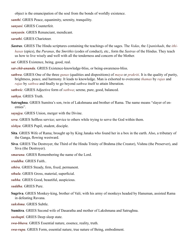object is the emancipation of the soul from the bonds of worldly existence.

*santhi*. GRIES Peace, equanimity, serenity, tranquility.

*sanyasi*. GRIES Counterfeit.

*sanyasin*. GRIES Renunciant, mendicant.

*sarathi*. GRIES Charioteer.

*Sastras*. GRIES The Hindu scriptures containing the teachings of the sages. The *[Vedas](#page-75-2)*, the *[Upanishads](#page-74-2)*, the *[ithi](#page-68-1)[hasas](#page-68-1)* (epics), the *[Puranas](#page-71-2)*, the *Smrithis* (codes of conduct), etc., form the *Sastras* of the Hindus. They teach us how to live wisely and well with all the tenderness and concern of the Mother.

*sat*. GRIES Existence, being, good, real.

*sat-chit-ananda*. GRIES Existence-knowledge-bliss, or being-awareness-bliss.

*sathwa*. GRIES One of the three *[gunas](#page-68-0)* (qualities and dispositions) of *[maya](#page-70-0)* or *prakriti*. It is the quality of purity, brightness, peace, and harmony. It leads to knowledge. Man is exhorted to overcome *[thamas](#page-74-3)* by *[rajas](#page-72-0)* and *rajas* by *sathwa* and finally to go beyond *sathwa* itself to attain liberation.

*sathwic*. GRIES Adjective form of *sathwa*; serene, pure, good, balanced.

*sathya*. GRIES Truth.

<span id="page-73-3"></span>**Satrughna**. GRIES [Sumitra'](#page-73-2)s son, twin of [Lakshmana](#page-69-0) and brother of [Rama.](#page-72-3) The name means "slayer of enemies".

*sayujya*. GRIES Union, merger with the Divine.

*seva*. GRIES Selfless service; service to others while trying to serve the God within them.

*sishya*. GRIES Pupil, student, disciple.

- <span id="page-73-0"></span>**Sita**. GRIES Wife of [Rama;](#page-72-3) brought up by King [Janaka](#page-69-1) who found her in a box in the earth. Also, a tributary of the Ganga, flowing westward.
- <span id="page-73-1"></span>**Siva**. GRIES The Destroyer, the Third of the Hindu Trinity of [Brahma](#page-67-1) (the Creator), [Vishnu](#page-75-1) (the Preserver), and Siva (the Destroyer).
- *smarana*. GRIES Remembering the name of the Lord.

*sraddha*. GRIES Faith..

- *sthira*. GRIES Steady, firm, fixed, permanent.
- *sthula*. GRIES Gross, material, superficial.
- *subha*. GRIES Good, beautiful, auspicious.

*suddha*. GRIES Pure.

<span id="page-73-4"></span>**Sugriva**. GRIES Monkey-king, brother of [Vali;](#page-74-4) with his army of monkeys headed by [Hanuman](#page-68-2), assisted [Rama](#page-72-2) in defeating [Ravana.](#page-72-2)

*sukshma*. GRIES Subtle.

<span id="page-73-2"></span>**Sumitra**. GRIES Second wife of [Dasaratha](#page-67-2) and mother of [Lakshmana](#page-69-0) and [Satrughna.](#page-73-3)

*sushupti*. GRIES Deep sleep state.

*swa-bhava*. GRIES Essential nature, essence, reality, truth.

*swa-rupa*. GRIES Form, essential nature, true nature of Being, embodiment.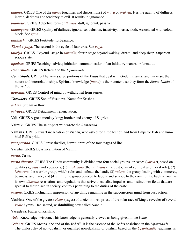- <span id="page-74-3"></span>*thamas*. GRIES One of the *[gunas](#page-68-0)* (qualities and dispositions) of *[maya](#page-70-0)* or *[prakriti](#page-71-0)*. It is the quality of dullness, inertia, darkness and tendency to evil. It results in ignorance.
- *thamasic*. GRIES Adjective form of *thamas*, dull, ignorant, passive.
- *thamoguna*. GRIES Quality of dullness, ignorance, delusion, inactivity, inertia, sloth. Associated with colour black. See *[guna](#page-68-0)*.
- *thithiksha*. GRIES Fortitude, forbearance.
- *Thretha-yuga*. The second in the cycle of four eras. See *[yuga](#page-75-0).*
- *thuriya*. GRIES "Beyond" stage in *[samadhi](#page-72-4)*; fourth stage beyond waking, dream, and deep sleep. Superconscious state.
- *upadesa*. GRIES Teaching; advice; initiation; communication of an initiatory mantra or formula..
- *Upanishadic*. GRIES Relating to the *[Upanishads](#page-74-2)*.
- <span id="page-74-2"></span>*Upanishads*. GRIES The very sacred portions of the *[Vedas](#page-75-2)* that deal with God, humanity, and universe, their nature and interrelationships. Spiritual knowledge (*[jnana](#page-69-2)*) is their content, so they form the *[Jnana-kanda](#page-69-3)* of the *[Vedas](#page-75-2)*.
- *uparathi*. GRIES Control of mind by withdrawal from senses.
- *Vaasudeva*. GRIES Son of Vasudeva. Name for Krishna.
- *vahini*. Stream or flow.
- *vairagya*. GRIES Detachment, renunciation.
- <span id="page-74-4"></span>**Vali**. GRIES A great monkey-king; brother and enemy of [Sugriva.](#page-73-4)
- <span id="page-74-0"></span>**Valmiki**. GRIES The saint-poet who wrote the *[Ramayana](#page-72-1)*.
- **Vamana**. GRIES Dwarf incarnation of [Vishnu](#page-75-1), who asked for three feet of land from Emperor [Bali](#page-66-2) and humbled [Bali'](#page-66-2)s pride.
- *vanaprastha*. GRIES Forest-dweller, hermit; third of the four stages of life.
- **Varaha**. GRIES Boar incarnation of [Vishnu](#page-75-1).
- *varna*. [Caste](#page-67-3).
- *varna dharma*. GRIES The Hindu community is divided into four social groups, or [castes](#page-67-3) (*varnas*), based on qualities (*[gunas](#page-68-0)*) and vocations: (1) *Brahmana* (the *[brahmins](#page-67-4)*), the custodian of spiritual and moral role), (2) *kshatriya*, the warrior group, which rules and defends the land), (3) *vaisya*, the group dealing with commerce, business, and trade, and (4) *sudra*, the group devoted to labour and service to the community. Each *varna* has its own *[dharmic](#page-68-3)* restrictions and regulations that strive to canalise impulses and instinct into fields that are special to their place in society, controls pertaining to the duties of the caste.
- *vasana*. GRIES Inclination, impression of anything remaining in the subconscious mind from past action.
- <span id="page-74-5"></span>**Vasishta**. One of the greatest *[rishis](#page-72-5)* (sages) of ancient times; priest of the solar race of kings; revealer of several *[Vedic](#page-75-3)* hymns. Had sacred, wishfulfilling cow called Nandini.
- **Vasudeva**. Father of [Krishna.](#page-69-4)
- *Veda*. Knowledge, wisdom. This knowledge is generally viewed as being given in the *Vedas*.
- <span id="page-74-1"></span>*Vedanta*. GRIES Means "the end of the *Vedas*". It is the essence of the *Vedas* enshrined in the *[Upanishads](#page-74-2)*. The philosophy of non-dualism, or qualified non-dualism, or dualism based on the *[Upanishadic](#page-74-2)* teachings, is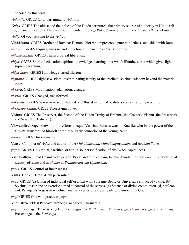denoted by this term.

*Vedantic*. GRIES Of or pertaining to *[Vedanta](#page-74-1)*.

- <span id="page-75-2"></span>*Vedas*. GRIES The oldest and the holiest of the Hindu scriptures, the primary source of authority in Hindu religion and philosophy. They are four in number: the *[Rig-Veda](#page-72-6)*, *Sama-Veda*, *Yajur-Veda*, and *Atharva-Veda*.
- <span id="page-75-3"></span>*Vedic*. Of your relating to the *Vedas*.
- **Vibhishana**. GRIES Brother of [Ravana;](#page-72-2) Demon chief who represented pure mindedness and sided with [Rama](#page-72-3).

*vichara*. GRIES Inquiry, analysis and reflection of the nature of the Self or truth.

*videha-mukthi*. GRIES Transcorporeal liberation.

- *vidya*. GRIES Spiritual education, spiritual knowledge, learning, that which illumines, that which gives light, supreme teaching.
- *vidya-maya*. GRIES Knowledge-based illusion.
- *vi-jnana*. GRIES Highest wisdom; discriminating faculty of the intellect; spiritual wisdom beyond the material plane.
- *vi-kara*. GRIES Modification, adaptation, change.
- *vi-kriti*. GRIES Changed, transformed.
- *vi-kshepa*. GRIES Waywardness; distracted or diffused mind that obstructs concentration; projecting.
- *vi-kshepa-sakthi*. GRIES Projectying power.
- <span id="page-75-1"></span>**Vishnu**. GRIES The Preserver, the Second of the Hindu Trinity of [Brahma](#page-67-1) (the Creator), Vishnu (the Preserver), and [Siva](#page-73-1) (the Destroyer).
- **Viswamitra**. Sage; known for his efforts to equal [Vasishta](#page-74-5). Born as warrior Kausika who by the power of the *[Gayatri](#page-68-4)* transformed himself spiritually. Early counselor of the young [Rama](#page-72-3).
- *viveka*. GRIES Discrimination.
- **Vyasa**. Compiler of *[Vedas](#page-75-2)* and author of the *[Mahabharatha](#page-70-1)*, *Mahabhagavatham*, and *[Brahma Sutra](#page-67-5)*.
- *yajna*. GRIES Holy ritual, sacrifice, or rite. Also, personification of rite (when capitalized).
- **Yajnavalkya**. Great Upanishadic person. Priest and guru of King [Janaka.](#page-69-1) Taught monistic *[adwaithic](#page-65-0)* doctrine of identity of *[Atma](#page-66-1)* and *[Brahman](#page-67-6)* in *[Brihadaranyaka Upanishad](#page-67-7)*.
- *yama*. GRIES Control of inner senses.
- **Yama**. God of Death; death personified.
- <span id="page-75-4"></span>*yoga*. GRIES (a) Union of individual self or *[Atma](#page-66-1)* with Supreme Being or Universal Self; act of yoking. (b) Spiritual discipline or exercise aimed at control of the senses. (c) Science of divine communion. (d) self control. Patanjali's Yoga-sutras define *yoga* as a series of 8 steps leading to union with God..
- *yogi*. GRIES One who practices *[yoga](#page-75-4)*.
- **Yudhistira**. Eldest [Pandava](#page-71-1) brother; also called Dharmaraja.
- <span id="page-75-0"></span>*yuga*. Era or age. There is a cycle of four *yugas*: the *Kritha yuga*, *Thretha yuga*, *Dwapara yuga*, and *Kali yuga*. Present age is the *Kali yuga*.